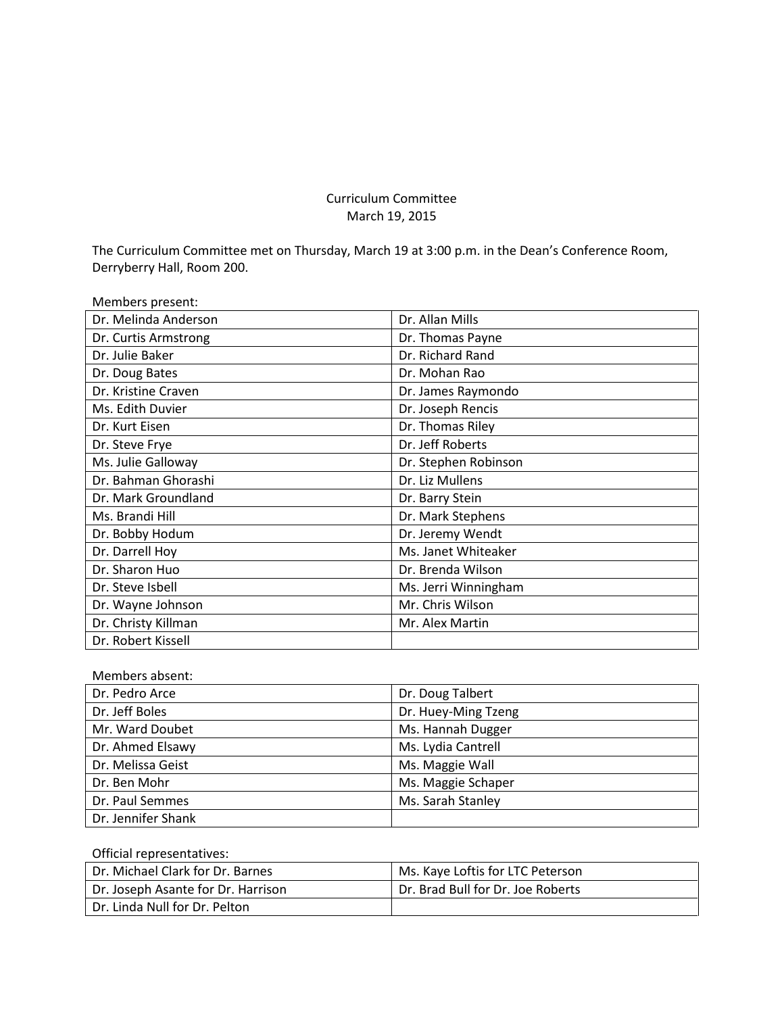# Curriculum Committee March 19, 2015

The Curriculum Committee met on Thursday, March 19 at 3:00 p.m. in the Dean's Conference Room, Derryberry Hall, Room 200.

| Members present:     |                      |
|----------------------|----------------------|
| Dr. Melinda Anderson | Dr. Allan Mills      |
| Dr. Curtis Armstrong | Dr. Thomas Payne     |
| Dr. Julie Baker      | Dr. Richard Rand     |
| Dr. Doug Bates       | Dr. Mohan Rao        |
| Dr. Kristine Craven  | Dr. James Raymondo   |
| Ms. Edith Duvier     | Dr. Joseph Rencis    |
| Dr. Kurt Eisen       | Dr. Thomas Riley     |
| Dr. Steve Frye       | Dr. Jeff Roberts     |
| Ms. Julie Galloway   | Dr. Stephen Robinson |
| Dr. Bahman Ghorashi  | Dr. Liz Mullens      |
| Dr. Mark Groundland  | Dr. Barry Stein      |
| Ms. Brandi Hill      | Dr. Mark Stephens    |
| Dr. Bobby Hodum      | Dr. Jeremy Wendt     |
| Dr. Darrell Hoy      | Ms. Janet Whiteaker  |
| Dr. Sharon Huo       | Dr. Brenda Wilson    |
| Dr. Steve Isbell     | Ms. Jerri Winningham |
| Dr. Wayne Johnson    | Mr. Chris Wilson     |
| Dr. Christy Killman  | Mr. Alex Martin      |
| Dr. Robert Kissell   |                      |

# Members absent:

| Dr. Pedro Arce     | Dr. Doug Talbert    |
|--------------------|---------------------|
| Dr. Jeff Boles     | Dr. Huey-Ming Tzeng |
| Mr. Ward Doubet    | Ms. Hannah Dugger   |
| Dr. Ahmed Elsawy   | Ms. Lydia Cantrell  |
| Dr. Melissa Geist  | Ms. Maggie Wall     |
| Dr. Ben Mohr       | Ms. Maggie Schaper  |
| Dr. Paul Semmes    | Ms. Sarah Stanley   |
| Dr. Jennifer Shank |                     |

# Official representatives:

| Dr. Michael Clark for Dr. Barnes   | Ms. Kaye Loftis for LTC Peterson  |
|------------------------------------|-----------------------------------|
| Dr. Joseph Asante for Dr. Harrison | Dr. Brad Bull for Dr. Joe Roberts |
| Dr. Linda Null for Dr. Pelton      |                                   |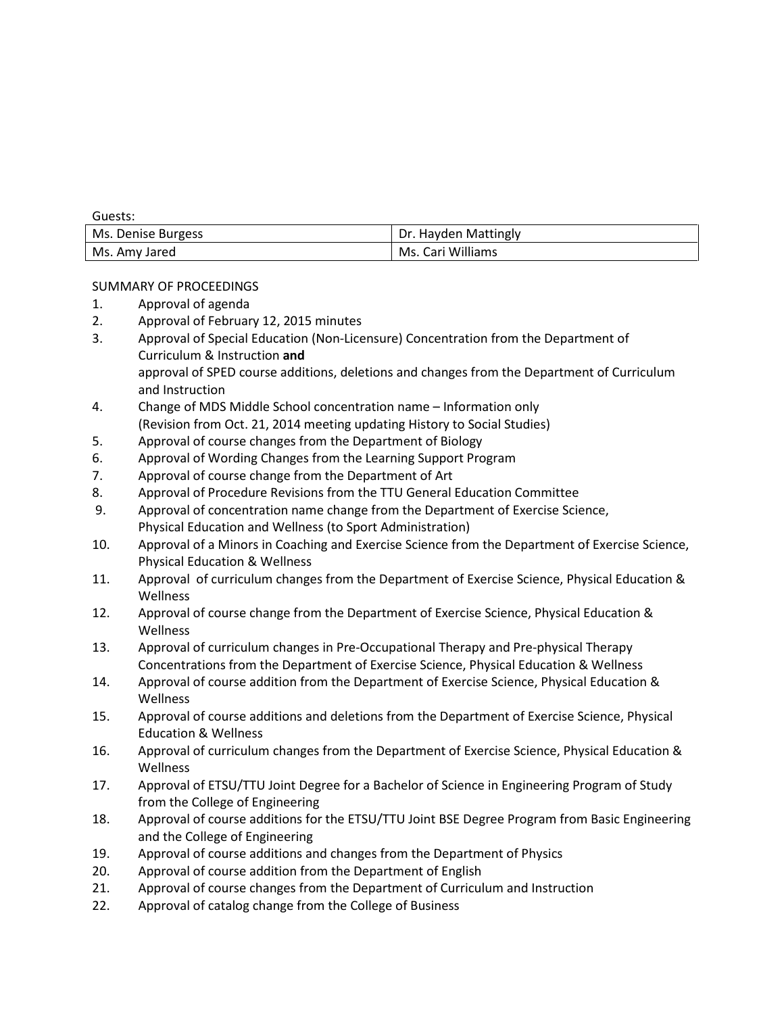Guests:

| Ms. Denise Burgess | Dr. Hayden Mattingly |
|--------------------|----------------------|
| Ms. Amy Jared      | Ms. Cari Williams    |

# SUMMARY OF PROCEEDINGS

- 1. Approval of agenda
- 2. Approval of February 12, 2015 minutes
- 3. Approval of Special Education (Non-Licensure) Concentration from the Department of Curriculum & Instruction **and** approval of SPED course additions, deletions and changes from the Department of Curriculum and Instruction
- 4. Change of MDS Middle School concentration name Information only (Revision from Oct. 21, 2014 meeting updating History to Social Studies)
- 5. Approval of course changes from the Department of Biology
- 6. Approval of Wording Changes from the Learning Support Program
- 7. Approval of course change from the Department of Art
- 8. Approval of Procedure Revisions from the TTU General Education Committee
- 9. Approval of concentration name change from the Department of Exercise Science, Physical Education and Wellness (to Sport Administration)
- 10. Approval of a Minors in Coaching and Exercise Science from the Department of Exercise Science, Physical Education & Wellness
- 11. Approval of curriculum changes from the Department of Exercise Science, Physical Education & Wellness
- 12. Approval of course change from the Department of Exercise Science, Physical Education & Wellness
- 13. Approval of curriculum changes in Pre-Occupational Therapy and Pre-physical Therapy Concentrations from the Department of Exercise Science, Physical Education & Wellness
- 14. Approval of course addition from the Department of Exercise Science, Physical Education & Wellness
- 15. Approval of course additions and deletions from the Department of Exercise Science, Physical Education & Wellness
- 16. Approval of curriculum changes from the Department of Exercise Science, Physical Education & Wellness
- 17. Approval of ETSU/TTU Joint Degree for a Bachelor of Science in Engineering Program of Study from the College of Engineering
- 18. Approval of course additions for the ETSU/TTU Joint BSE Degree Program from Basic Engineering and the College of Engineering
- 19. Approval of course additions and changes from the Department of Physics
- 20. Approval of course addition from the Department of English
- 21. Approval of course changes from the Department of Curriculum and Instruction
- 22. Approval of catalog change from the College of Business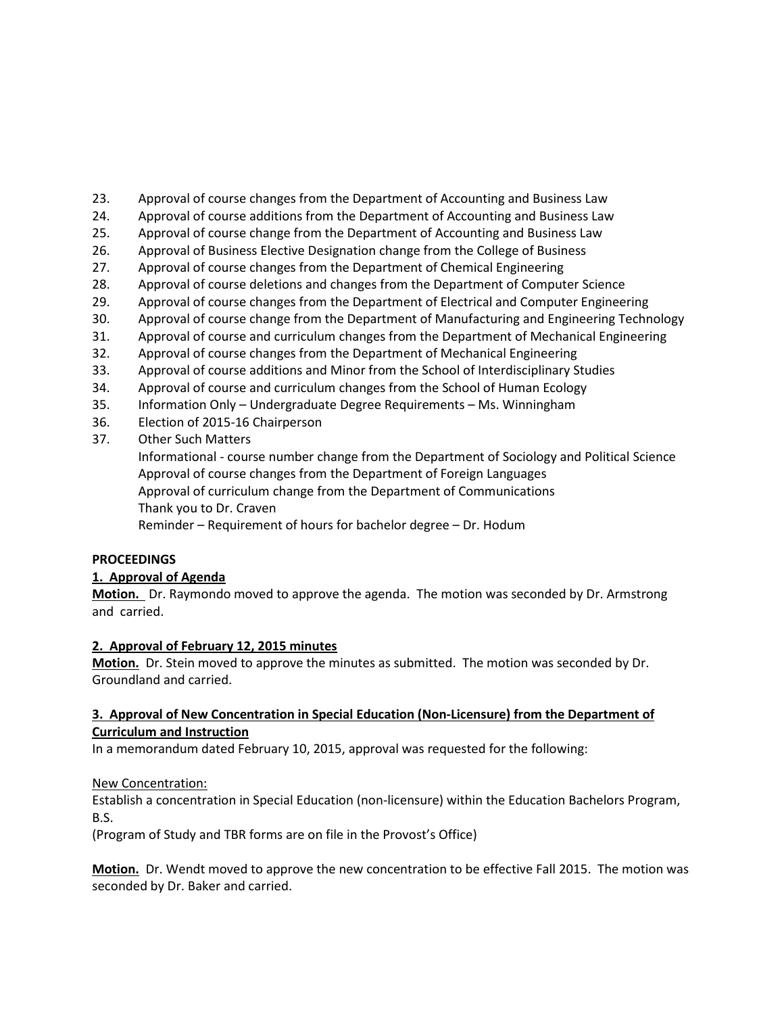- 23. Approval of course changes from the Department of Accounting and Business Law
- 24. Approval of course additions from the Department of Accounting and Business Law
- 25. Approval of course change from the Department of Accounting and Business Law
- 26. Approval of Business Elective Designation change from the College of Business
- 27. Approval of course changes from the Department of Chemical Engineering
- 28. Approval of course deletions and changes from the Department of Computer Science
- 29. Approval of course changes from the Department of Electrical and Computer Engineering
- 30. Approval of course change from the Department of Manufacturing and Engineering Technology
- 31. Approval of course and curriculum changes from the Department of Mechanical Engineering
- 32. Approval of course changes from the Department of Mechanical Engineering
- 33. Approval of course additions and Minor from the School of Interdisciplinary Studies
- 34. Approval of course and curriculum changes from the School of Human Ecology
- 35. Information Only Undergraduate Degree Requirements Ms. Winningham
- 36. Election of 2015-16 Chairperson
- 37. Other Such Matters

Informational - course number change from the Department of Sociology and Political Science Approval of course changes from the Department of Foreign Languages Approval of curriculum change from the Department of Communications Thank you to Dr. Craven Reminder – Requirement of hours for bachelor degree – Dr. Hodum

# **PROCEEDINGS**

# **1. Approval of Agenda**

**Motion.** Dr. Raymondo moved to approve the agenda. The motion was seconded by Dr. Armstrong and carried.

# **2. Approval of February 12, 2015 minutes**

**Motion.** Dr. Stein moved to approve the minutes as submitted. The motion was seconded by Dr. Groundland and carried.

# **3. Approval of New Concentration in Special Education (Non-Licensure) from the Department of Curriculum and Instruction**

In a memorandum dated February 10, 2015, approval was requested for the following:

# New Concentration:

Establish a concentration in Special Education (non-licensure) within the Education Bachelors Program, B.S.

(Program of Study and TBR forms are on file in the Provost's Office)

**Motion.** Dr. Wendt moved to approve the new concentration to be effective Fall 2015. The motion was seconded by Dr. Baker and carried.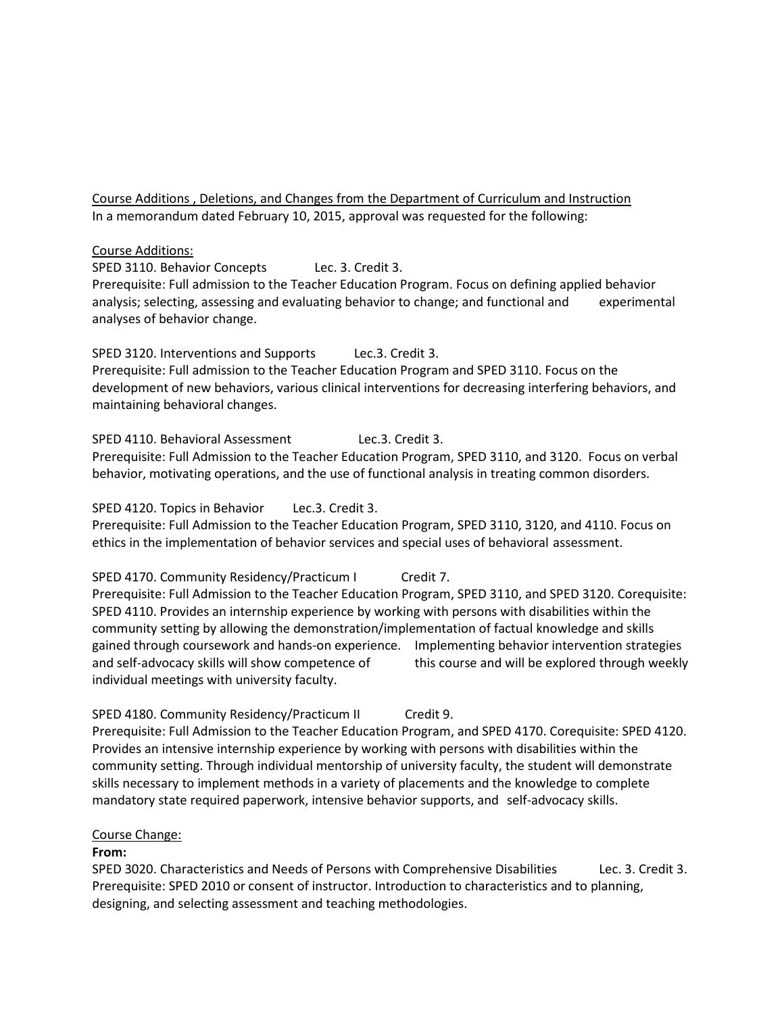Course Additions , Deletions, and Changes from the Department of Curriculum and Instruction In a memorandum dated February 10, 2015, approval was requested for the following:

#### Course Additions:

SPED 3110. Behavior Concepts Lec. 3. Credit 3.

Prerequisite: Full admission to the Teacher Education Program. Focus on defining applied behavior analysis; selecting, assessing and evaluating behavior to change; and functional and experimental analyses of behavior change.

SPED 3120. Interventions and Supports Lec.3. Credit 3. Prerequisite: Full admission to the Teacher Education Program and SPED 3110. Focus on the

development of new behaviors, various clinical interventions for decreasing interfering behaviors, and maintaining behavioral changes.

SPED 4110. Behavioral Assessment Lec.3. Credit 3. Prerequisite: Full Admission to the Teacher Education Program, SPED 3110, and 3120. Focus on verbal behavior, motivating operations, and the use of functional analysis in treating common disorders.

#### SPED 4120. Topics in Behavior Lec.3. Credit 3.

Prerequisite: Full Admission to the Teacher Education Program, SPED 3110, 3120, and 4110. Focus on ethics in the implementation of behavior services and special uses of behavioral assessment.

SPED 4170. Community Residency/Practicum I Credit 7. Prerequisite: Full Admission to the Teacher Education Program, SPED 3110, and SPED 3120. Corequisite: SPED 4110. Provides an internship experience by working with persons with disabilities within the community setting by allowing the demonstration/implementation of factual knowledge and skills gained through coursework and hands-on experience. Implementing behavior intervention strategies and self-advocacy skills will show competence of this course and will be explored through weekly individual meetings with university faculty.

SPED 4180. Community Residency/Practicum II Credit 9. Prerequisite: Full Admission to the Teacher Education Program, and SPED 4170. Corequisite: SPED 4120. Provides an intensive internship experience by working with persons with disabilities within the community setting. Through individual mentorship of university faculty, the student will demonstrate skills necessary to implement methods in a variety of placements and the knowledge to complete mandatory state required paperwork, intensive behavior supports, and self-advocacy skills.

#### Course Change:

#### **From:**

SPED 3020. Characteristics and Needs of Persons with Comprehensive Disabilities Lec. 3. Credit 3. Prerequisite: SPED 2010 or consent of instructor. Introduction to characteristics and to planning, designing, and selecting assessment and teaching methodologies.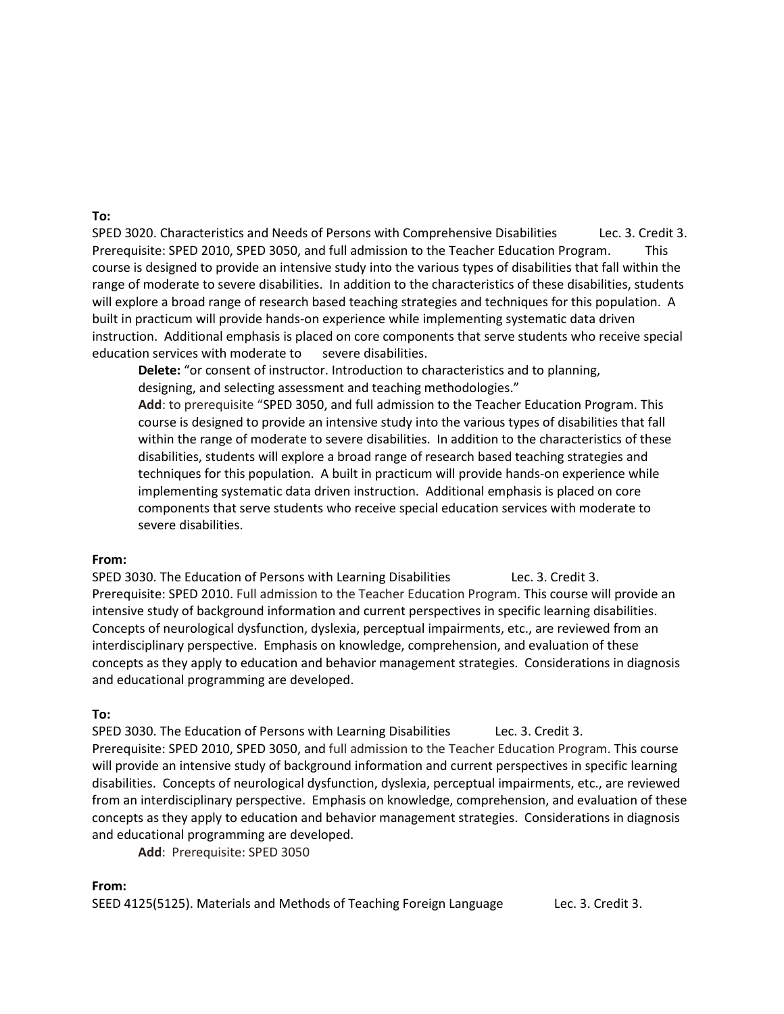#### **To:**

SPED 3020. Characteristics and Needs of Persons with Comprehensive Disabilities Lec. 3. Credit 3. Prerequisite: SPED 2010, SPED 3050, and full admission to the Teacher Education Program. This course is designed to provide an intensive study into the various types of disabilities that fall within the range of moderate to severe disabilities. In addition to the characteristics of these disabilities, students will explore a broad range of research based teaching strategies and techniques for this population. A built in practicum will provide hands-on experience while implementing systematic data driven instruction. Additional emphasis is placed on core components that serve students who receive special education services with moderate to severe disabilities.

**Delete:** "or consent of instructor. Introduction to characteristics and to planning, designing, and selecting assessment and teaching methodologies."

**Add**: to prerequisite "SPED 3050, and full admission to the Teacher Education Program. This course is designed to provide an intensive study into the various types of disabilities that fall within the range of moderate to severe disabilities. In addition to the characteristics of these disabilities, students will explore a broad range of research based teaching strategies and techniques for this population. A built in practicum will provide hands-on experience while implementing systematic data driven instruction. Additional emphasis is placed on core components that serve students who receive special education services with moderate to severe disabilities.

#### **From:**

SPED 3030. The Education of Persons with Learning Disabilities Lec. 3. Credit 3. Prerequisite: SPED 2010. Full admission to the Teacher Education Program. This course will provide an intensive study of background information and current perspectives in specific learning disabilities. Concepts of neurological dysfunction, dyslexia, perceptual impairments, etc., are reviewed from an interdisciplinary perspective. Emphasis on knowledge, comprehension, and evaluation of these concepts as they apply to education and behavior management strategies. Considerations in diagnosis and educational programming are developed.

#### **To:**

SPED 3030. The Education of Persons with Learning Disabilities Lec. 3. Credit 3. Prerequisite: SPED 2010, SPED 3050, and full admission to the Teacher Education Program. This course will provide an intensive study of background information and current perspectives in specific learning disabilities. Concepts of neurological dysfunction, dyslexia, perceptual impairments, etc., are reviewed from an interdisciplinary perspective. Emphasis on knowledge, comprehension, and evaluation of these concepts as they apply to education and behavior management strategies. Considerations in diagnosis and educational programming are developed.

**Add**: Prerequisite: SPED 3050

#### **From:**

SEED 4125(5125). Materials and Methods of Teaching Foreign Language Lec. 3. Credit 3.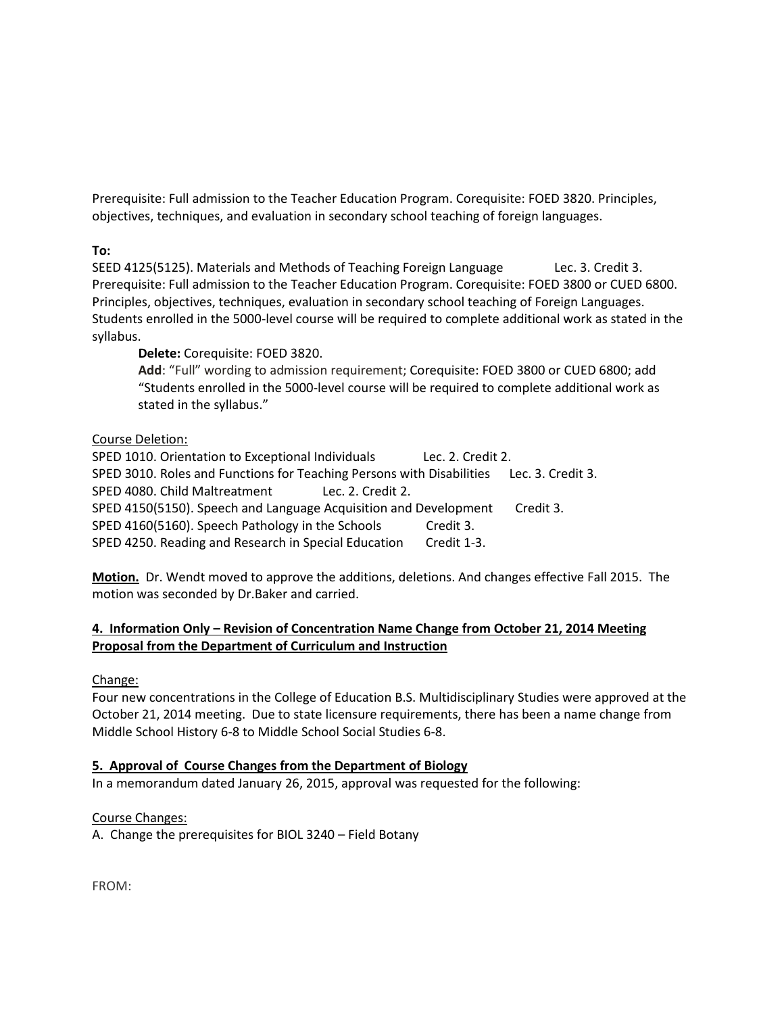Prerequisite: Full admission to the Teacher Education Program. Corequisite: FOED 3820. Principles, objectives, techniques, and evaluation in secondary school teaching of foreign languages.

**To:**

SEED 4125(5125). Materials and Methods of Teaching Foreign Language Lec. 3. Credit 3. Prerequisite: Full admission to the Teacher Education Program. Corequisite: FOED 3800 or CUED 6800. Principles, objectives, techniques, evaluation in secondary school teaching of Foreign Languages. Students enrolled in the 5000-level course will be required to complete additional work as stated in the syllabus.

**Delete:** Corequisite: FOED 3820.

**Add**: "Full" wording to admission requirement; Corequisite: FOED 3800 or CUED 6800; add "Students enrolled in the 5000-level course will be required to complete additional work as stated in the syllabus."

# Course Deletion:

SPED 1010. Orientation to Exceptional IndividualsLec. 2. Credit 2. SPED 3010. Roles and Functions for Teaching Persons with Disabilities Lec. 3. Credit 3. SPED 4080. Child Maltreatment Lec. 2. Credit 2. SPED 4150(5150). Speech and Language Acquisition and Development Credit 3. SPED 4160(5160). Speech Pathology in the Schools Credit 3. SPED 4250. Reading and Research in Special Education Credit 1-3.

**Motion.** Dr. Wendt moved to approve the additions, deletions. And changes effective Fall 2015. The motion was seconded by Dr.Baker and carried.

# **4. Information Only – Revision of Concentration Name Change from October 21, 2014 Meeting Proposal from the Department of Curriculum and Instruction**

Change:

Four new concentrations in the College of Education B.S. Multidisciplinary Studies were approved at the October 21, 2014 meeting. Due to state licensure requirements, there has been a name change from Middle School History 6-8 to Middle School Social Studies 6-8.

# **5. Approval of Course Changes from the Department of Biology**

In a memorandum dated January 26, 2015, approval was requested for the following:

Course Changes:

A. Change the prerequisites for BIOL 3240 – Field Botany

FROM: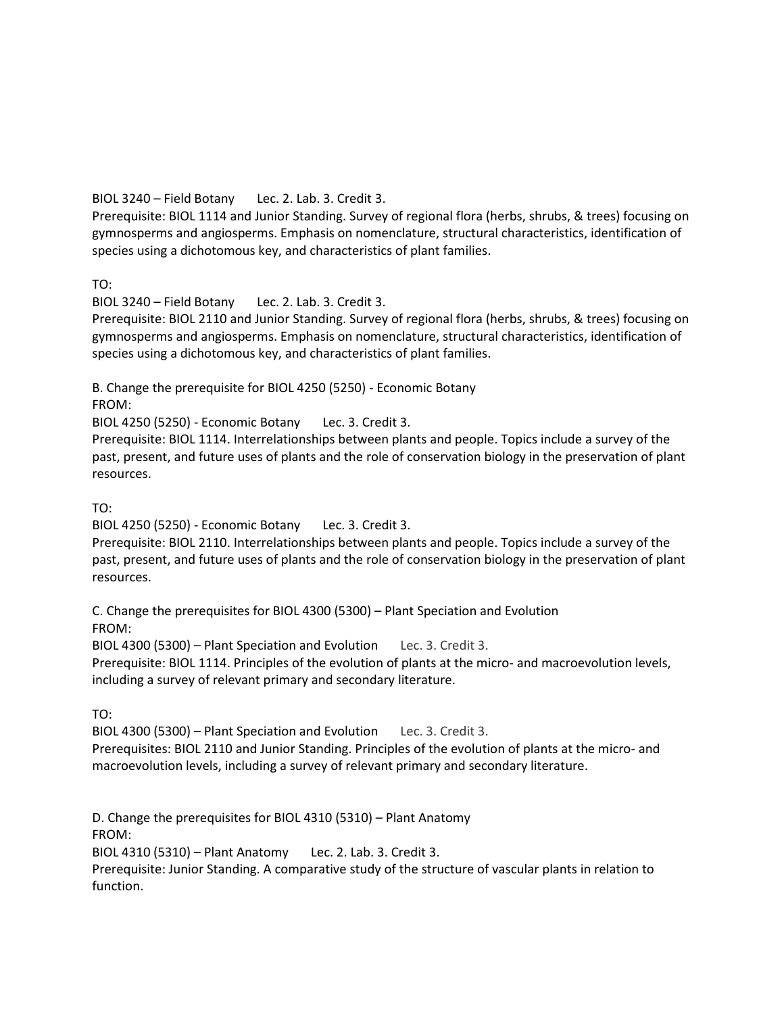# BIOL 3240 – Field Botany Lec. 2. Lab. 3. Credit 3.

Prerequisite: [BIOL 1114](http://catalog.tntech.edu/content.php?filter%5B27%5D=BIOL&filter%5B29%5D=&filter%5Bcourse_type%5D=-1&filter%5Bkeyword%5D=&filter%5B32%5D=1&filter%5Bcpage%5D=1&cur_cat_oid=16&expand=&navoid=3028&search_database=Filter&filter%5Bexact_match%5D=1%23tt4556) and Junior Standing. Survey of regional flora (herbs, shrubs, & trees) focusing on gymnosperms and angiosperms. Emphasis on nomenclature, structural characteristics, identification of species using a dichotomous key, and characteristics of plant families.

TO:

BIOL 3240 – Field Botany Lec. 2. Lab. 3. Credit 3.

Prerequisite: BIOL 2110 and Junior Standing. Survey of regional flora (herbs, shrubs, & trees) focusing on gymnosperms and angiosperms. Emphasis on nomenclature, structural characteristics, identification of species using a dichotomous key, and characteristics of plant families.

B. Change the prerequisite for BIOL 4250 (5250) - Economic Botany

FROM:

BIOL 4250 (5250) - Economic Botany Lec. 3. Credit 3.

Prerequisite: [BIOL 1114.](http://catalog.tntech.edu/content.php?filter%5B27%5D=BIOL&filter%5B29%5D=&filter%5Bcourse_type%5D=-1&filter%5Bkeyword%5D=&filter%5B32%5D=1&filter%5Bcpage%5D=1&cur_cat_oid=16&expand=&navoid=3028&search_database=Filter&filter%5Bexact_match%5D=1%23tt7631) Interrelationships between plants and people. Topics include a survey of the past, present, and future uses of plants and the role of conservation biology in the preservation of plant resources.

TO:

BIOL 4250 (5250) - Economic Botany Lec. 3. Credit 3.

Prerequisite: BIOL 2110. Interrelationships between plants and people. Topics include a survey of the past, present, and future uses of plants and the role of conservation biology in the preservation of plant resources.

C. Change the prerequisites for BIOL 4300 (5300) – Plant Speciation and Evolution FROM:

BIOL 4300 (5300) – Plant Speciation and Evolution Lec. 3. Credit 3.

Prerequisite: [BIOL 1114.](http://catalog.tntech.edu/content.php?filter%5B27%5D=BIOL&filter%5B29%5D=&filter%5Bcourse_type%5D=-1&filter%5Bkeyword%5D=&filter%5B32%5D=1&filter%5Bcpage%5D=1&cur_cat_oid=16&expand=&navoid=3028&search_database=Filter&filter%5Bexact_match%5D=1%23tt8508) Principles of the evolution of plants at the micro- and macroevolution levels, including a survey of relevant primary and secondary literature.

TO:

BIOL 4300 (5300) – Plant Speciation and Evolution Lec. 3. Credit 3. Prerequisites: BIOL 2110 and Junior Standing. Principles of the evolution of plants at the micro- and macroevolution levels, including a survey of relevant primary and secondary literature.

D. Change the prerequisites for BIOL 4310 (5310) – Plant Anatomy FROM:

BIOL 4310 (5310) – Plant Anatomy Lec. 2. Lab. 3. Credit 3.

Prerequisite: Junior Standing. A comparative study of the structure of vascular plants in relation to function.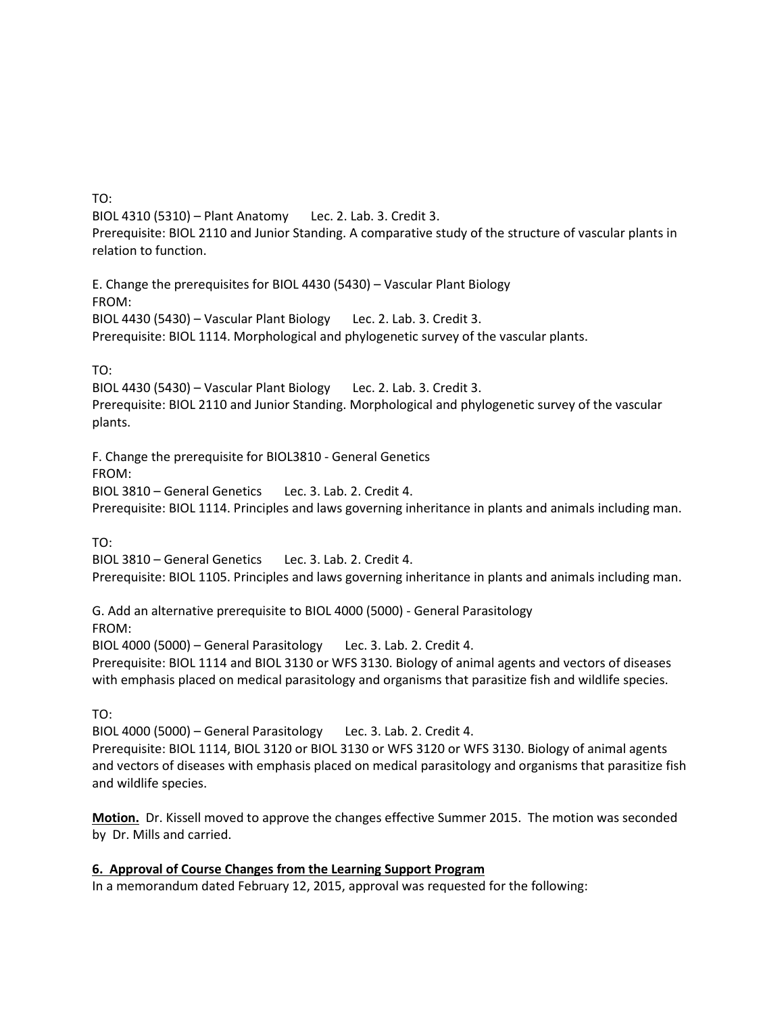TO: BIOL 4310 (5310) – Plant Anatomy Lec. 2. Lab. 3. Credit 3. Prerequisite: BIOL 2110 and Junior Standing. A comparative study of the structure of vascular plants in relation to function.

E. Change the prerequisites for BIOL 4430 (5430) – Vascular Plant Biology FROM: BIOL 4430 (5430) – Vascular Plant Biology Lec. 2. Lab. 3. Credit 3. Prerequisite: [BIOL 1114.](http://catalog.tntech.edu/content.php?filter%5B27%5D=BIOL&filter%5B29%5D=&filter%5Bcourse_type%5D=-1&filter%5Bkeyword%5D=&filter%5B32%5D=1&filter%5Bcpage%5D=1&cur_cat_oid=16&expand=&navoid=3028&search_database=Filter&filter%5Bexact_match%5D=1%23tt7756) Morphological and phylogenetic survey of the vascular plants.

TO:

BIOL 4430 (5430) – Vascular Plant Biology Lec. 2. Lab. 3. Credit 3. Prerequisite: BIOL 2110 and Junior Standing. Morphological and phylogenetic survey of the vascular plants.

F. Change the prerequisite for BIOL3810 - General Genetics FROM: BIOL 3810 – General Genetics Lec. 3. Lab. 2. Credit 4. Prerequisite: [BIOL 1114.](http://catalog.tntech.edu/content.php?filter%5B27%5D=BIOL&filter%5B29%5D=&filter%5Bcourse_type%5D=-1&filter%5Bkeyword%5D=&filter%5B32%5D=1&filter%5Bcpage%5D=1&cur_cat_oid=16&expand=&navoid=3028&search_database=Filter&filter%5Bexact_match%5D=1%23tt7507) Principles and laws governing inheritance in plants and animals including man.

TO:

BIOL 3810 – General Genetics Lec. 3. Lab. 2. Credit 4. Prerequisite: BIOL 1105. Principles and laws governing inheritance in plants and animals including man.

G. Add an alternative prerequisite to BIOL 4000 (5000) - General Parasitology FROM: BIOL 4000 (5000) – General Parasitology Lec. 3. Lab. 2. Credit 4. Prerequisite: [BIOL 1114](http://catalog.tntech.edu/content.php?filter%5B27%5D=BIOL&filter%5B29%5D=&filter%5Bcourse_type%5D=-1&filter%5Bkeyword%5D=&filter%5B32%5D=1&filter%5Bcpage%5D=1&cur_cat_oid=16&expand=&navoid=3028&search_database=Filter&filter%5Bexact_match%5D=1%23tt3364) and [BIOL 3130](http://catalog.tntech.edu/content.php?filter%5B27%5D=BIOL&filter%5B29%5D=&filter%5Bcourse_type%5D=-1&filter%5Bkeyword%5D=&filter%5B32%5D=1&filter%5Bcpage%5D=1&cur_cat_oid=16&expand=&navoid=3028&search_database=Filter&filter%5Bexact_match%5D=1%23tt3075) or [WFS 3130.](http://catalog.tntech.edu/content.php?filter%5B27%5D=BIOL&filter%5B29%5D=&filter%5Bcourse_type%5D=-1&filter%5Bkeyword%5D=&filter%5B32%5D=1&filter%5Bcpage%5D=1&cur_cat_oid=16&expand=&navoid=3028&search_database=Filter&filter%5Bexact_match%5D=1%23tt8078) Biology of animal agents and vectors of diseases with emphasis placed on medical parasitology and organisms that parasitize fish and wildlife species.

TO:

BIOL 4000 (5000) – General Parasitology Lec. 3. Lab. 2. Credit 4. Prerequisite: [BIOL 1114,](http://catalog.tntech.edu/content.php?filter%5B27%5D=BIOL&filter%5B29%5D=&filter%5Bcourse_type%5D=-1&filter%5Bkeyword%5D=&filter%5B32%5D=1&filter%5Bcpage%5D=1&cur_cat_oid=16&expand=&navoid=3028&search_database=Filter&filter%5Bexact_match%5D=1%23tt3364) BIOL 3120 o[r BIOL 3130](http://catalog.tntech.edu/content.php?filter%5B27%5D=BIOL&filter%5B29%5D=&filter%5Bcourse_type%5D=-1&filter%5Bkeyword%5D=&filter%5B32%5D=1&filter%5Bcpage%5D=1&cur_cat_oid=16&expand=&navoid=3028&search_database=Filter&filter%5Bexact_match%5D=1%23tt3075) or WFS 3120 or [WFS 3130.](http://catalog.tntech.edu/content.php?filter%5B27%5D=BIOL&filter%5B29%5D=&filter%5Bcourse_type%5D=-1&filter%5Bkeyword%5D=&filter%5B32%5D=1&filter%5Bcpage%5D=1&cur_cat_oid=16&expand=&navoid=3028&search_database=Filter&filter%5Bexact_match%5D=1%23tt8078) Biology of animal agents and vectors of diseases with emphasis placed on medical parasitology and organisms that parasitize fish and wildlife species.

**Motion.** Dr. Kissell moved to approve the changes effective Summer 2015. The motion was seconded by Dr. Mills and carried.

**6. Approval of Course Changes from the Learning Support Program** In a memorandum dated February 12, 2015, approval was requested for the following: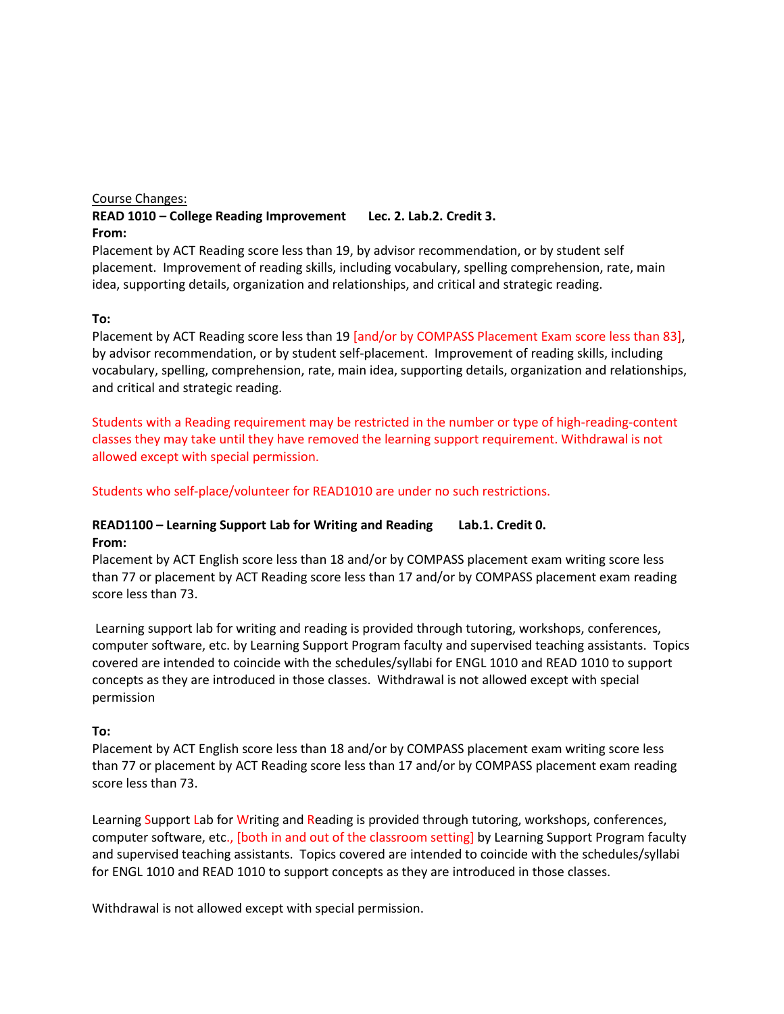#### Course Changes:

# **READ 1010 – College Reading Improvement Lec. 2. Lab.2. Credit 3. From:**

Placement by ACT Reading score less than 19, by advisor recommendation, or by student self placement. Improvement of reading skills, including vocabulary, spelling comprehension, rate, main idea, supporting details, organization and relationships, and critical and strategic reading.

#### **To:**

Placement by ACT Reading score less than 19 [and/or by COMPASS Placement Exam score less than 83], by advisor recommendation, or by student self-placement. Improvement of reading skills, including vocabulary, spelling, comprehension, rate, main idea, supporting details, organization and relationships, and critical and strategic reading.

Students with a Reading requirement may be restricted in the number or type of high-reading-content classes they may take until they have removed the learning support requirement. Withdrawal is not allowed except with special permission.

Students who self-place/volunteer for READ1010 are under no such restrictions.

# **READ1100 – Learning Support Lab for Writing and Reading Lab.1. Credit 0. From:**

Placement by ACT English score less than 18 and/or by COMPASS placement exam writing score less than 77 or placement by ACT Reading score less than 17 and/or by COMPASS placement exam reading score less than 73.

Learning support lab for writing and reading is provided through tutoring, workshops, conferences, computer software, etc. by Learning Support Program faculty and supervised teaching assistants. Topics covered are intended to coincide with the schedules/syllabi for ENGL 1010 and READ 1010 to support concepts as they are introduced in those classes. Withdrawal is not allowed except with special permission

#### **To:**

Placement by ACT English score less than 18 and/or by COMPASS placement exam writing score less than 77 or placement by ACT Reading score less than 17 and/or by COMPASS placement exam reading score less than 73.

Learning Support Lab for Writing and Reading is provided through tutoring, workshops, conferences, computer software, etc., [both in and out of the classroom setting] by Learning Support Program faculty and supervised teaching assistants. Topics covered are intended to coincide with the schedules/syllabi for ENGL 1010 and READ 1010 to support concepts as they are introduced in those classes.

Withdrawal is not allowed except with special permission.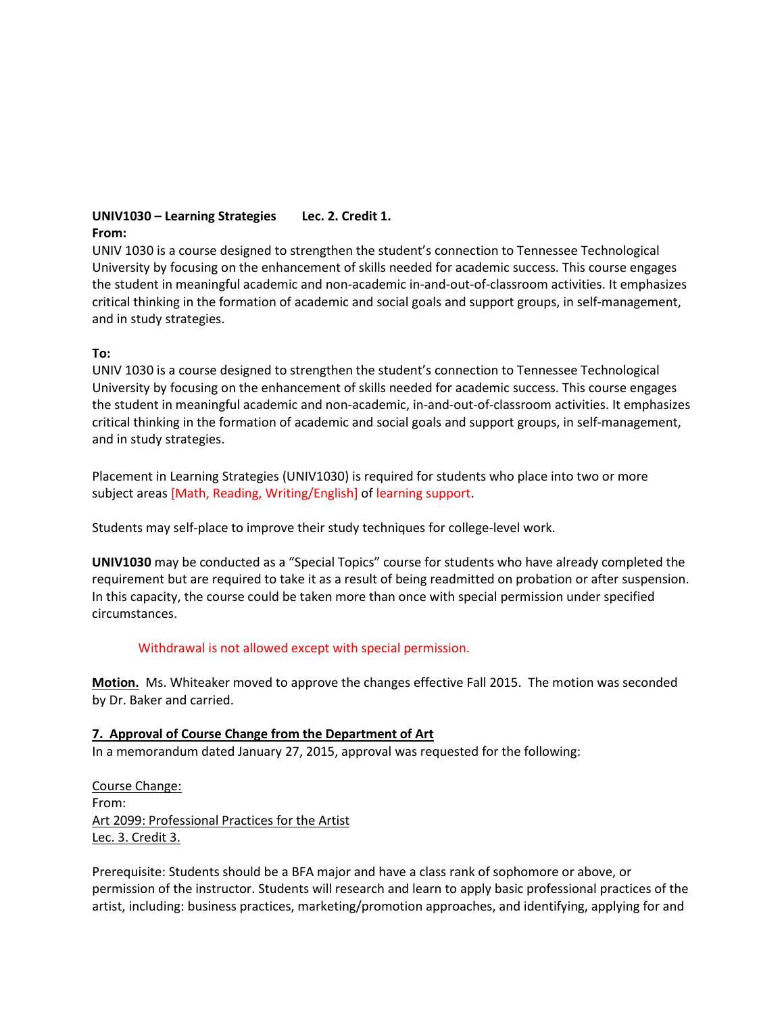#### **UNIV1030 – Learning Strategies Lec. 2. Credit 1. From:**

UNIV 1030 is a course designed to strengthen the student's connection to Tennessee Technological University by focusing on the enhancement of skills needed for academic success. This course engages the student in meaningful academic and non-academic in-and-out-of-classroom activities. It emphasizes critical thinking in the formation of academic and social goals and support groups, in self-management, and in study strategies.

# **To:**

UNIV 1030 is a course designed to strengthen the student's connection to Tennessee Technological University by focusing on the enhancement of skills needed for academic success. This course engages the student in meaningful academic and non-academic, in-and-out-of-classroom activities. It emphasizes critical thinking in the formation of academic and social goals and support groups, in self-management, and in study strategies.

Placement in Learning Strategies (UNIV1030) is required for students who place into two or more subject areas [Math, Reading, Writing/English] of learning support.

Students may self-place to improve their study techniques for college-level work.

**UNIV1030** may be conducted as a "Special Topics" course for students who have already completed the requirement but are required to take it as a result of being readmitted on probation or after suspension. In this capacity, the course could be taken more than once with special permission under specified circumstances.

# Withdrawal is not allowed except with special permission.

**Motion.** Ms. Whiteaker moved to approve the changes effective Fall 2015. The motion was seconded by Dr. Baker and carried.

#### **7. Approval of Course Change from the Department of Art**

In a memorandum dated January 27, 2015, approval was requested for the following:

Course Change: From: Art 2099: Professional Practices for the Artist Lec. 3. Credit 3.

Prerequisite: Students should be a BFA major and have a class rank of sophomore or above, or permission of the instructor. Students will research and learn to apply basic professional practices of the artist, including: business practices, marketing/promotion approaches, and identifying, applying for and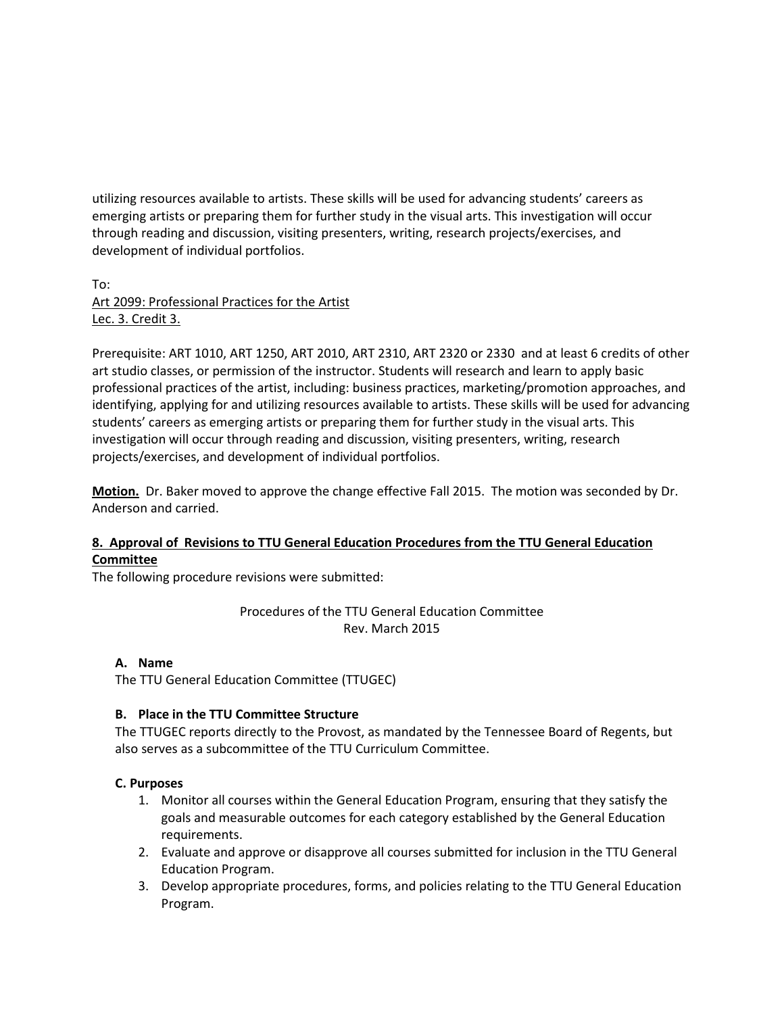utilizing resources available to artists. These skills will be used for advancing students' careers as emerging artists or preparing them for further study in the visual arts. This investigation will occur through reading and discussion, visiting presenters, writing, research projects/exercises, and development of individual portfolios.

To: Art 2099: Professional Practices for the Artist Lec. 3. Credit 3.

Prerequisite: ART 1010, ART 1250, ART 2010, ART 2310, ART 2320 or 2330 and at least 6 credits of other art studio classes, or permission of the instructor. Students will research and learn to apply basic professional practices of the artist, including: business practices, marketing/promotion approaches, and identifying, applying for and utilizing resources available to artists. These skills will be used for advancing students' careers as emerging artists or preparing them for further study in the visual arts. This investigation will occur through reading and discussion, visiting presenters, writing, research projects/exercises, and development of individual portfolios.

**Motion.** Dr. Baker moved to approve the change effective Fall 2015. The motion was seconded by Dr. Anderson and carried.

# **8. Approval of Revisions to TTU General Education Procedures from the TTU General Education Committee**

The following procedure revisions were submitted:

Procedures of the TTU General Education Committee Rev. March 2015

# **A. Name**

The TTU General Education Committee (TTUGEC)

# **B. Place in the TTU Committee Structure**

The TTUGEC reports directly to the Provost, as mandated by the Tennessee Board of Regents, but also serves as a subcommittee of the TTU Curriculum Committee.

# **C. Purposes**

- 1. Monitor all courses within the General Education Program, ensuring that they satisfy the goals and measurable outcomes for each category established by the General Education requirements.
- 2. Evaluate and approve or disapprove all courses submitted for inclusion in the TTU General Education Program.
- 3. Develop appropriate procedures, forms, and policies relating to the TTU General Education Program.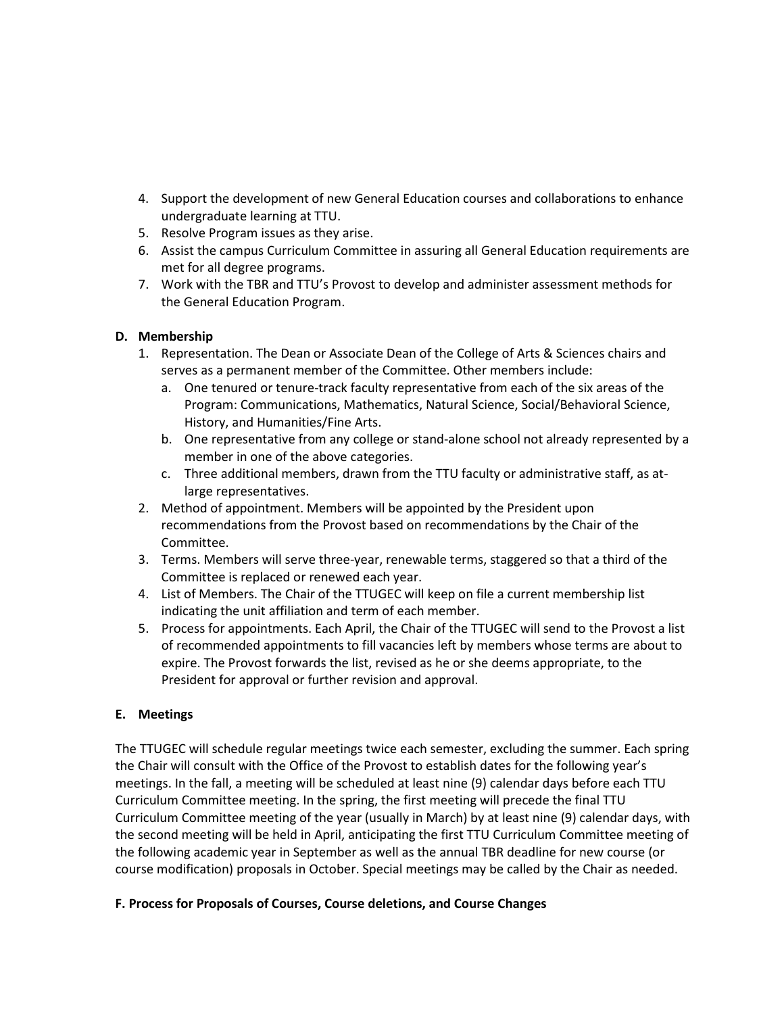- 4. Support the development of new General Education courses and collaborations to enhance undergraduate learning at TTU.
- 5. Resolve Program issues as they arise.
- 6. Assist the campus Curriculum Committee in assuring all General Education requirements are met for all degree programs.
- 7. Work with the TBR and TTU's Provost to develop and administer assessment methods for the General Education Program.

# **D. Membership**

- 1. Representation. The Dean or Associate Dean of the College of Arts & Sciences chairs and serves as a permanent member of the Committee. Other members include:
	- a. One tenured or tenure-track faculty representative from each of the six areas of the Program: Communications, Mathematics, Natural Science, Social/Behavioral Science, History, and Humanities/Fine Arts.
	- b. One representative from any college or stand-alone school not already represented by a member in one of the above categories.
	- c. Three additional members, drawn from the TTU faculty or administrative staff, as atlarge representatives.
- 2. Method of appointment. Members will be appointed by the President upon recommendations from the Provost based on recommendations by the Chair of the Committee.
- 3. Terms. Members will serve three-year, renewable terms, staggered so that a third of the Committee is replaced or renewed each year.
- 4. List of Members. The Chair of the TTUGEC will keep on file a current membership list indicating the unit affiliation and term of each member.
- 5. Process for appointments. Each April, the Chair of the TTUGEC will send to the Provost a list of recommended appointments to fill vacancies left by members whose terms are about to expire. The Provost forwards the list, revised as he or she deems appropriate, to the President for approval or further revision and approval.

# **E. Meetings**

The TTUGEC will schedule regular meetings twice each semester, excluding the summer. Each spring the Chair will consult with the Office of the Provost to establish dates for the following year's meetings. In the fall, a meeting will be scheduled at least nine (9) calendar days before each TTU Curriculum Committee meeting. In the spring, the first meeting will precede the final TTU Curriculum Committee meeting of the year (usually in March) by at least nine (9) calendar days, with the second meeting will be held in April, anticipating the first TTU Curriculum Committee meeting of the following academic year in September as well as the annual TBR deadline for new course (or course modification) proposals in October. Special meetings may be called by the Chair as needed.

#### **F. Process for Proposals of Courses, Course deletions, and Course Changes**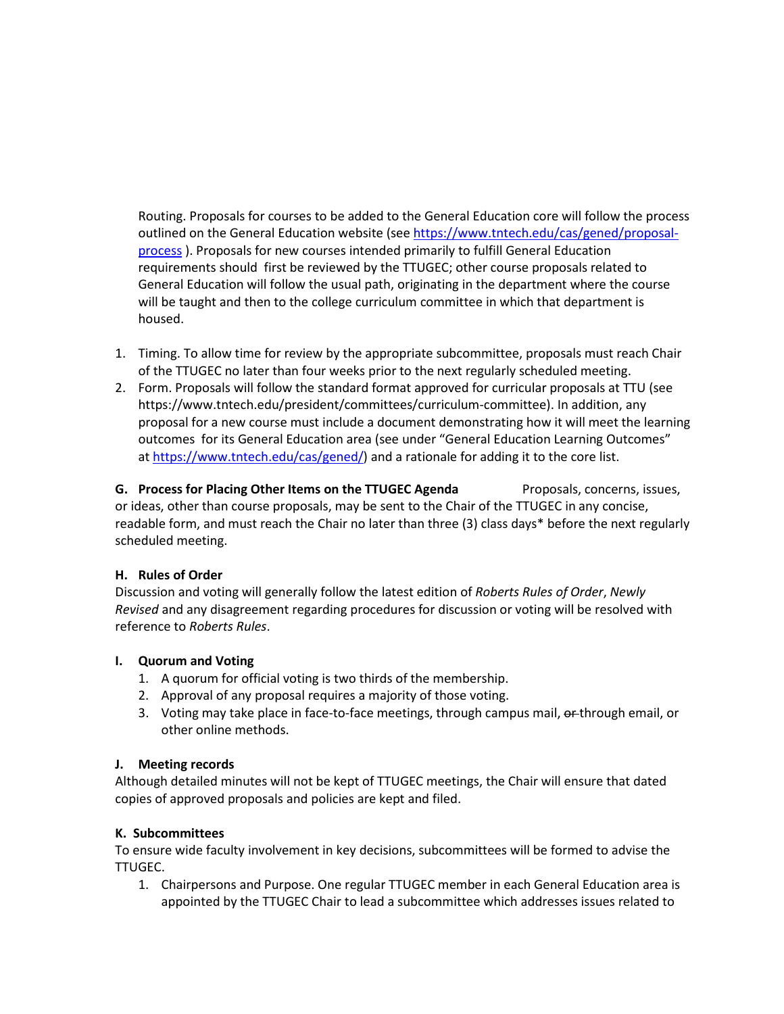Routing. Proposals for courses to be added to the General Education core will follow the process outlined on the General Education website (see [https://www.tntech.edu/cas/gened/proposal](https://www.tntech.edu/cas/gened/proposal-process)[process](https://www.tntech.edu/cas/gened/proposal-process) ). Proposals for new courses intended primarily to fulfill General Education requirements should first be reviewed by the TTUGEC; other course proposals related to General Education will follow the usual path, originating in the department where the course will be taught and then to the college curriculum committee in which that department is housed.

- 1. Timing. To allow time for review by the appropriate subcommittee, proposals must reach Chair of the TTUGEC no later than four weeks prior to the next regularly scheduled meeting.
- 2. Form. Proposals will follow the standard format approved for curricular proposals at TTU (see https://www.tntech.edu/president/committees/curriculum-committee). In addition, any proposal for a new course must include a document demonstrating how it will meet the learning outcomes for its General Education area (see under "General Education Learning Outcomes" at [https://www.tntech.edu/cas/gened/\)](https://www.tntech.edu/cas/gened/) and a rationale for adding it to the core list.

**G.** Process for Placing Other Items on the TTUGEC Agenda Proposals, concerns, issues, or ideas, other than course proposals, may be sent to the Chair of the TTUGEC in any concise, readable form, and must reach the Chair no later than three (3) class days\* before the next regularly scheduled meeting.

#### **H. Rules of Order**

Discussion and voting will generally follow the latest edition of *Roberts Rules of Order*, *Newly Revised* and any disagreement regarding procedures for discussion or voting will be resolved with reference to *Roberts Rules*.

#### **I. Quorum and Voting**

- 1. A quorum for official voting is two thirds of the membership.
- 2. Approval of any proposal requires a majority of those voting.
- 3. Voting may take place in face-to-face meetings, through campus mail, on through email, or other online methods.

#### **J. Meeting records**

Although detailed minutes will not be kept of TTUGEC meetings, the Chair will ensure that dated copies of approved proposals and policies are kept and filed.

#### **K. Subcommittees**

To ensure wide faculty involvement in key decisions, subcommittees will be formed to advise the TTUGEC.

1. Chairpersons and Purpose. One regular TTUGEC member in each General Education area is appointed by the TTUGEC Chair to lead a subcommittee which addresses issues related to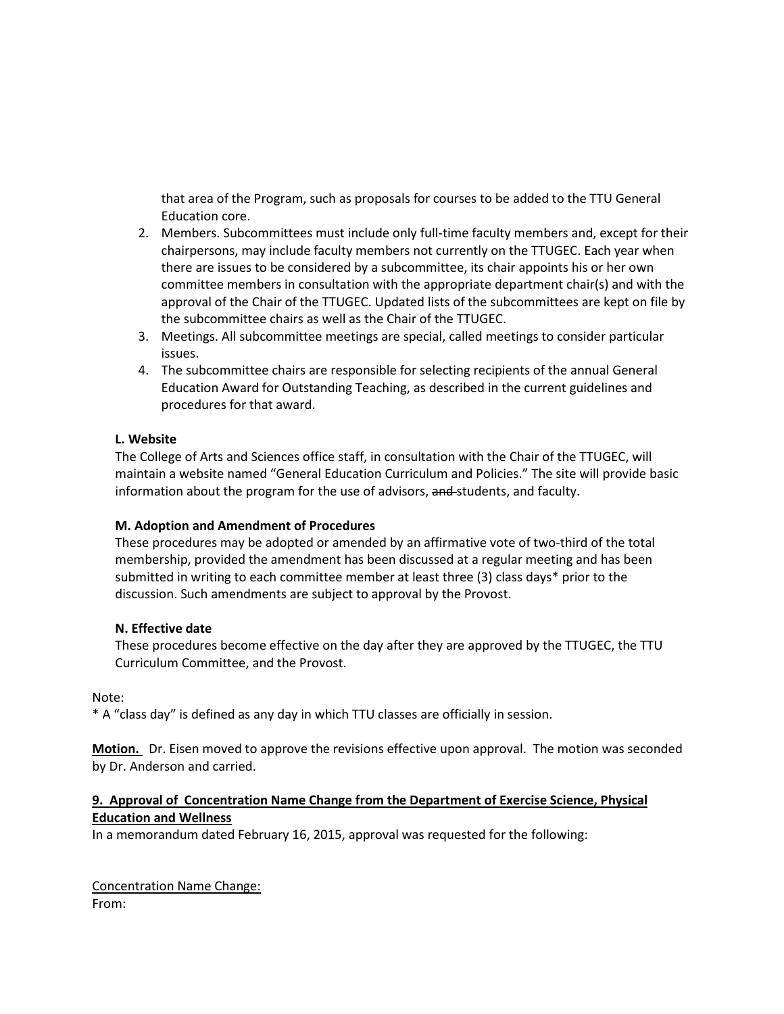that area of the Program, such as proposals for courses to be added to the TTU General Education core.

- 2. Members. Subcommittees must include only full-time faculty members and, except for their chairpersons, may include faculty members not currently on the TTUGEC. Each year when there are issues to be considered by a subcommittee, its chair appoints his or her own committee members in consultation with the appropriate department chair(s) and with the approval of the Chair of the TTUGEC. Updated lists of the subcommittees are kept on file by the subcommittee chairs as well as the Chair of the TTUGEC.
- 3. Meetings. All subcommittee meetings are special, called meetings to consider particular issues.
- 4. The subcommittee chairs are responsible for selecting recipients of the annual General Education Award for Outstanding Teaching, as described in the current guidelines and procedures for that award.

#### **L. Website**

The College of Arts and Sciences office staff, in consultation with the Chair of the TTUGEC, will maintain a website named "General Education Curriculum and Policies." The site will provide basic information about the program for the use of advisors, and students, and faculty.

#### **M. Adoption and Amendment of Procedures**

These procedures may be adopted or amended by an affirmative vote of two-third of the total membership, provided the amendment has been discussed at a regular meeting and has been submitted in writing to each committee member at least three (3) class days\* prior to the discussion. Such amendments are subject to approval by the Provost.

#### **N. Effective date**

These procedures become effective on the day after they are approved by the TTUGEC, the TTU Curriculum Committee, and the Provost.

Note:

\* A "class day" is defined as any day in which TTU classes are officially in session.

**Motion.** Dr. Eisen moved to approve the revisions effective upon approval. The motion was seconded by Dr. Anderson and carried.

# **9. Approval of Concentration Name Change from the Department of Exercise Science, Physical Education and Wellness**

In a memorandum dated February 16, 2015, approval was requested for the following:

Concentration Name Change: From: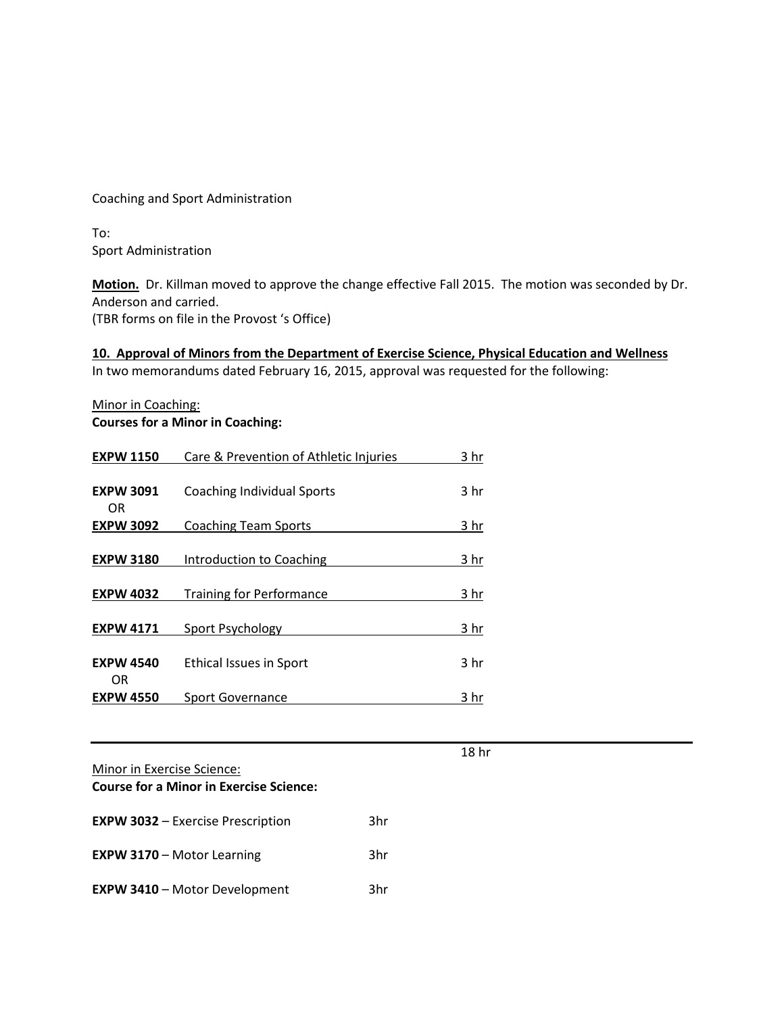Coaching and Sport Administration

To: Sport Administration

**Motion.** Dr. Killman moved to approve the change effective Fall 2015. The motion was seconded by Dr. Anderson and carried.

(TBR forms on file in the Provost 's Office)

**10. Approval of Minors from the Department of Exercise Science, Physical Education and Wellness** In two memorandums dated February 16, 2015, approval was requested for the following:

Minor in Coaching: **Courses for a Minor in Coaching:**

| <b>EXPW 1150</b>       | Care & Prevention of Athletic Injuries | 3 hr            |
|------------------------|----------------------------------------|-----------------|
| <b>EXPW 3091</b><br>OR | <b>Coaching Individual Sports</b>      | 3 <sub>hr</sub> |
| <b>EXPW 3092</b>       | <b>Coaching Team Sports</b>            | 3 hr            |
| <b>EXPW 3180</b>       | Introduction to Coaching               | 3 hr            |
| <b>EXPW 4032</b>       | <b>Training for Performance</b>        | 3 hr            |
| <b>EXPW 4171</b>       | Sport Psychology                       | 3 hr            |
| <b>EXPW 4540</b><br>ΟR | <b>Ethical Issues in Sport</b>         | 3 <sub>hr</sub> |
| <b>EXPW 4550</b>       | <b>Sport Governance</b>                | 3 hr            |

Minor in Exercise Science:

**Course for a Minor in Exercise Science:**

| <b>EXPW 3032 - Exercise Prescription</b> | 3hr |
|------------------------------------------|-----|
| <b>EXPW 3170 - Motor Learning</b>        | 3hr |
| <b>EXPW 3410 - Motor Development</b>     | 3hr |

18 hr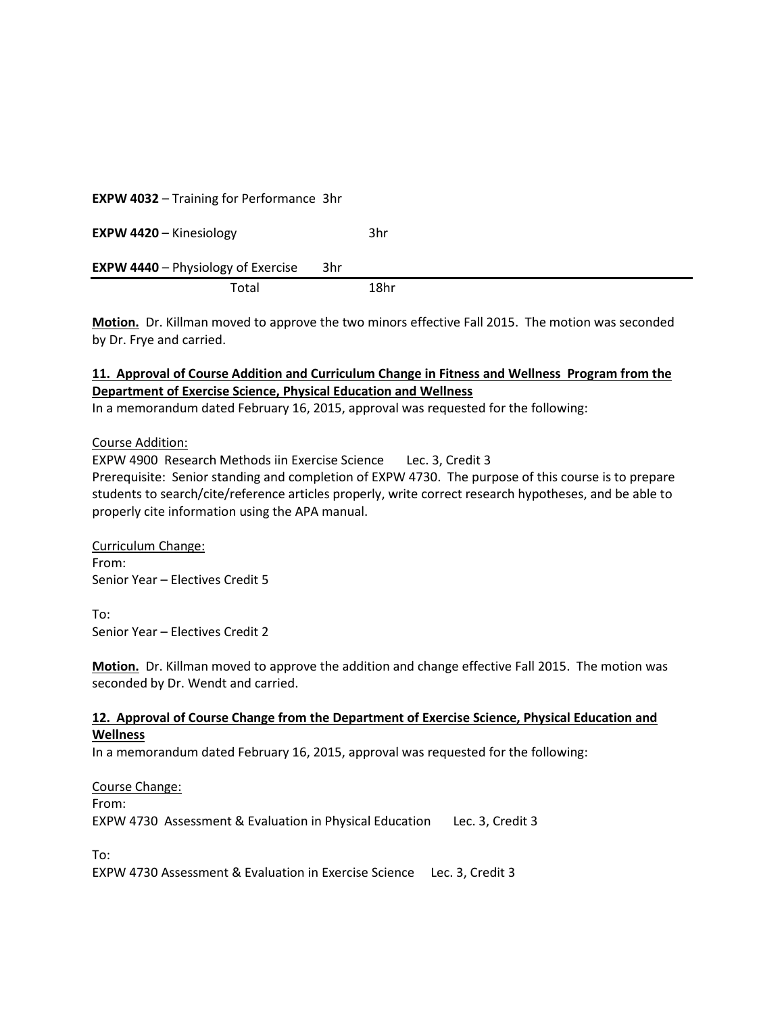| <b>EXPW 4032 - Training for Performance 3hr</b>  |      |
|--------------------------------------------------|------|
| <b>EXPW 4420 - Kinesiology</b>                   | 3hr  |
| <b>EXPW 4440</b> – Physiology of Exercise<br>3hr |      |
| Total                                            | 18hr |

**Motion.** Dr. Killman moved to approve the two minors effective Fall 2015. The motion was seconded by Dr. Frye and carried.

# **11. Approval of Course Addition and Curriculum Change in Fitness and Wellness Program from the Department of Exercise Science, Physical Education and Wellness**

In a memorandum dated February 16, 2015, approval was requested for the following:

Course Addition:

EXPW 4900 Research Methods iin Exercise Science Lec. 3, Credit 3 Prerequisite: Senior standing and completion of EXPW 4730. The purpose of this course is to prepare students to search/cite/reference articles properly, write correct research hypotheses, and be able to properly cite information using the APA manual.

Curriculum Change: From: Senior Year – Electives Credit 5

To: Senior Year – Electives Credit 2

**Motion.** Dr. Killman moved to approve the addition and change effective Fall 2015. The motion was seconded by Dr. Wendt and carried.

#### **12. Approval of Course Change from the Department of Exercise Science, Physical Education and Wellness**

In a memorandum dated February 16, 2015, approval was requested for the following:

Course Change: From: EXPW 4730 Assessment & Evaluation in Physical Education Lec. 3, Credit 3

To:

EXPW 4730 Assessment & Evaluation in Exercise Science Lec. 3, Credit 3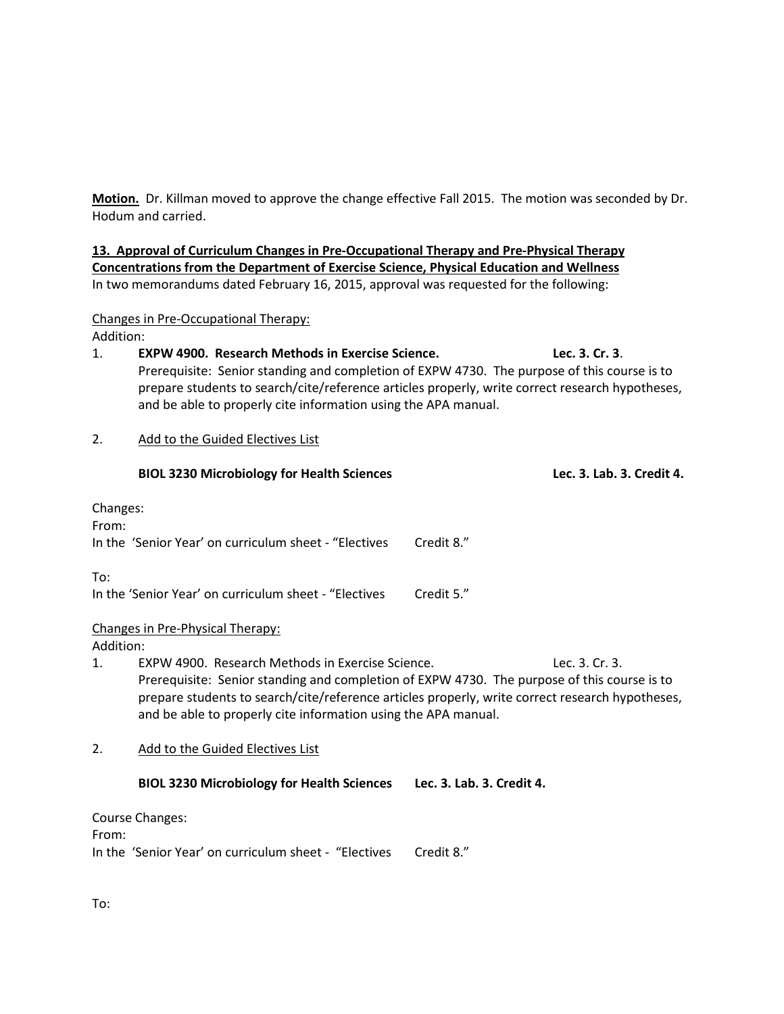**Motion.** Dr. Killman moved to approve the change effective Fall 2015. The motion was seconded by Dr. Hodum and carried.

**13. Approval of Curriculum Changes in Pre-Occupational Therapy and Pre-Physical Therapy Concentrations from the Department of Exercise Science, Physical Education and Wellness** In two memorandums dated February 16, 2015, approval was requested for the following:

Changes in Pre-Occupational Therapy:

Addition:

1. **EXPW 4900. Research Methods in Exercise Science. Lec. 3. Cr. 3**. Prerequisite: Senior standing and completion of EXPW 4730. The purpose of this course is to prepare students to search/cite/reference articles properly, write correct research hypotheses, and be able to properly cite information using the APA manual.

#### 2. Add to the Guided Electives List

|                   | <b>BIOL 3230 Microbiology for Health Sciences</b>                                                                                                                                                                                                                                                                    |                           | Lec. 3. Lab. 3. Credit 4. |
|-------------------|----------------------------------------------------------------------------------------------------------------------------------------------------------------------------------------------------------------------------------------------------------------------------------------------------------------------|---------------------------|---------------------------|
| Changes:<br>From: | In the 'Senior Year' on curriculum sheet - "Electives"                                                                                                                                                                                                                                                               | Credit 8."                |                           |
| To:               | In the 'Senior Year' on curriculum sheet - "Electives                                                                                                                                                                                                                                                                | Credit 5."                |                           |
|                   | Changes in Pre-Physical Therapy:                                                                                                                                                                                                                                                                                     |                           |                           |
| Addition:         |                                                                                                                                                                                                                                                                                                                      |                           |                           |
| $\mathbf{1}$ .    | EXPW 4900. Research Methods in Exercise Science.<br>Prerequisite: Senior standing and completion of EXPW 4730. The purpose of this course is to<br>prepare students to search/cite/reference articles properly, write correct research hypotheses,<br>and be able to properly cite information using the APA manual. |                           | Lec. 3. Cr. 3.            |
| 2.                | Add to the Guided Electives List                                                                                                                                                                                                                                                                                     |                           |                           |
|                   | <b>BIOL 3230 Microbiology for Health Sciences</b>                                                                                                                                                                                                                                                                    | Lec. 3. Lab. 3. Credit 4. |                           |
| From:             | <b>Course Changes:</b>                                                                                                                                                                                                                                                                                               |                           |                           |
|                   | In the 'Senior Year' on curriculum sheet - "Electives                                                                                                                                                                                                                                                                | Credit 8."                |                           |

To: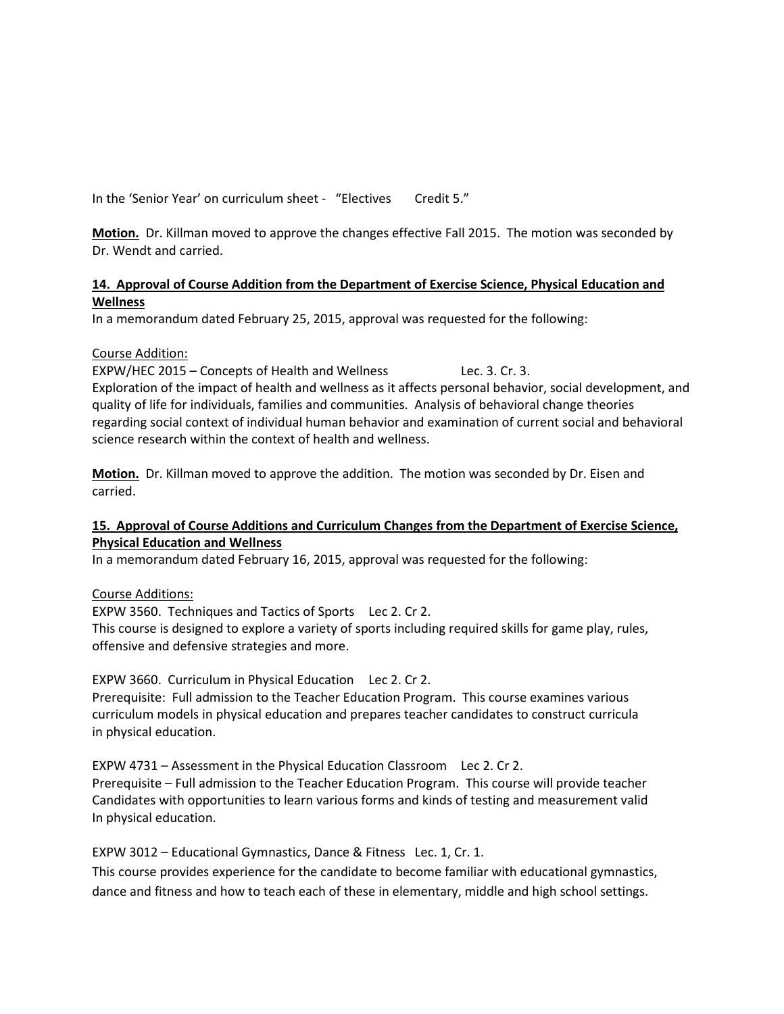In the 'Senior Year' on curriculum sheet - "Electives Credit 5."

**Motion.** Dr. Killman moved to approve the changes effective Fall 2015. The motion was seconded by Dr. Wendt and carried.

#### **14. Approval of Course Addition from the Department of Exercise Science, Physical Education and Wellness**

In a memorandum dated February 25, 2015, approval was requested for the following:

#### Course Addition:

EXPW/HEC 2015 – Concepts of Health and Wellness Lec. 3. Cr. 3. Exploration of the impact of health and wellness as it affects personal behavior, social development, and quality of life for individuals, families and communities. Analysis of behavioral change theories regarding social context of individual human behavior and examination of current social and behavioral science research within the context of health and wellness.

**Motion.** Dr. Killman moved to approve the addition. The motion was seconded by Dr. Eisen and carried.

# **15. Approval of Course Additions and Curriculum Changes from the Department of Exercise Science, Physical Education and Wellness**

In a memorandum dated February 16, 2015, approval was requested for the following:

Course Additions:

EXPW 3560. Techniques and Tactics of Sports Lec 2. Cr 2.

This course is designed to explore a variety of sports including required skills for game play, rules, offensive and defensive strategies and more.

EXPW 3660. Curriculum in Physical Education Lec 2. Cr 2.

Prerequisite: Full admission to the Teacher Education Program. This course examines various curriculum models in physical education and prepares teacher candidates to construct curricula in physical education.

EXPW 4731 – Assessment in the Physical Education Classroom Lec 2. Cr 2. Prerequisite – Full admission to the Teacher Education Program. This course will provide teacher Candidates with opportunities to learn various forms and kinds of testing and measurement valid In physical education.

EXPW 3012 – Educational Gymnastics, Dance & Fitness Lec. 1, Cr. 1.

This course provides experience for the candidate to become familiar with educational gymnastics, dance and fitness and how to teach each of these in elementary, middle and high school settings.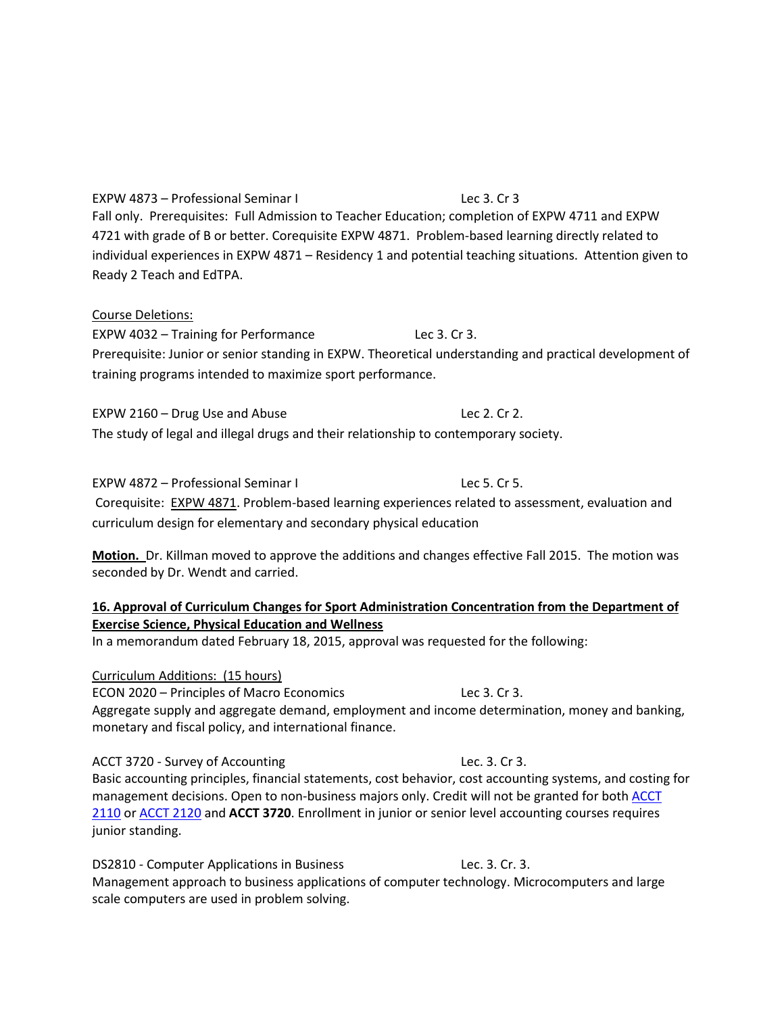EXPW 4873 – Professional Seminar I Lec 3. Cr 3 Fall only. Prerequisites: Full Admission to Teacher Education; completion of EXPW 4711 and EXPW 4721 with grade of B or better. Corequisite EXPW 4871. Problem-based learning directly related to individual experiences in EXPW 4871 – Residency 1 and potential teaching situations. Attention given to Ready 2 Teach and EdTPA.

# Course Deletions:

EXPW 4032 – Training for Performance Lec 3. Cr 3. Prerequisite: Junior or senior standing in EXPW. Theoretical understanding and practical development of training programs intended to maximize sport performance.

EXPW 2160 – Drug Use and Abuse Lec 2. Cr 2. The study of legal and illegal drugs and their relationship to contemporary society.

EXPW 4872 – Professional Seminar I Lec 5. Cr 5. Corequisite: [EXPW 4871.](http://catalog.tntech.edu/preview_program.php?catoid=16&poid=1745&returnto=2929%23tt9758) Problem-based learning experiences related to assessment, evaluation and curriculum design for elementary and secondary physical education

**Motion.** Dr. Killman moved to approve the additions and changes effective Fall 2015. The motion was seconded by Dr. Wendt and carried.

# **16. Approval of Curriculum Changes for Sport Administration Concentration from the Department of Exercise Science, Physical Education and Wellness**

In a memorandum dated February 18, 2015, approval was requested for the following:

Curriculum Additions: (15 hours) ECON 2020 – Principles of Macro Economics Lec 3. Cr 3. Aggregate supply and aggregate demand, employment and income determination, money and banking, monetary and fiscal policy, and international finance.

ACCT 3720 - Survey of Accounting Lec. 3. Cr 3. Basic accounting principles, financial statements, cost behavior, cost accounting systems, and costing for management decisions. Open to non-business majors only. Credit will not be granted for both ACCT [2110](http://catalog.tntech.edu/search_advanced.php?cur_cat_oid=16&search_database=Search&search_db=Search&cpage=1&ecpage=1&ppage=1&spage=1&tpage=1&location=33&filter%5Bkeyword%5D=ACCT+3720&filter%5Bexact_match%5D=1%23tt9662) or [ACCT 2120](http://catalog.tntech.edu/search_advanced.php?cur_cat_oid=16&search_database=Search&search_db=Search&cpage=1&ecpage=1&ppage=1&spage=1&tpage=1&location=33&filter%5Bkeyword%5D=ACCT+3720&filter%5Bexact_match%5D=1%23tt7280) and **ACCT 3720**. Enrollment in junior or senior level accounting courses requires junior standing.

DS2810 - Computer Applications in Business Lec. 3. Cr. 3. Management approach to business applications of computer technology. Microcomputers and large scale computers are used in problem solving.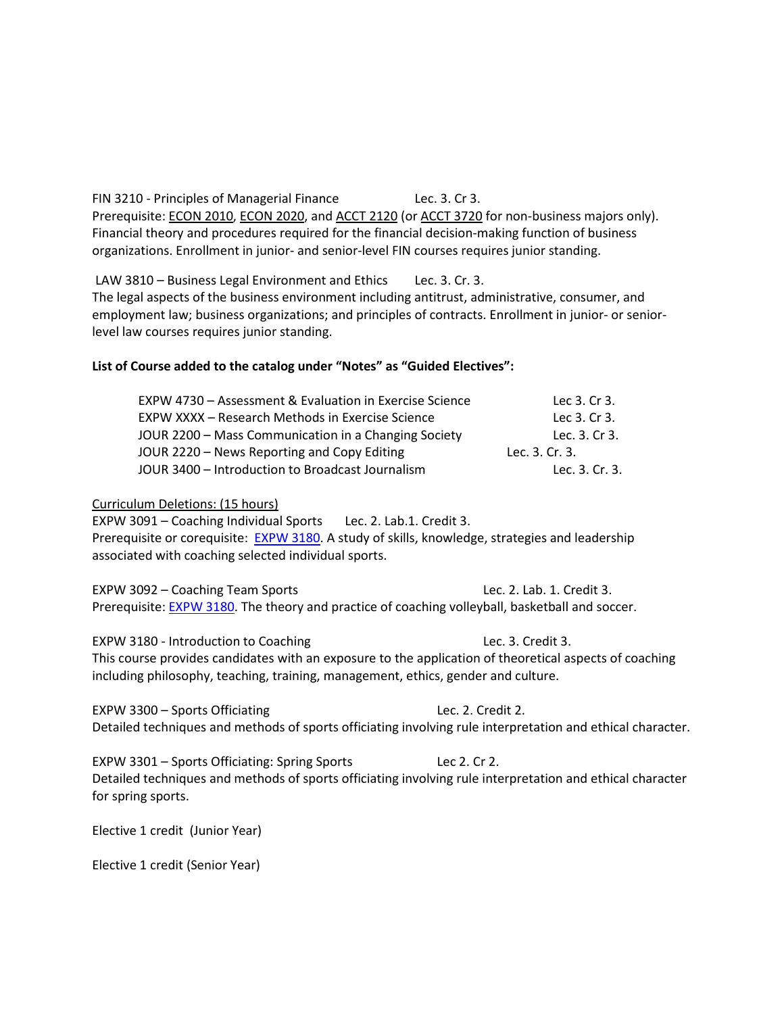FIN 3210 - Principles of Managerial Finance Lec. 3. Cr 3. Prerequisite: [ECON 2010,](http://catalog.tntech.edu/search_advanced.php?cur_cat_oid=16&search_database=Search&search_db=Search&cpage=1&ecpage=1&ppage=1&spage=1&tpage=1&location=33&filter%5Bkeyword%5D=FIN+3210&filter%5Bexact_match%5D=1%23tt5634) [ECON 2020,](http://catalog.tntech.edu/search_advanced.php?cur_cat_oid=16&search_database=Search&search_db=Search&cpage=1&ecpage=1&ppage=1&spage=1&tpage=1&location=33&filter%5Bkeyword%5D=FIN+3210&filter%5Bexact_match%5D=1%23tt8256) and [ACCT 2120](http://catalog.tntech.edu/search_advanced.php?cur_cat_oid=16&search_database=Search&search_db=Search&cpage=1&ecpage=1&ppage=1&spage=1&tpage=1&location=33&filter%5Bkeyword%5D=FIN+3210&filter%5Bexact_match%5D=1%23tt5097) (o[r ACCT 3720](http://catalog.tntech.edu/search_advanced.php?cur_cat_oid=16&search_database=Search&search_db=Search&cpage=1&ecpage=1&ppage=1&spage=1&tpage=1&location=33&filter%5Bkeyword%5D=FIN+3210&filter%5Bexact_match%5D=1%23tt2951) for non-business majors only). Financial theory and procedures required for the financial decision-making function of business organizations. Enrollment in junior- and senior-level FIN courses requires junior standing.

LAW 3810 – Business Legal Environment and Ethics Lec. 3. Cr. 3. The legal aspects of the business environment including antitrust, administrative, consumer, and employment law; business organizations; and principles of contracts. Enrollment in junior- or seniorlevel law courses requires junior standing.

#### **List of Course added to the catalog under "Notes" as "Guided Electives":**

| EXPW 4730 - Assessment & Evaluation in Exercise Science | Lec 3. Cr 3.   |
|---------------------------------------------------------|----------------|
| EXPW XXXX - Research Methods in Exercise Science        | Lec 3. Cr 3.   |
| JOUR 2200 – Mass Communication in a Changing Society    | Lec. 3. Cr 3.  |
| JOUR 2220 – News Reporting and Copy Editing             | Lec. 3. Cr. 3. |
| JOUR 3400 - Introduction to Broadcast Journalism        | Lec. 3. Cr. 3. |

#### Curriculum Deletions: (15 hours)

EXPW 3091 – Coaching Individual Sports Lec. 2. Lab.1. Credit 3. Prerequisite or corequisite: [EXPW 3180.](http://catalog.tntech.edu/preview_course_nopop.php?catoid=16&coid=49432) A study of skills, knowledge, strategies and leadership associated with coaching selected individual sports.

EXPW 3092 – Coaching Team Sports Lec. 2. Lab. 1. Credit 3. Prerequisite: [EXPW 3180.](http://catalog.tntech.edu/preview_course_nopop.php?catoid=16&coid=49432) The theory and practice of coaching volleyball, basketball and soccer.

EXPW 3180 - Introduction to Coaching Lec. 3. Credit 3. This course provides candidates with an exposure to the application of theoretical aspects of coaching including philosophy, teaching, training, management, ethics, gender and culture.

EXPW 3300 – Sports Officiating Lec. 2. Credit 2. Detailed techniques and methods of sports officiating involving rule interpretation and ethical character.

EXPW 3301 – Sports Officiating: Spring Sports Lec 2. Cr 2. Detailed techniques and methods of sports officiating involving rule interpretation and ethical character for spring sports.

Elective 1 credit (Junior Year)

Elective 1 credit (Senior Year)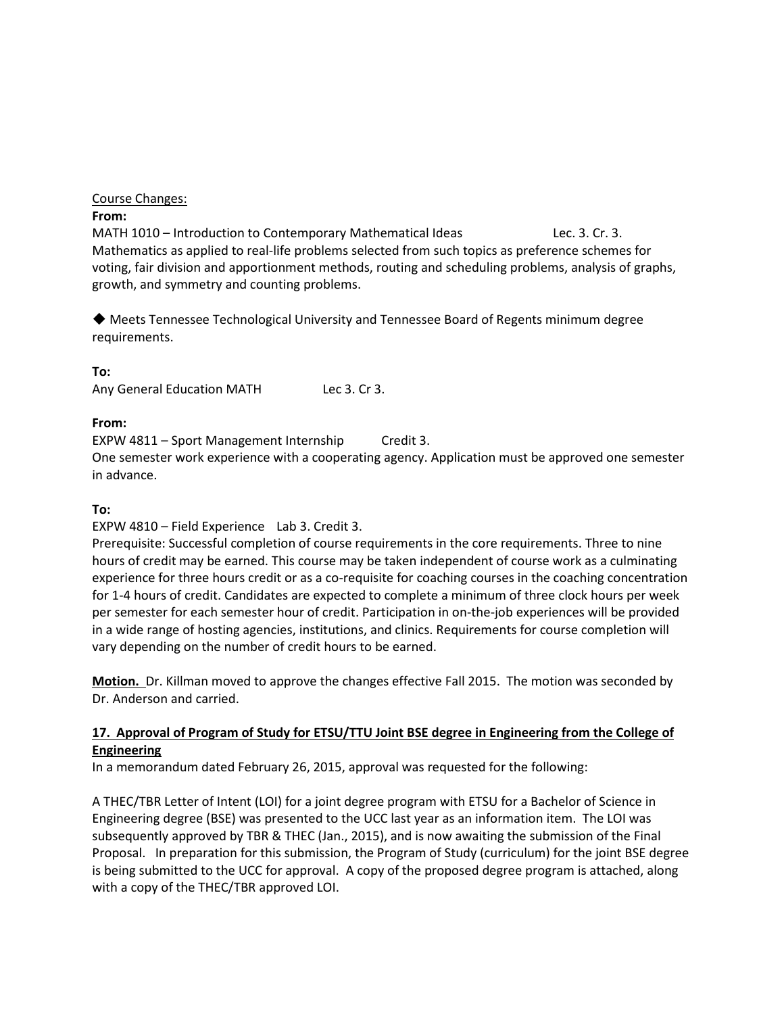# Course Changes:

# **From:**

MATH 1010 – Introduction to Contemporary Mathematical Ideas Lec. 3. Cr. 3. Mathematics as applied to real-life problems selected from such topics as preference schemes for voting, fair division and apportionment methods, routing and scheduling problems, analysis of graphs, growth, and symmetry and counting problems.

◆ Meets Tennessee Technological University and Tennessee Board of Regents minimum degree requirements.

# **To:**

Any General Education MATH Lec 3. Cr 3.

# **From:**

EXPW 4811 – Sport Management Internship Credit 3.

One semester work experience with a cooperating agency. Application must be approved one semester in advance.

# **To:**

# EXPW 4810 – Field Experience Lab 3. Credit 3.

Prerequisite: Successful completion of course requirements in the core requirements. Three to nine hours of credit may be earned. This course may be taken independent of course work as a culminating experience for three hours credit or as a co-requisite for coaching courses in the coaching concentration for 1-4 hours of credit. Candidates are expected to complete a minimum of three clock hours per week per semester for each semester hour of credit. Participation in on-the-job experiences will be provided in a wide range of hosting agencies, institutions, and clinics. Requirements for course completion will vary depending on the number of credit hours to be earned.

**Motion.** Dr. Killman moved to approve the changes effective Fall 2015. The motion was seconded by Dr. Anderson and carried.

# **17. Approval of Program of Study for ETSU/TTU Joint BSE degree in Engineering from the College of Engineering**

In a memorandum dated February 26, 2015, approval was requested for the following:

A THEC/TBR Letter of Intent (LOI) for a joint degree program with ETSU for a Bachelor of Science in Engineering degree (BSE) was presented to the UCC last year as an information item. The LOI was subsequently approved by TBR & THEC (Jan., 2015), and is now awaiting the submission of the Final Proposal. In preparation for this submission, the Program of Study (curriculum) for the joint BSE degree is being submitted to the UCC for approval. A copy of the proposed degree program is attached, along with a copy of the THEC/TBR approved LOI.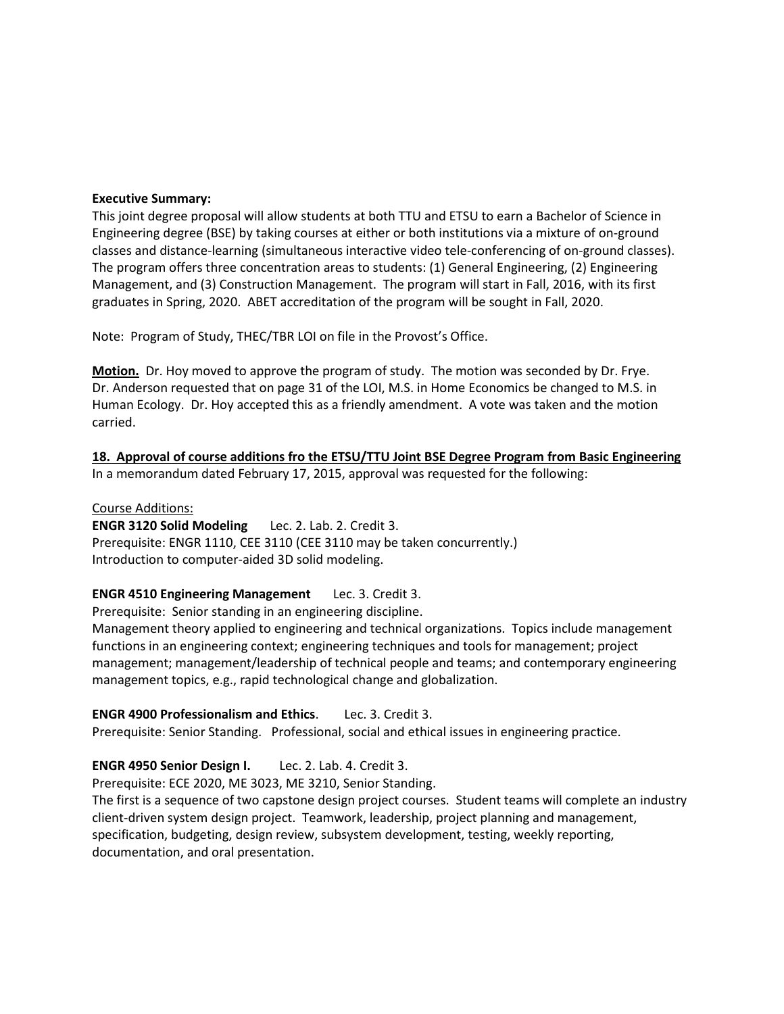#### **Executive Summary:**

This joint degree proposal will allow students at both TTU and ETSU to earn a Bachelor of Science in Engineering degree (BSE) by taking courses at either or both institutions via a mixture of on-ground classes and distance-learning (simultaneous interactive video tele-conferencing of on-ground classes). The program offers three concentration areas to students: (1) General Engineering, (2) Engineering Management, and (3) Construction Management. The program will start in Fall, 2016, with its first graduates in Spring, 2020. ABET accreditation of the program will be sought in Fall, 2020.

Note: Program of Study, THEC/TBR LOI on file in the Provost's Office.

**Motion.** Dr. Hoy moved to approve the program of study. The motion was seconded by Dr. Frye. Dr. Anderson requested that on page 31 of the LOI, M.S. in Home Economics be changed to M.S. in Human Ecology. Dr. Hoy accepted this as a friendly amendment. A vote was taken and the motion carried.

**18. Approval of course additions fro the ETSU/TTU Joint BSE Degree Program from Basic Engineering** In a memorandum dated February 17, 2015, approval was requested for the following:

#### Course Additions:

**ENGR 3120 Solid Modeling** Lec. 2. Lab. 2. Credit 3. Prerequisite: ENGR 1110, CEE 3110 (CEE 3110 may be taken concurrently.) Introduction to computer-aided 3D solid modeling.

#### **ENGR 4510 Engineering Management** Lec. 3. Credit 3.

Prerequisite: Senior standing in an engineering discipline.

Management theory applied to engineering and technical organizations. Topics include management functions in an engineering context; engineering techniques and tools for management; project management; management/leadership of technical people and teams; and contemporary engineering management topics, e.g., rapid technological change and globalization.

#### **ENGR 4900 Professionalism and Ethics**. Lec. 3. Credit 3.

Prerequisite: Senior Standing. Professional, social and ethical issues in engineering practice.

#### **ENGR 4950 Senior Design I.** Lec. 2. Lab. 4. Credit 3.

Prerequisite: ECE 2020, ME 3023, ME 3210, Senior Standing.

The first is a sequence of two capstone design project courses. Student teams will complete an industry client-driven system design project. Teamwork, leadership, project planning and management, specification, budgeting, design review, subsystem development, testing, weekly reporting, documentation, and oral presentation.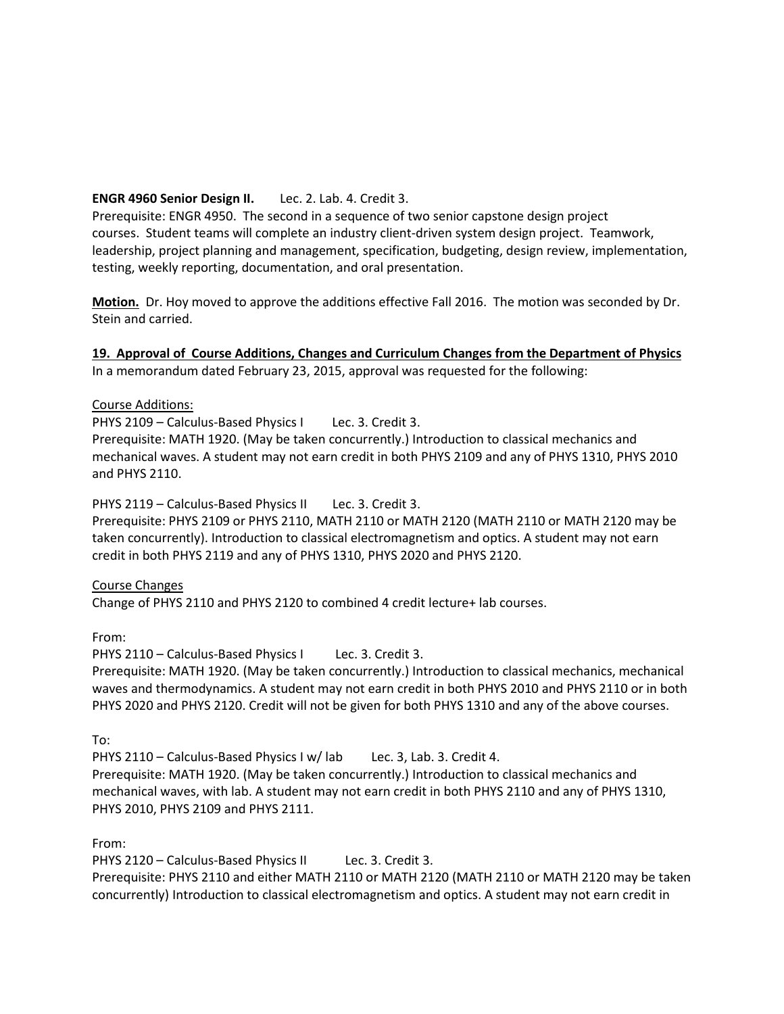# **ENGR 4960 Senior Design II.** Lec. 2. Lab. 4. Credit 3.

Prerequisite: ENGR 4950. The second in a sequence of two senior capstone design project courses. Student teams will complete an industry client-driven system design project. Teamwork, leadership, project planning and management, specification, budgeting, design review, implementation, testing, weekly reporting, documentation, and oral presentation.

**Motion.** Dr. Hoy moved to approve the additions effective Fall 2016. The motion was seconded by Dr. Stein and carried.

# **19. Approval of Course Additions, Changes and Curriculum Changes from the Department of Physics**

In a memorandum dated February 23, 2015, approval was requested for the following:

#### Course Additions:

PHYS 2109 – Calculus-Based Physics I Lec. 3. Credit 3.

Prerequisite: MATH 1920. (May be taken concurrently.) Introduction to classical mechanics and mechanical waves. A student may not earn credit in both PHYS 2109 and any of PHYS 1310, PHYS 2010 and PHYS 2110.

PHYS 2119 – Calculus-Based Physics II Lec. 3. Credit 3. Prerequisite: PHYS 2109 or PHYS 2110, MATH 2110 or MATH 2120 (MATH 2110 or MATH 2120 may be taken concurrently). Introduction to classical electromagnetism and optics. A student may not earn credit in both PHYS 2119 and any of PHYS 1310, PHYS 2020 and PHYS 2120.

#### Course Changes

Change of PHYS 2110 and PHYS 2120 to combined 4 credit lecture+ lab courses.

From:

PHYS 2110 - Calculus-Based Physics I Lec. 3. Credit 3.

Prerequisite: MATH 1920. (May be taken concurrently.) Introduction to classical mechanics, mechanical waves and thermodynamics. A student may not earn credit in both PHYS 2010 and PHYS 2110 or in both PHYS 2020 and PHYS 2120. Credit will not be given for both PHYS 1310 and any of the above courses.

To:

PHYS 2110 – Calculus-Based Physics I w/ lab Lec. 3, Lab. 3. Credit 4. Prerequisite: MATH 1920. (May be taken concurrently.) Introduction to classical mechanics and mechanical waves, with lab. A student may not earn credit in both PHYS 2110 and any of PHYS 1310, PHYS 2010, PHYS 2109 and PHYS 2111.

From:

PHYS 2120 – Calculus-Based Physics II Lec. 3. Credit 3.

Prerequisite: PHYS 2110 and either MATH 2110 or MATH 2120 (MATH 2110 or MATH 2120 may be taken concurrently) Introduction to classical electromagnetism and optics. A student may not earn credit in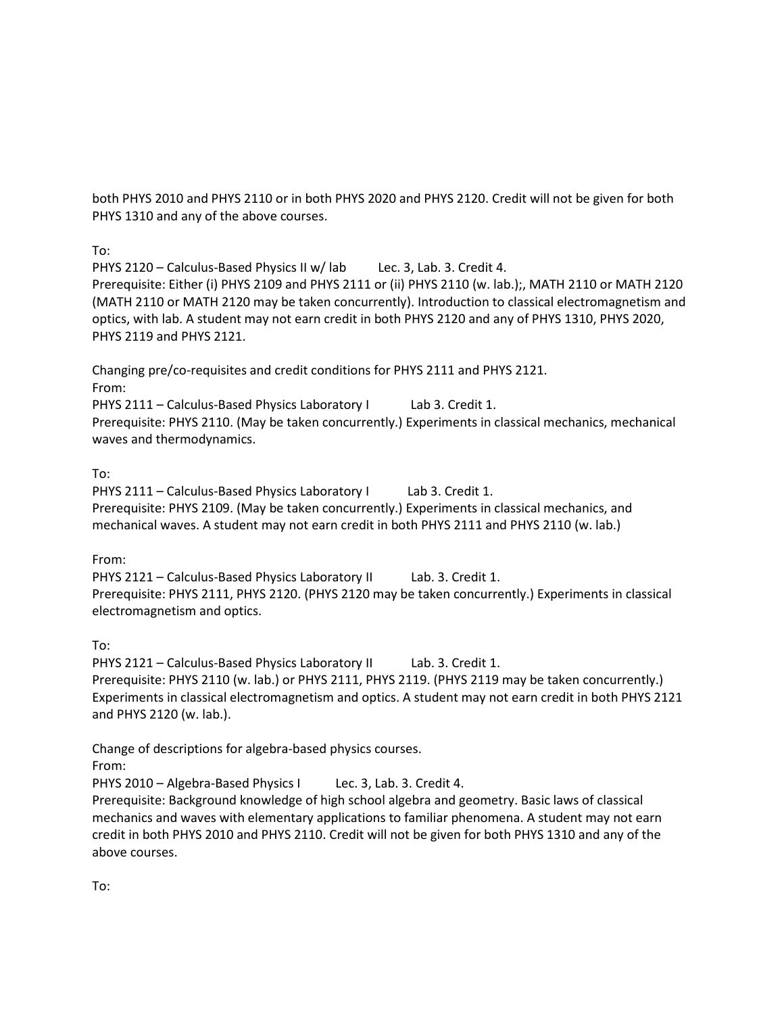both PHYS 2010 and PHYS 2110 or in both PHYS 2020 and PHYS 2120. Credit will not be given for both PHYS 1310 and any of the above courses.

To:

PHYS 2120 – Calculus-Based Physics II w/ lab Lec. 3, Lab. 3. Credit 4. Prerequisite: Either (i) PHYS 2109 and PHYS 2111 or (ii) PHYS 2110 (w. lab.);, MATH 2110 or MATH 2120 (MATH 2110 or MATH 2120 may be taken concurrently). Introduction to classical electromagnetism and optics, with lab. A student may not earn credit in both PHYS 2120 and any of PHYS 1310, PHYS 2020, PHYS 2119 and PHYS 2121.

Changing pre/co-requisites and credit conditions for PHYS 2111 and PHYS 2121.

From:

PHYS 2111 – Calculus-Based Physics Laboratory I Lab 3. Credit 1. Prerequisite: PHYS 2110. (May be taken concurrently.) Experiments in classical mechanics, mechanical waves and thermodynamics.

# To:

PHYS 2111 – Calculus-Based Physics Laboratory I Lab 3. Credit 1. Prerequisite: PHYS 2109. (May be taken concurrently.) Experiments in classical mechanics, and mechanical waves. A student may not earn credit in both PHYS 2111 and PHYS 2110 (w. lab.)

From:

PHYS 2121 – Calculus-Based Physics Laboratory II Lab. 3. Credit 1. Prerequisite: PHYS 2111, PHYS 2120. (PHYS 2120 may be taken concurrently.) Experiments in classical electromagnetism and optics.

To:

PHYS 2121 – Calculus-Based Physics Laboratory II Lab. 3. Credit 1. Prerequisite: PHYS 2110 (w. lab.) or PHYS 2111, PHYS 2119. (PHYS 2119 may be taken concurrently.) Experiments in classical electromagnetism and optics. A student may not earn credit in both PHYS 2121 and PHYS 2120 (w. lab.).

Change of descriptions for algebra-based physics courses. From:

PHYS 2010 – Algebra-Based Physics I Lec. 3, Lab. 3. Credit 4.

Prerequisite: Background knowledge of high school algebra and geometry. Basic laws of classical mechanics and waves with elementary applications to familiar phenomena. A student may not earn credit in both PHYS 2010 and PHYS 2110. Credit will not be given for both PHYS 1310 and any of the above courses.

To: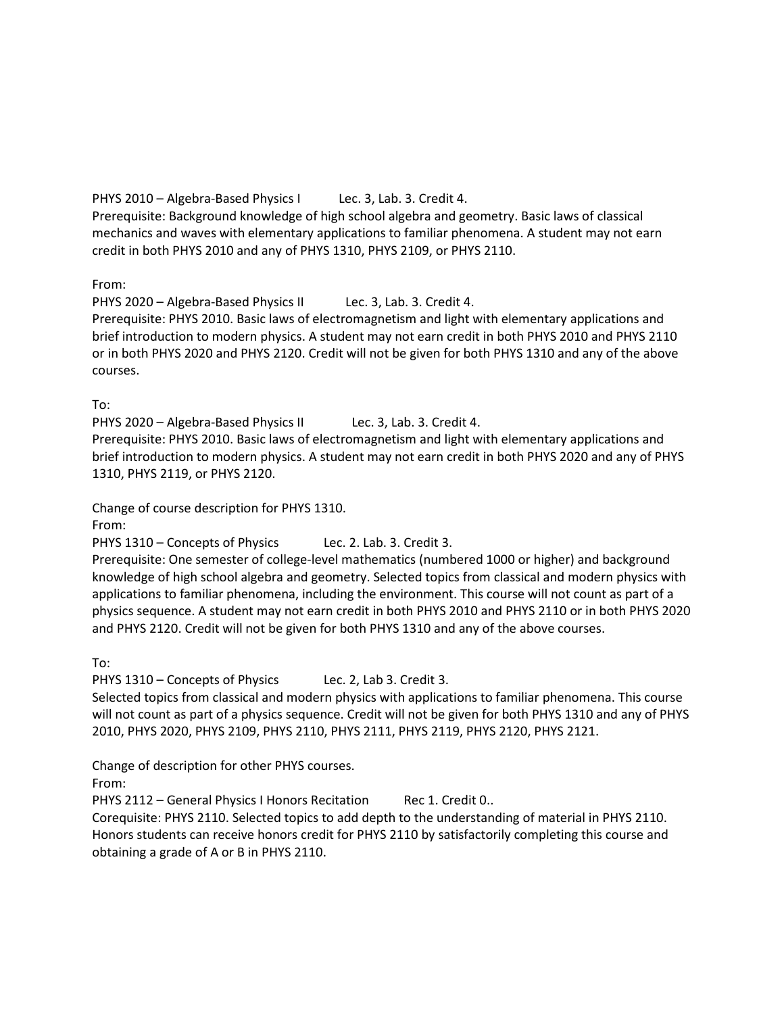PHYS 2010 – Algebra-Based Physics I Lec. 3, Lab. 3. Credit 4.

Prerequisite: Background knowledge of high school algebra and geometry. Basic laws of classical mechanics and waves with elementary applications to familiar phenomena. A student may not earn credit in both PHYS 2010 and any of PHYS 1310, PHYS 2109, or PHYS 2110.

From:

PHYS 2020 - Algebra-Based Physics II Lec. 3, Lab. 3. Credit 4.

Prerequisite: PHYS 2010. Basic laws of electromagnetism and light with elementary applications and brief introduction to modern physics. A student may not earn credit in both PHYS 2010 and PHYS 2110 or in both PHYS 2020 and PHYS 2120. Credit will not be given for both PHYS 1310 and any of the above courses.

To:

PHYS 2020 – Algebra-Based Physics II Lec. 3, Lab. 3. Credit 4.

Prerequisite: PHYS 2010. Basic laws of electromagnetism and light with elementary applications and brief introduction to modern physics. A student may not earn credit in both PHYS 2020 and any of PHYS 1310, PHYS 2119, or PHYS 2120.

Change of course description for PHYS 1310.

From:

PHYS 1310 – Concepts of Physics Lec. 2. Lab. 3. Credit 3.

Prerequisite: One semester of college-level mathematics (numbered 1000 or higher) and background knowledge of high school algebra and geometry. Selected topics from classical and modern physics with applications to familiar phenomena, including the environment. This course will not count as part of a physics sequence. A student may not earn credit in both PHYS 2010 and PHYS 2110 or in both PHYS 2020 and PHYS 2120. Credit will not be given for both PHYS 1310 and any of the above courses.

To:

PHYS 1310 – Concepts of Physics Lec. 2, Lab 3. Credit 3.

Selected topics from classical and modern physics with applications to familiar phenomena. This course will not count as part of a physics sequence. Credit will not be given for both PHYS 1310 and any of PHYS 2010, PHYS 2020, PHYS 2109, PHYS 2110, PHYS 2111, PHYS 2119, PHYS 2120, PHYS 2121.

Change of description for other PHYS courses.

From:

PHYS 2112 – General Physics I Honors Recitation Rec 1. Credit 0..

Corequisite: PHYS 2110. Selected topics to add depth to the understanding of material in PHYS 2110. Honors students can receive honors credit for PHYS 2110 by satisfactorily completing this course and obtaining a grade of A or B in PHYS 2110.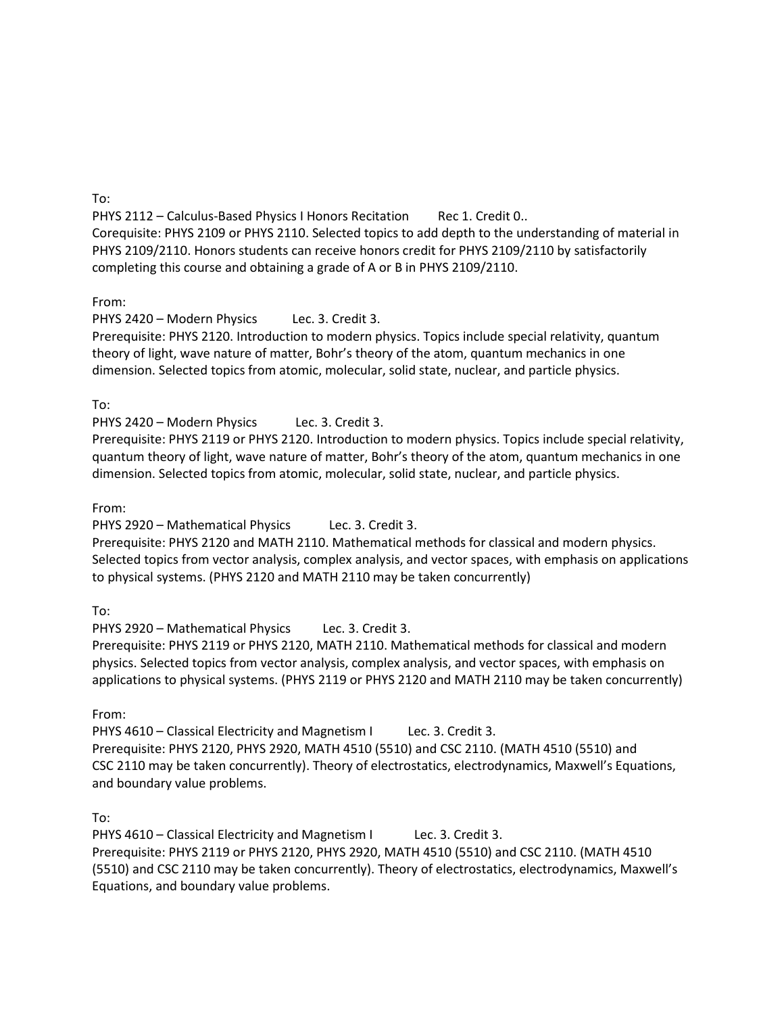To:

PHYS 2112 – Calculus-Based Physics I Honors Recitation Rec 1. Credit 0.. Corequisite: PHYS 2109 or PHYS 2110. Selected topics to add depth to the understanding of material in PHYS 2109/2110. Honors students can receive honors credit for PHYS 2109/2110 by satisfactorily completing this course and obtaining a grade of A or B in PHYS 2109/2110.

From:

PHYS 2420 – Modern Physics Lec. 3. Credit 3.

Prerequisite: PHYS 2120. Introduction to modern physics. Topics include special relativity, quantum theory of light, wave nature of matter, Bohr's theory of the atom, quantum mechanics in one dimension. Selected topics from atomic, molecular, solid state, nuclear, and particle physics.

To:

PHYS 2420 – Modern Physics Lec. 3. Credit 3.

Prerequisite: PHYS 2119 or PHYS 2120. Introduction to modern physics. Topics include special relativity, quantum theory of light, wave nature of matter, Bohr's theory of the atom, quantum mechanics in one dimension. Selected topics from atomic, molecular, solid state, nuclear, and particle physics.

From:

PHYS 2920 – Mathematical Physics Lec. 3. Credit 3.

Prerequisite: PHYS 2120 and MATH 2110. Mathematical methods for classical and modern physics. Selected topics from vector analysis, complex analysis, and vector spaces, with emphasis on applications to physical systems. (PHYS 2120 and MATH 2110 may be taken concurrently)

To:

PHYS 2920 – Mathematical Physics Lec. 3. Credit 3.

Prerequisite: PHYS 2119 or PHYS 2120, MATH 2110. Mathematical methods for classical and modern physics. Selected topics from vector analysis, complex analysis, and vector spaces, with emphasis on applications to physical systems. (PHYS 2119 or PHYS 2120 and MATH 2110 may be taken concurrently)

From:

PHYS 4610 – Classical Electricity and Magnetism I Lec. 3. Credit 3. Prerequisite: PHYS 2120, PHYS 2920, MATH 4510 (5510) and CSC 2110. (MATH 4510 (5510) and CSC 2110 may be taken concurrently). Theory of electrostatics, electrodynamics, Maxwell's Equations, and boundary value problems.

To:

PHYS 4610 – Classical Electricity and Magnetism I Lec. 3. Credit 3. Prerequisite: PHYS 2119 or PHYS 2120, PHYS 2920, MATH 4510 (5510) and CSC 2110. (MATH 4510 (5510) and CSC 2110 may be taken concurrently). Theory of electrostatics, electrodynamics, Maxwell's Equations, and boundary value problems.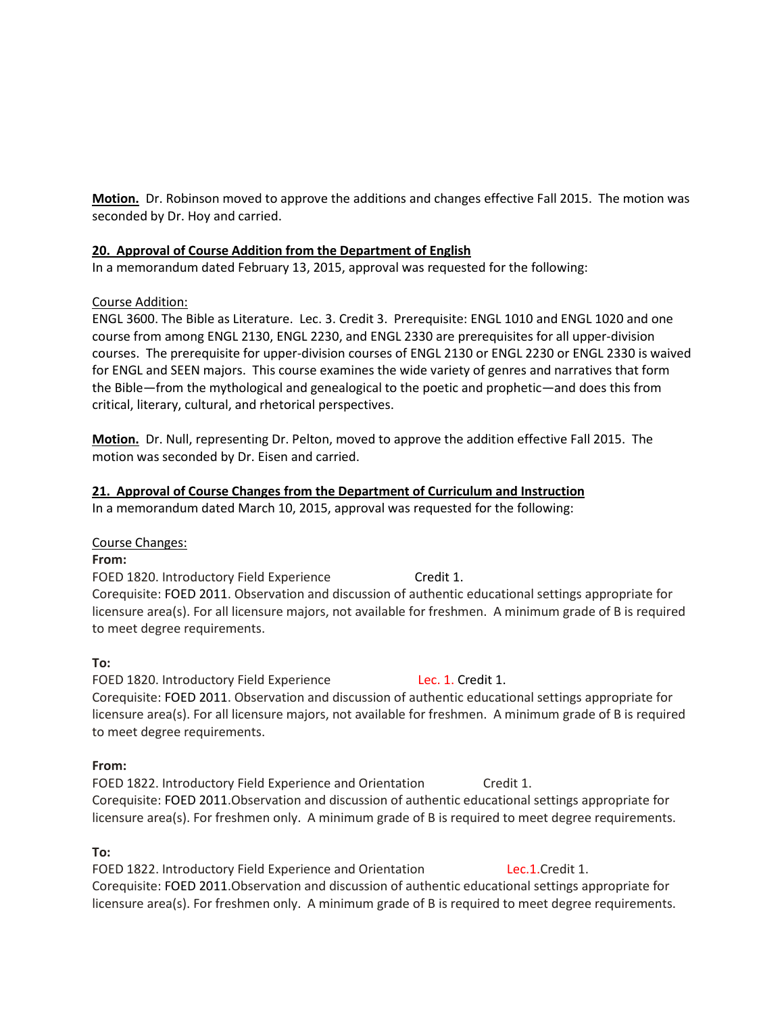**Motion.** Dr. Robinson moved to approve the additions and changes effective Fall 2015. The motion was seconded by Dr. Hoy and carried.

#### **20. Approval of Course Addition from the Department of English**

In a memorandum dated February 13, 2015, approval was requested for the following:

# Course Addition:

ENGL 3600. The Bible as Literature. Lec. 3. Credit 3. Prerequisite: ENGL 1010 and ENGL 1020 and one course from among ENGL 2130, ENGL 2230, and ENGL 2330 are prerequisites for all upper-division courses. The prerequisite for upper-division courses of ENGL 2130 or ENGL 2230 or ENGL 2330 is waived for ENGL and SEEN majors. This course examines the wide variety of genres and narratives that form the Bible—from the mythological and genealogical to the poetic and prophetic—and does this from critical, literary, cultural, and rhetorical perspectives.

**Motion.** Dr. Null, representing Dr. Pelton, moved to approve the addition effective Fall 2015. The motion was seconded by Dr. Eisen and carried.

# **21. Approval of Course Changes from the Department of Curriculum and Instruction**

In a memorandum dated March 10, 2015, approval was requested for the following:

#### Course Changes:

#### **From:**

FOED 1820. Introductory Field Experience Credit 1. Corequisite: FOED 2011. Observation and discussion of authentic educational settings appropriate for licensure area(s). For all licensure majors, not available for freshmen. A minimum grade of B is required to meet degree requirements.

# **To:**

FOED 1820. Introductory Field Experience Lec. 1. Credit 1. Corequisite: FOED 2011. Observation and discussion of authentic educational settings appropriate for licensure area(s). For all licensure majors, not available for freshmen. A minimum grade of B is required to meet degree requirements.

# **From:**

FOED 1822. Introductory Field Experience and Orientation Credit 1. Corequisite: FOED 2011.Observation and discussion of authentic educational settings appropriate for licensure area(s). For freshmen only. A minimum grade of B is required to meet degree requirements.

# **To:**

FOED 1822. Introductory Field Experience and Orientation Lec.1.Credit 1. Corequisite: FOED 2011.Observation and discussion of authentic educational settings appropriate for licensure area(s). For freshmen only. A minimum grade of B is required to meet degree requirements.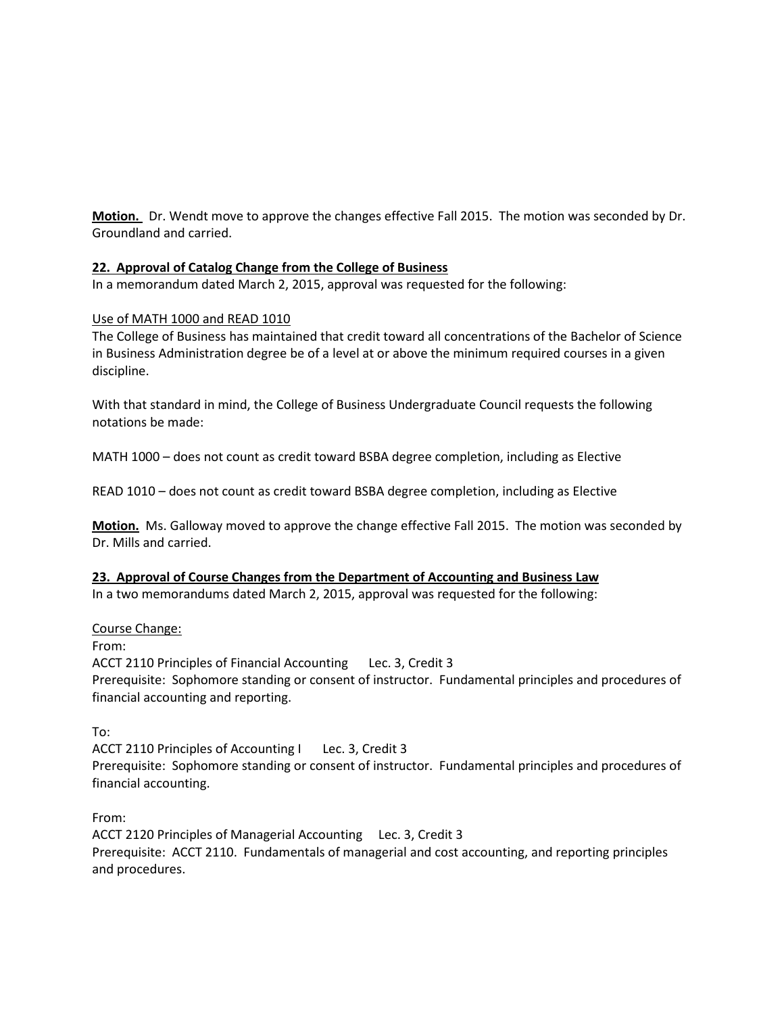**Motion.** Dr. Wendt move to approve the changes effective Fall 2015. The motion was seconded by Dr. Groundland and carried.

# **22. Approval of Catalog Change from the College of Business**

In a memorandum dated March 2, 2015, approval was requested for the following:

#### Use of MATH 1000 and READ 1010

The College of Business has maintained that credit toward all concentrations of the Bachelor of Science in Business Administration degree be of a level at or above the minimum required courses in a given discipline.

With that standard in mind, the College of Business Undergraduate Council requests the following notations be made:

MATH 1000 – does not count as credit toward BSBA degree completion, including as Elective

READ 1010 – does not count as credit toward BSBA degree completion, including as Elective

**Motion.** Ms. Galloway moved to approve the change effective Fall 2015. The motion was seconded by Dr. Mills and carried.

#### **23. Approval of Course Changes from the Department of Accounting and Business Law**

In a two memorandums dated March 2, 2015, approval was requested for the following:

#### Course Change:

From:

ACCT 2110 Principles of Financial Accounting Lec. 3, Credit 3 Prerequisite: Sophomore standing or consent of instructor. Fundamental principles and procedures of financial accounting and reporting.

To:

ACCT 2110 Principles of Accounting I Lec. 3, Credit 3 Prerequisite: Sophomore standing or consent of instructor. Fundamental principles and procedures of financial accounting.

From:

ACCT 2120 Principles of Managerial Accounting Lec. 3, Credit 3 Prerequisite: ACCT 2110. Fundamentals of managerial and cost accounting, and reporting principles and procedures.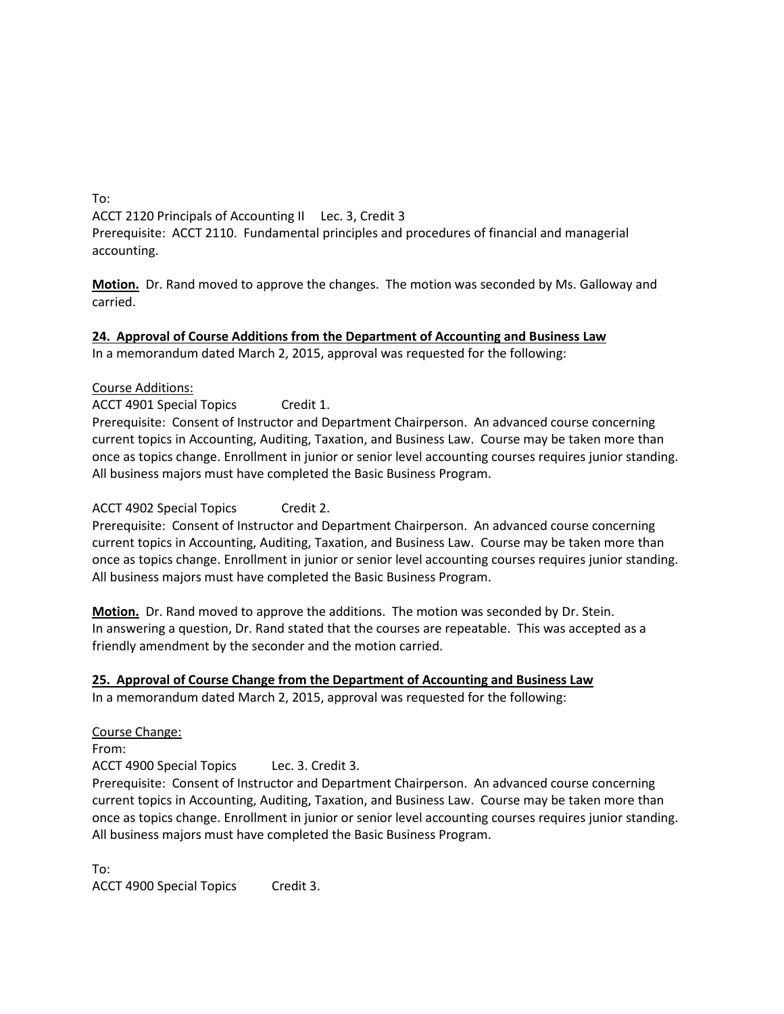To: ACCT 2120 Principals of Accounting II Lec. 3, Credit 3 Prerequisite: ACCT 2110. Fundamental principles and procedures of financial and managerial accounting.

**Motion.** Dr. Rand moved to approve the changes. The motion was seconded by Ms. Galloway and carried.

**24. Approval of Course Additions from the Department of Accounting and Business Law** In a memorandum dated March 2, 2015, approval was requested for the following:

#### Course Additions:

ACCT 4901 Special Topics Credit 1.

Prerequisite: Consent of Instructor and Department Chairperson. An advanced course concerning current topics in Accounting, Auditing, Taxation, and Business Law. Course may be taken more than once as topics change. Enrollment in junior or senior level accounting courses requires junior standing. All business majors must have completed the Basic Business Program.

#### ACCT 4902 Special Topics Credit 2.

Prerequisite: Consent of Instructor and Department Chairperson. An advanced course concerning current topics in Accounting, Auditing, Taxation, and Business Law. Course may be taken more than once as topics change. Enrollment in junior or senior level accounting courses requires junior standing. All business majors must have completed the Basic Business Program.

**Motion.** Dr. Rand moved to approve the additions. The motion was seconded by Dr. Stein. In answering a question, Dr. Rand stated that the courses are repeatable. This was accepted as a friendly amendment by the seconder and the motion carried.

#### **25. Approval of Course Change from the Department of Accounting and Business Law**

In a memorandum dated March 2, 2015, approval was requested for the following:

Course Change: From: ACCT 4900 Special Topics Lec. 3. Credit 3. Prerequisite: Consent of Instructor and Department Chairperson. An advanced course concerning current topics in Accounting, Auditing, Taxation, and Business Law. Course may be taken more than once as topics change. Enrollment in junior or senior level accounting courses requires junior standing. All business majors must have completed the Basic Business Program.

To:

ACCT 4900 Special Topics Credit 3.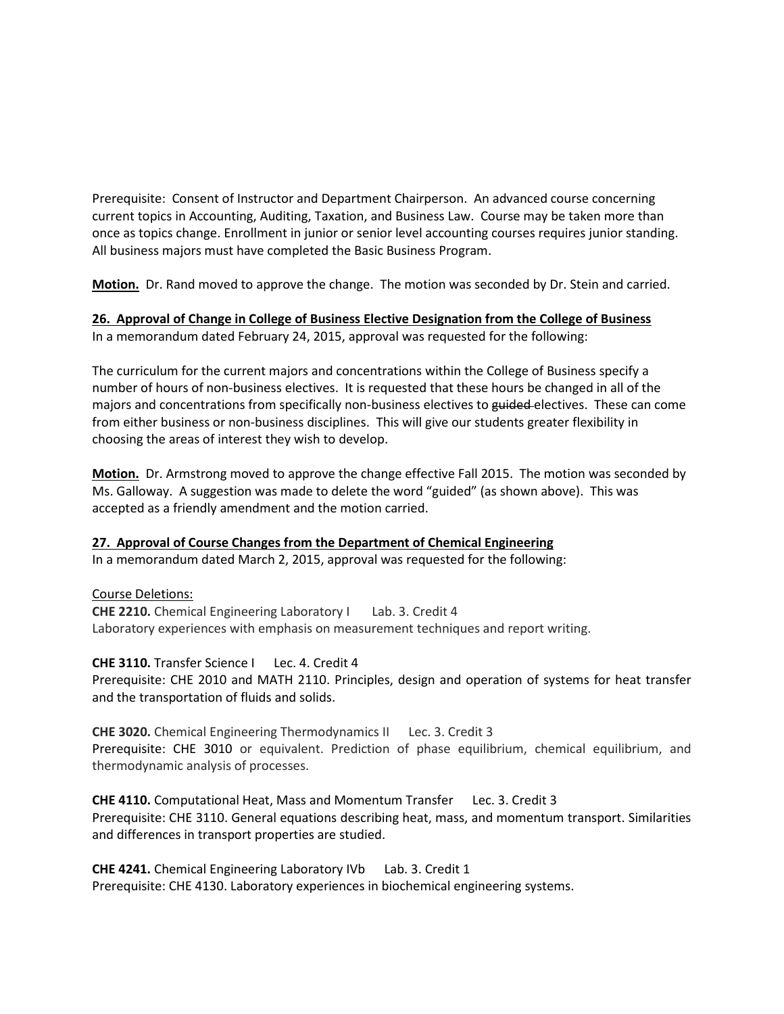Prerequisite: Consent of Instructor and Department Chairperson. An advanced course concerning current topics in Accounting, Auditing, Taxation, and Business Law. Course may be taken more than once as topics change. Enrollment in junior or senior level accounting courses requires junior standing. All business majors must have completed the Basic Business Program.

**Motion.** Dr. Rand moved to approve the change. The motion was seconded by Dr. Stein and carried.

**26. Approval of Change in College of Business Elective Designation from the College of Business** In a memorandum dated February 24, 2015, approval was requested for the following:

The curriculum for the current majors and concentrations within the College of Business specify a number of hours of non-business electives. It is requested that these hours be changed in all of the majors and concentrations from specifically non-business electives to guided-electives. These can come from either business or non-business disciplines. This will give our students greater flexibility in choosing the areas of interest they wish to develop.

**Motion.** Dr. Armstrong moved to approve the change effective Fall 2015. The motion was seconded by Ms. Galloway. A suggestion was made to delete the word "guided" (as shown above). This was accepted as a friendly amendment and the motion carried.

#### **27. Approval of Course Changes from the Department of Chemical Engineering**

In a memorandum dated March 2, 2015, approval was requested for the following:

Course Deletions:

**CHE 2210.** Chemical Engineering Laboratory I Lab. 3. Credit 4 Laboratory experiences with emphasis on measurement techniques and report writing.

**CHE 3110.** Transfer Science I Lec. 4. Credit 4 Prerequisite: CHE 2010 and MATH 2110. Principles, design and operation of systems for heat transfer and the transportation of fluids and solids.

**CHE 3020.** Chemical Engineering Thermodynamics II Lec. 3. Credit 3 Prerequisite: CHE 3010 or equivalent. Prediction of phase equilibrium, chemical equilibrium, and thermodynamic analysis of processes.

**CHE 4110.** Computational Heat, Mass and Momentum Transfer Lec. 3. Credit 3 Prerequisite: CHE 3110. General equations describing heat, mass, and momentum transport. Similarities and differences in transport properties are studied.

**CHE 4241.** Chemical Engineering Laboratory IVb Lab. 3. Credit 1 Prerequisite: CHE 4130. Laboratory experiences in biochemical engineering systems.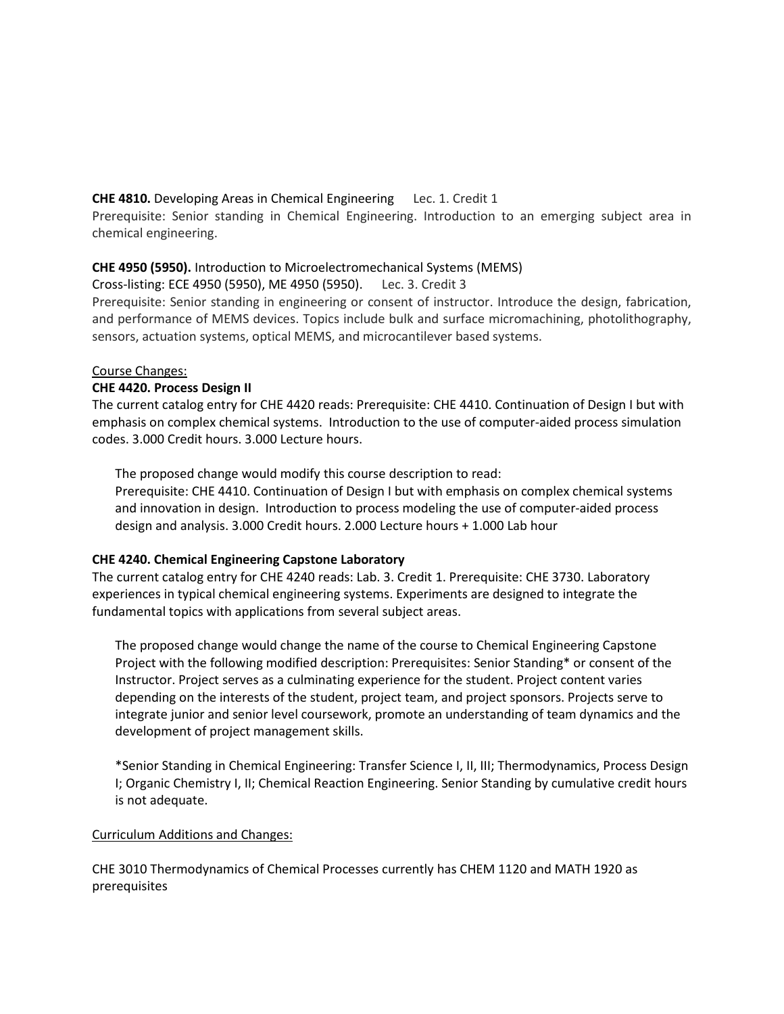# **CHE 4810.** Developing Areas in Chemical Engineering Lec. 1. Credit 1

Prerequisite: Senior standing in Chemical Engineering. Introduction to an emerging subject area in chemical engineering.

# **CHE 4950 (5950).** Introduction to Microelectromechanical Systems (MEMS)

Cross-listing: ECE 4950 (5950), ME 4950 (5950). Lec. 3. Credit 3

Prerequisite: Senior standing in engineering or consent of instructor. Introduce the design, fabrication, and performance of MEMS devices. Topics include bulk and surface micromachining, photolithography, sensors, actuation systems, optical MEMS, and microcantilever based systems.

# Course Changes:

# **CHE 4420. Process Design II**

The current catalog entry for CHE 4420 reads: Prerequisite: CHE 4410. Continuation of Design I but with emphasis on complex chemical systems. Introduction to the use of computer-aided process simulation codes. 3.000 Credit hours. 3.000 Lecture hours.

The proposed change would modify this course description to read:

Prerequisite: CHE 4410. Continuation of Design I but with emphasis on complex chemical systems and innovation in design. Introduction to process modeling the use of computer-aided process design and analysis. 3.000 Credit hours. 2.000 Lecture hours + 1.000 Lab hour

#### **CHE 4240. Chemical Engineering Capstone Laboratory**

The current catalog entry for CHE 4240 reads: Lab. 3. Credit 1. Prerequisite: CHE 3730. Laboratory experiences in typical chemical engineering systems. Experiments are designed to integrate the fundamental topics with applications from several subject areas.

The proposed change would change the name of the course to Chemical Engineering Capstone Project with the following modified description: Prerequisites: Senior Standing\* or consent of the Instructor. Project serves as a culminating experience for the student. Project content varies depending on the interests of the student, project team, and project sponsors. Projects serve to integrate junior and senior level coursework, promote an understanding of team dynamics and the development of project management skills.

\*Senior Standing in Chemical Engineering: Transfer Science I, II, III; Thermodynamics, Process Design I; Organic Chemistry I, II; Chemical Reaction Engineering. Senior Standing by cumulative credit hours is not adequate.

#### Curriculum Additions and Changes:

CHE 3010 Thermodynamics of Chemical Processes currently has CHEM 1120 and MATH 1920 as prerequisites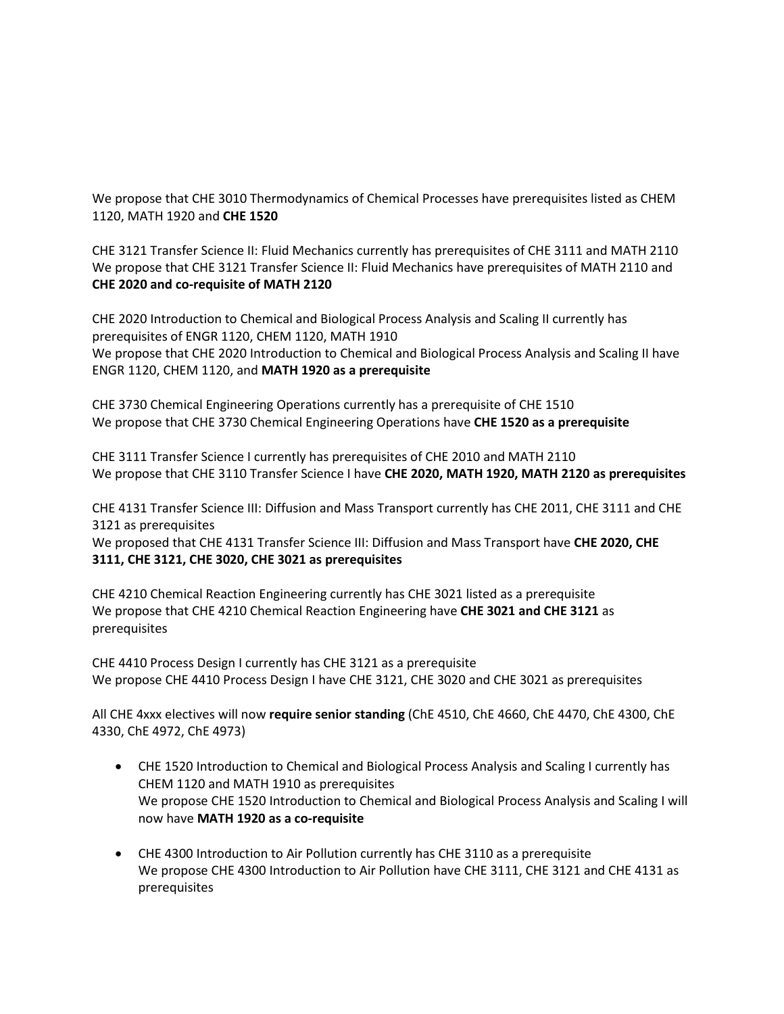We propose that CHE 3010 Thermodynamics of Chemical Processes have prerequisites listed as CHEM 1120, MATH 1920 and **CHE 1520**

CHE 3121 Transfer Science II: Fluid Mechanics currently has prerequisites of CHE 3111 and MATH 2110 We propose that CHE 3121 Transfer Science II: Fluid Mechanics have prerequisites of MATH 2110 and **CHE 2020 and co-requisite of MATH 2120**

CHE 2020 Introduction to Chemical and Biological Process Analysis and Scaling II currently has prerequisites of ENGR 1120, CHEM 1120, MATH 1910 We propose that CHE 2020 Introduction to Chemical and Biological Process Analysis and Scaling II have ENGR 1120, CHEM 1120, and **MATH 1920 as a prerequisite**

CHE 3730 Chemical Engineering Operations currently has a prerequisite of CHE 1510 We propose that CHE 3730 Chemical Engineering Operations have **CHE 1520 as a prerequisite**

CHE 3111 Transfer Science I currently has prerequisites of CHE 2010 and MATH 2110 We propose that CHE 3110 Transfer Science I have **CHE 2020, MATH 1920, MATH 2120 as prerequisites** 

CHE 4131 Transfer Science III: Diffusion and Mass Transport currently has CHE 2011, CHE 3111 and CHE 3121 as prerequisites

We proposed that CHE 4131 Transfer Science III: Diffusion and Mass Transport have **CHE 2020, CHE 3111, CHE 3121, CHE 3020, CHE 3021 as prerequisites**

CHE 4210 Chemical Reaction Engineering currently has CHE 3021 listed as a prerequisite We propose that CHE 4210 Chemical Reaction Engineering have **CHE 3021 and CHE 3121** as prerequisites

CHE 4410 Process Design I currently has CHE 3121 as a prerequisite We propose CHE 4410 Process Design I have CHE 3121, CHE 3020 and CHE 3021 as prerequisites

All CHE 4xxx electives will now **require senior standing** (ChE 4510, ChE 4660, ChE 4470, ChE 4300, ChE 4330, ChE 4972, ChE 4973)

- CHE 1520 Introduction to Chemical and Biological Process Analysis and Scaling I currently has CHEM 1120 and MATH 1910 as prerequisites We propose CHE 1520 Introduction to Chemical and Biological Process Analysis and Scaling I will now have **MATH 1920 as a co-requisite**
- CHE 4300 Introduction to Air Pollution currently has CHE 3110 as a prerequisite We propose CHE 4300 Introduction to Air Pollution have CHE 3111, CHE 3121 and CHE 4131 as prerequisites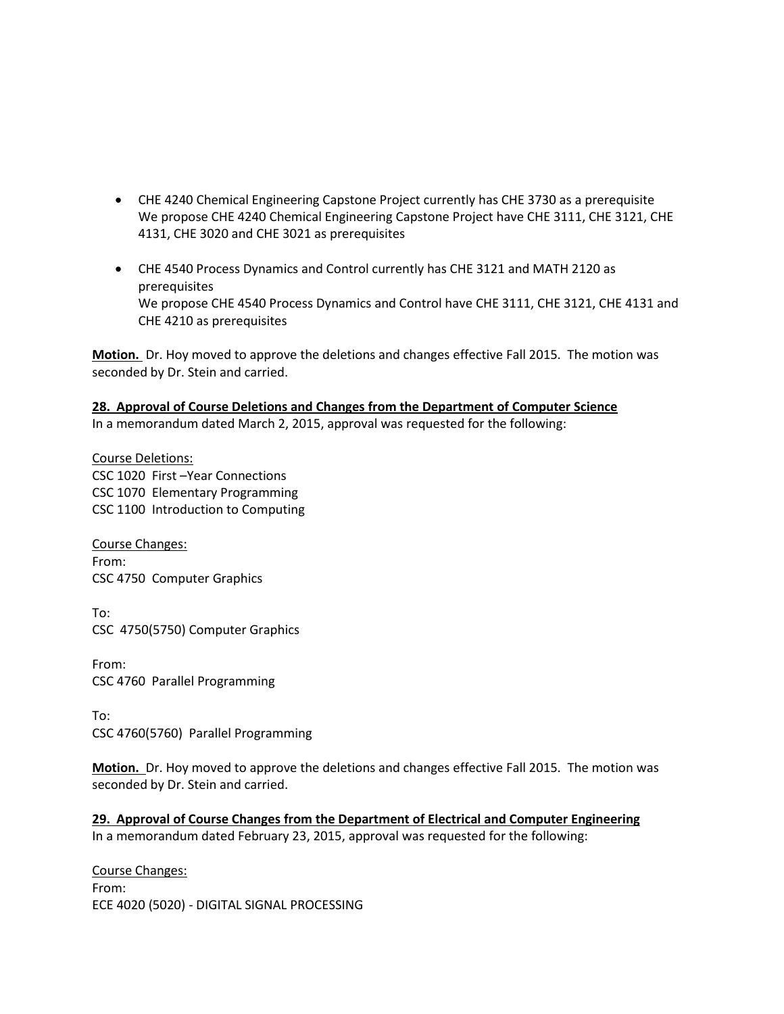- CHE 4240 Chemical Engineering Capstone Project currently has CHE 3730 as a prerequisite We propose CHE 4240 Chemical Engineering Capstone Project have CHE 3111, CHE 3121, CHE 4131, CHE 3020 and CHE 3021 as prerequisites
- CHE 4540 Process Dynamics and Control currently has CHE 3121 and MATH 2120 as prerequisites We propose CHE 4540 Process Dynamics and Control have CHE 3111, CHE 3121, CHE 4131 and CHE 4210 as prerequisites

**Motion.** Dr. Hoy moved to approve the deletions and changes effective Fall 2015. The motion was seconded by Dr. Stein and carried.

# **28. Approval of Course Deletions and Changes from the Department of Computer Science**

In a memorandum dated March 2, 2015, approval was requested for the following:

Course Deletions: CSC 1020 First –Year Connections CSC 1070 Elementary Programming CSC 1100 Introduction to Computing

Course Changes: From: CSC 4750 Computer Graphics

To: CSC 4750(5750) Computer Graphics

From: CSC 4760 Parallel Programming

To: CSC 4760(5760) Parallel Programming

**Motion.** Dr. Hoy moved to approve the deletions and changes effective Fall 2015. The motion was seconded by Dr. Stein and carried.

**29. Approval of Course Changes from the Department of Electrical and Computer Engineering** In a memorandum dated February 23, 2015, approval was requested for the following:

Course Changes: From: ECE 4020 (5020) - DIGITAL SIGNAL PROCESSING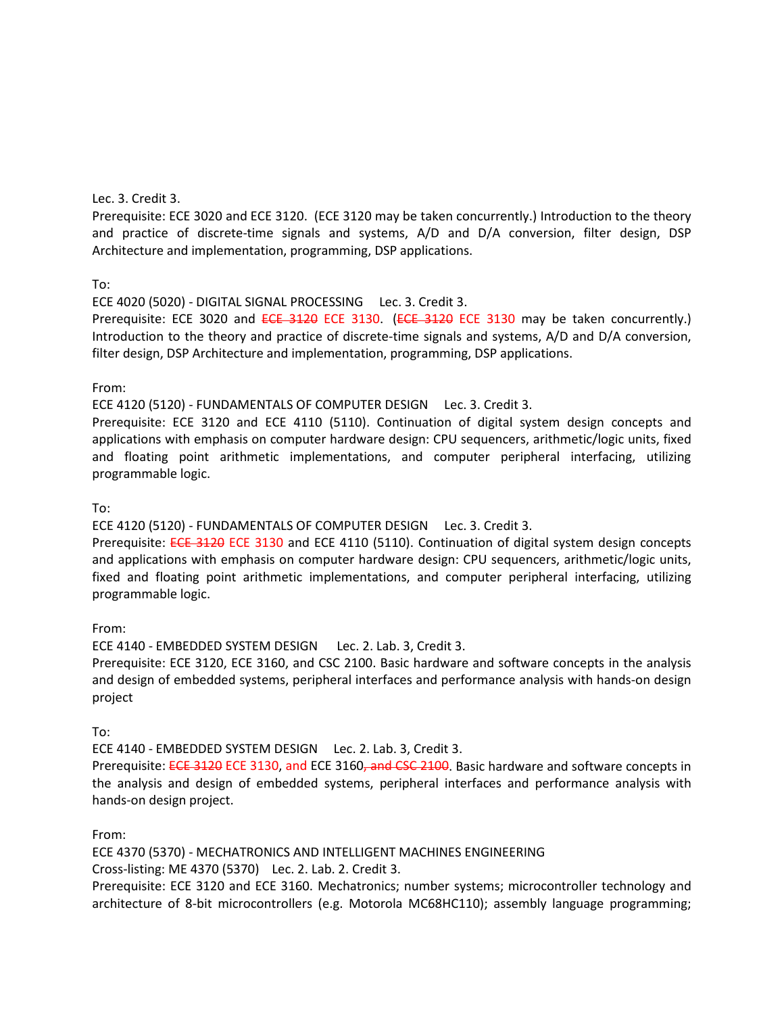#### Lec. 3. Credit 3.

Prerequisite: ECE 3020 and ECE 3120. (ECE 3120 may be taken concurrently.) Introduction to the theory and practice of discrete-time signals and systems, A/D and D/A conversion, filter design, DSP Architecture and implementation, programming, DSP applications.

#### To:

ECE 4020 (5020) - DIGITAL SIGNAL PROCESSING Lec. 3. Credit 3.

Prerequisite: ECE 3020 and ECE 3120 ECE 3130. (ECE 3120 ECE 3130 may be taken concurrently.) Introduction to the theory and practice of discrete-time signals and systems, A/D and D/A conversion, filter design, DSP Architecture and implementation, programming, DSP applications.

#### From:

ECE 4120 (5120) - FUNDAMENTALS OF COMPUTER DESIGN Lec. 3. Credit 3.

Prerequisite: ECE 3120 and ECE 4110 (5110). Continuation of digital system design concepts and applications with emphasis on computer hardware design: CPU sequencers, arithmetic/logic units, fixed and floating point arithmetic implementations, and computer peripheral interfacing, utilizing programmable logic.

#### To:

ECE 4120 (5120) - FUNDAMENTALS OF COMPUTER DESIGN Lec. 3. Credit 3.

Prerequisite: ECE 3120 ECE 3130 and ECE 4110 (5110). Continuation of digital system design concepts and applications with emphasis on computer hardware design: CPU sequencers, arithmetic/logic units, fixed and floating point arithmetic implementations, and computer peripheral interfacing, utilizing programmable logic.

#### From:

ECE 4140 - EMBEDDED SYSTEM DESIGN Lec. 2. Lab. 3, Credit 3.

Prerequisite: ECE 3120, ECE 3160, and CSC 2100. Basic hardware and software concepts in the analysis and design of embedded systems, peripheral interfaces and performance analysis with hands-on design project

#### To:

ECE 4140 - EMBEDDED SYSTEM DESIGN Lec. 2. Lab. 3, Credit 3.

Prerequisite: ECE 3120 ECE 3130, and ECE 3160, and CSC 2100. Basic hardware and software concepts in the analysis and design of embedded systems, peripheral interfaces and performance analysis with hands-on design project.

#### From:

ECE 4370 (5370) - MECHATRONICS AND INTELLIGENT MACHINES ENGINEERING

Cross-listing: ME 4370 (5370) Lec. 2. Lab. 2. Credit 3.

Prerequisite: ECE 3120 and ECE 3160. Mechatronics; number systems; microcontroller technology and architecture of 8-bit microcontrollers (e.g. Motorola MC68HC110); assembly language programming;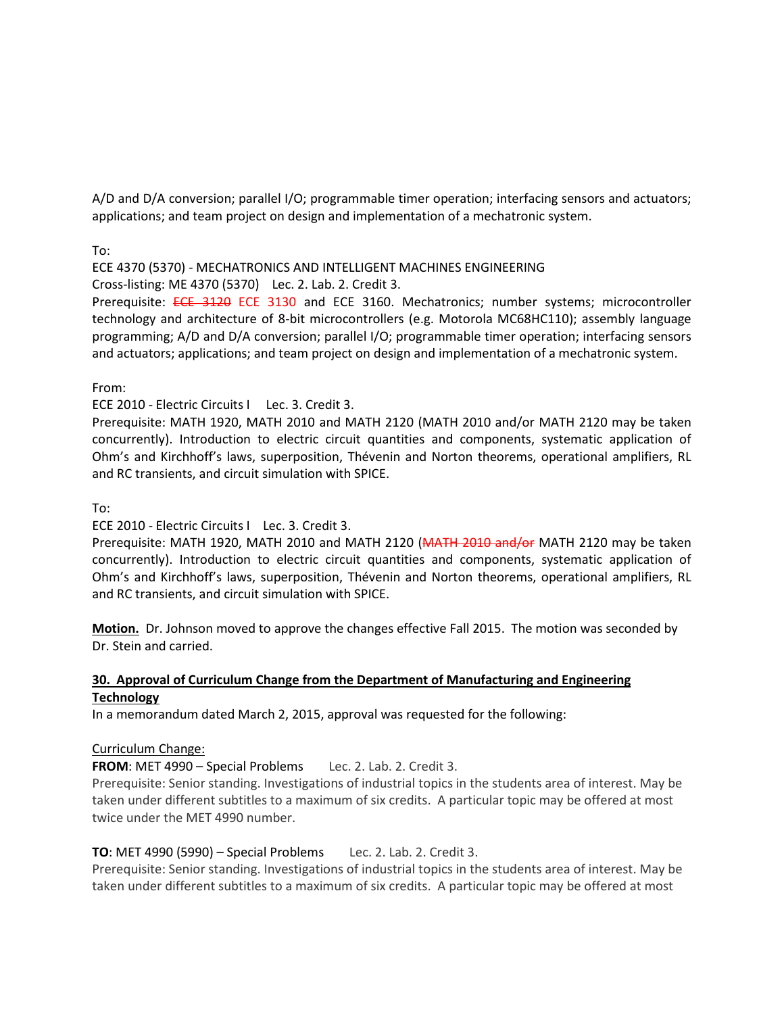A/D and D/A conversion; parallel I/O; programmable timer operation; interfacing sensors and actuators; applications; and team project on design and implementation of a mechatronic system.

To:

ECE 4370 (5370) - MECHATRONICS AND INTELLIGENT MACHINES ENGINEERING

Cross-listing: ME 4370 (5370) Lec. 2. Lab. 2. Credit 3.

Prerequisite: ECE 3120 ECE 3130 and ECE 3160. Mechatronics; number systems; microcontroller technology and architecture of 8-bit microcontrollers (e.g. Motorola MC68HC110); assembly language programming; A/D and D/A conversion; parallel I/O; programmable timer operation; interfacing sensors and actuators; applications; and team project on design and implementation of a mechatronic system.

From:

ECE 2010 - Electric Circuits I Lec. 3. Credit 3.

Prerequisite: MATH 1920, MATH 2010 and MATH 2120 (MATH 2010 and/or MATH 2120 may be taken concurrently). Introduction to electric circuit quantities and components, systematic application of Ohm's and Kirchhoff's laws, superposition, Thévenin and Norton theorems, operational amplifiers, RL and RC transients, and circuit simulation with SPICE.

To:

ECE 2010 - Electric Circuits I Lec. 3. Credit 3.

Prerequisite: MATH 1920, MATH 2010 and MATH 2120 (MATH 2010 and/or MATH 2120 may be taken concurrently). Introduction to electric circuit quantities and components, systematic application of Ohm's and Kirchhoff's laws, superposition, Thévenin and Norton theorems, operational amplifiers, RL and RC transients, and circuit simulation with SPICE.

**Motion.** Dr. Johnson moved to approve the changes effective Fall 2015. The motion was seconded by Dr. Stein and carried.

# **30. Approval of Curriculum Change from the Department of Manufacturing and Engineering Technology**

In a memorandum dated March 2, 2015, approval was requested for the following:

#### Curriculum Change:

**FROM**: MET 4990 – Special Problems Lec. 2. Lab. 2. Credit 3.

Prerequisite: Senior standing. Investigations of industrial topics in the students area of interest. May be taken under different subtitles to a maximum of six credits. A particular topic may be offered at most twice under the MET 4990 number.

# **TO**: MET 4990 (5990) – Special Problems Lec. 2. Lab. 2. Credit 3.

Prerequisite: Senior standing. Investigations of industrial topics in the students area of interest. May be taken under different subtitles to a maximum of six credits. A particular topic may be offered at most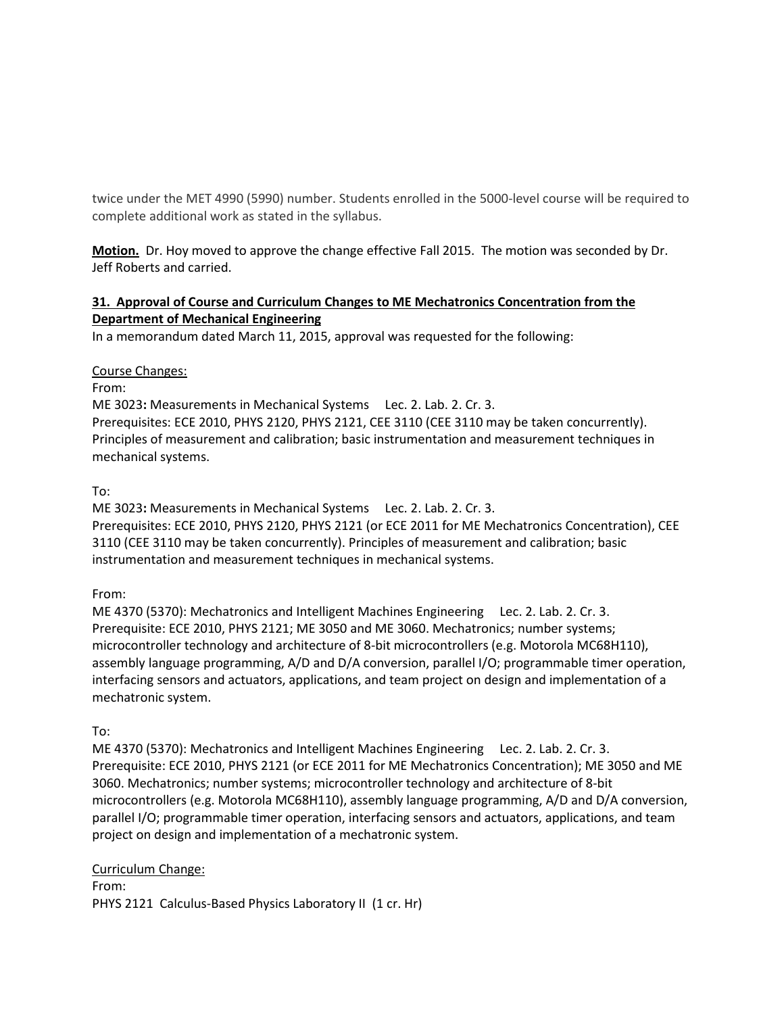twice under the MET 4990 (5990) number. Students enrolled in the 5000-level course will be required to complete additional work as stated in the syllabus.

**Motion.** Dr. Hoy moved to approve the change effective Fall 2015. The motion was seconded by Dr. Jeff Roberts and carried.

# **31. Approval of Course and Curriculum Changes to ME Mechatronics Concentration from the Department of Mechanical Engineering**

In a memorandum dated March 11, 2015, approval was requested for the following:

# Course Changes:

From:

ME 3023**:** Measurements in Mechanical Systems Lec. 2. Lab. 2. Cr. 3. Prerequisites: ECE 2010, PHYS 2120, PHYS 2121, CEE 3110 (CEE 3110 may be taken concurrently). Principles of measurement and calibration; basic instrumentation and measurement techniques in mechanical systems.

# To:

ME 3023**:** Measurements in Mechanical Systems Lec. 2. Lab. 2. Cr. 3. Prerequisites: ECE 2010, PHYS 2120, PHYS 2121 (or ECE 2011 for ME Mechatronics Concentration), CEE 3110 (CEE 3110 may be taken concurrently). Principles of measurement and calibration; basic instrumentation and measurement techniques in mechanical systems.

# From:

ME 4370 (5370): Mechatronics and Intelligent Machines Engineering Lec. 2. Lab. 2. Cr. 3. Prerequisite: ECE 2010, PHYS 2121; ME 3050 and ME 3060. Mechatronics; number systems; microcontroller technology and architecture of 8-bit microcontrollers (e.g. Motorola MC68H110), assembly language programming, A/D and D/A conversion, parallel I/O; programmable timer operation, interfacing sensors and actuators, applications, and team project on design and implementation of a mechatronic system.

# To:

ME 4370 (5370): Mechatronics and Intelligent Machines Engineering Lec. 2. Lab. 2. Cr. 3. Prerequisite: ECE 2010, PHYS 2121 (or ECE 2011 for ME Mechatronics Concentration); ME 3050 and ME 3060. Mechatronics; number systems; microcontroller technology and architecture of 8-bit microcontrollers (e.g. Motorola MC68H110), assembly language programming, A/D and D/A conversion, parallel I/O; programmable timer operation, interfacing sensors and actuators, applications, and team project on design and implementation of a mechatronic system.

# Curriculum Change:

From: PHYS 2121 Calculus-Based Physics Laboratory II (1 cr. Hr)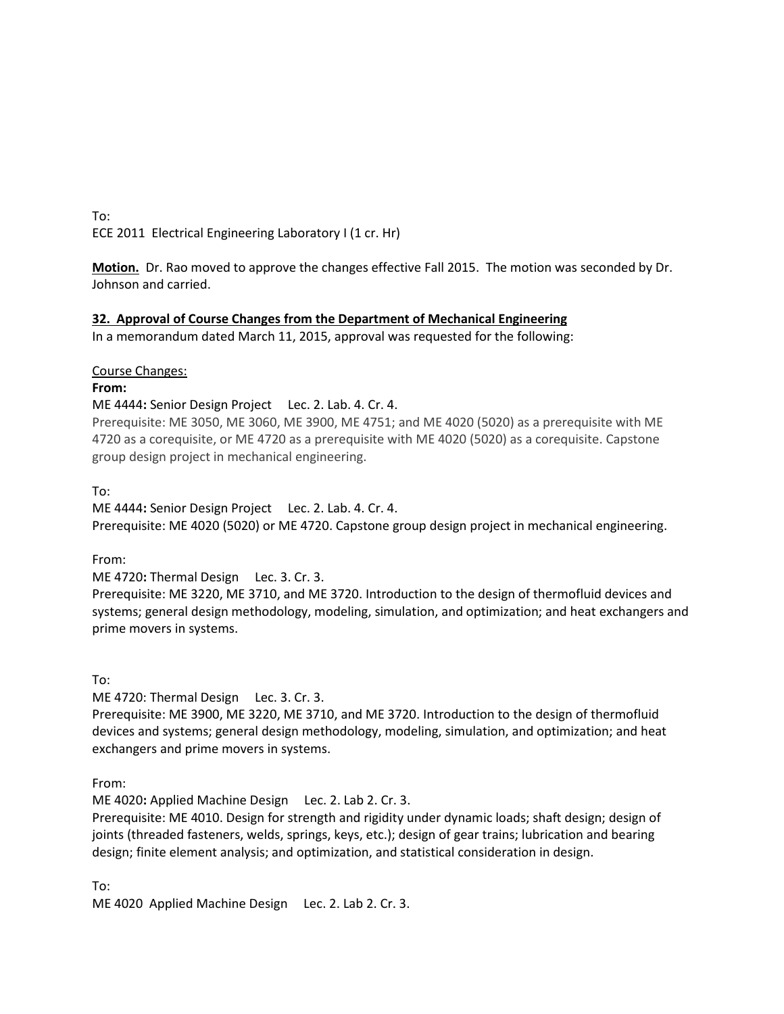To: ECE 2011 Electrical Engineering Laboratory I (1 cr. Hr)

**Motion.** Dr. Rao moved to approve the changes effective Fall 2015. The motion was seconded by Dr. Johnson and carried.

# **32. Approval of Course Changes from the Department of Mechanical Engineering**

In a memorandum dated March 11, 2015, approval was requested for the following:

#### Course Changes:

**From:**

ME 4444**:** Senior Design Project Lec. 2. Lab. 4. Cr. 4.

Prerequisite: ME 3050, ME 3060, ME 3900, ME 4751; and ME 4020 (5020) as a prerequisite with ME 4720 as a corequisite, or ME 4720 as a prerequisite with ME 4020 (5020) as a corequisite. Capstone group design project in mechanical engineering.

#### To:

ME 4444**:** Senior Design Project Lec. 2. Lab. 4. Cr. 4. Prerequisite: ME 4020 (5020) or ME 4720. Capstone group design project in mechanical engineering.

#### From:

ME 4720**:** Thermal Design Lec. 3. Cr. 3.

Prerequisite: ME 3220, ME 3710, and ME 3720. Introduction to the design of thermofluid devices and systems; general design methodology, modeling, simulation, and optimization; and heat exchangers and prime movers in systems.

To:

ME 4720: Thermal Design Lec. 3. Cr. 3.

Prerequisite: ME 3900, ME 3220, ME 3710, and ME 3720. Introduction to the design of thermofluid devices and systems; general design methodology, modeling, simulation, and optimization; and heat exchangers and prime movers in systems.

From:

ME 4020**:** Applied Machine Design Lec. 2. Lab 2. Cr. 3.

Prerequisite: ME 4010. Design for strength and rigidity under dynamic loads; shaft design; design of joints (threaded fasteners, welds, springs, keys, etc.); design of gear trains; lubrication and bearing design; finite element analysis; and optimization, and statistical consideration in design.

To:

ME 4020 Applied Machine Design Lec. 2. Lab 2. Cr. 3.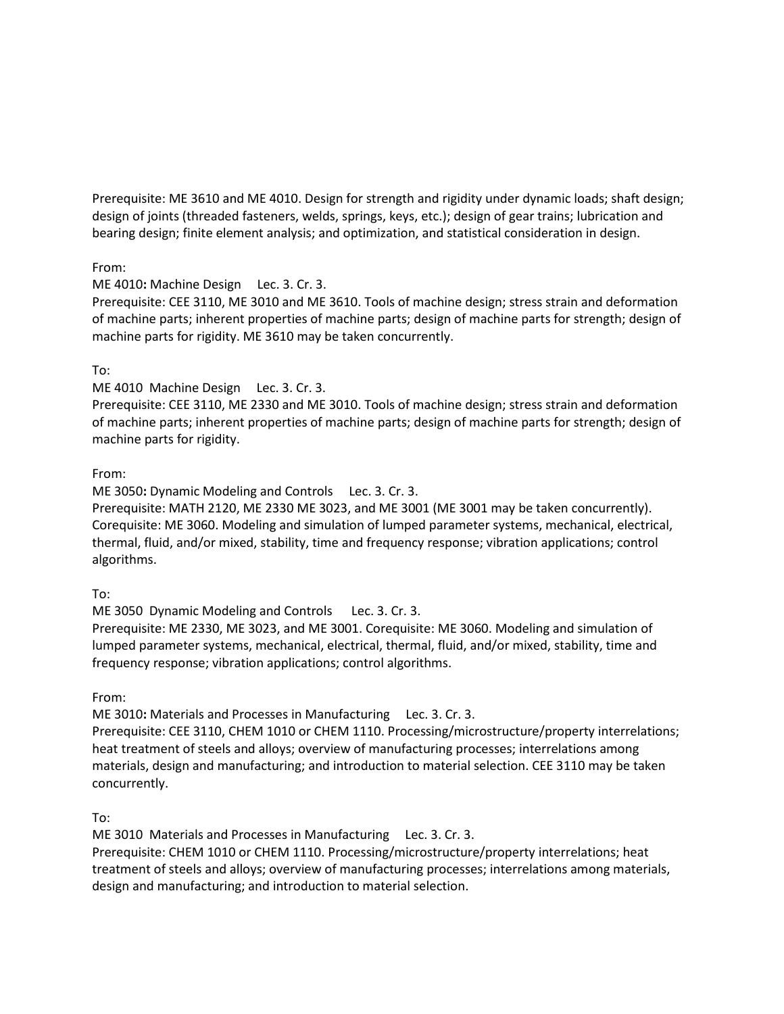Prerequisite: ME 3610 and ME 4010. Design for strength and rigidity under dynamic loads; shaft design; design of joints (threaded fasteners, welds, springs, keys, etc.); design of gear trains; lubrication and bearing design; finite element analysis; and optimization, and statistical consideration in design.

# From:

ME 4010**:** Machine Design Lec. 3. Cr. 3.

Prerequisite: CEE 3110, ME 3010 and ME 3610. Tools of machine design; stress strain and deformation of machine parts; inherent properties of machine parts; design of machine parts for strength; design of machine parts for rigidity. ME 3610 may be taken concurrently.

# To:

ME 4010 Machine Design Lec. 3. Cr. 3.

Prerequisite: CEE 3110, ME 2330 and ME 3010. Tools of machine design; stress strain and deformation of machine parts; inherent properties of machine parts; design of machine parts for strength; design of machine parts for rigidity.

# From:

ME 3050**:** Dynamic Modeling and Controls Lec. 3. Cr. 3.

Prerequisite: MATH 2120, ME 2330 ME 3023, and ME 3001 (ME 3001 may be taken concurrently). Corequisite: ME 3060. Modeling and simulation of lumped parameter systems, mechanical, electrical, thermal, fluid, and/or mixed, stability, time and frequency response; vibration applications; control algorithms.

#### To:

ME 3050 Dynamic Modeling and Controls Lec. 3. Cr. 3. Prerequisite: ME 2330, ME 3023, and ME 3001. Corequisite: ME 3060. Modeling and simulation of lumped parameter systems, mechanical, electrical, thermal, fluid, and/or mixed, stability, time and frequency response; vibration applications; control algorithms.

From:

ME 3010**:** Materials and Processes in Manufacturing Lec. 3. Cr. 3.

Prerequisite: CEE 3110, CHEM 1010 or CHEM 1110. Processing/microstructure/property interrelations; heat treatment of steels and alloys; overview of manufacturing processes; interrelations among materials, design and manufacturing; and introduction to material selection. CEE 3110 may be taken concurrently.

To:

ME 3010 Materials and Processes in Manufacturing Lec. 3. Cr. 3. Prerequisite: CHEM 1010 or CHEM 1110. Processing/microstructure/property interrelations; heat treatment of steels and alloys; overview of manufacturing processes; interrelations among materials,

design and manufacturing; and introduction to material selection.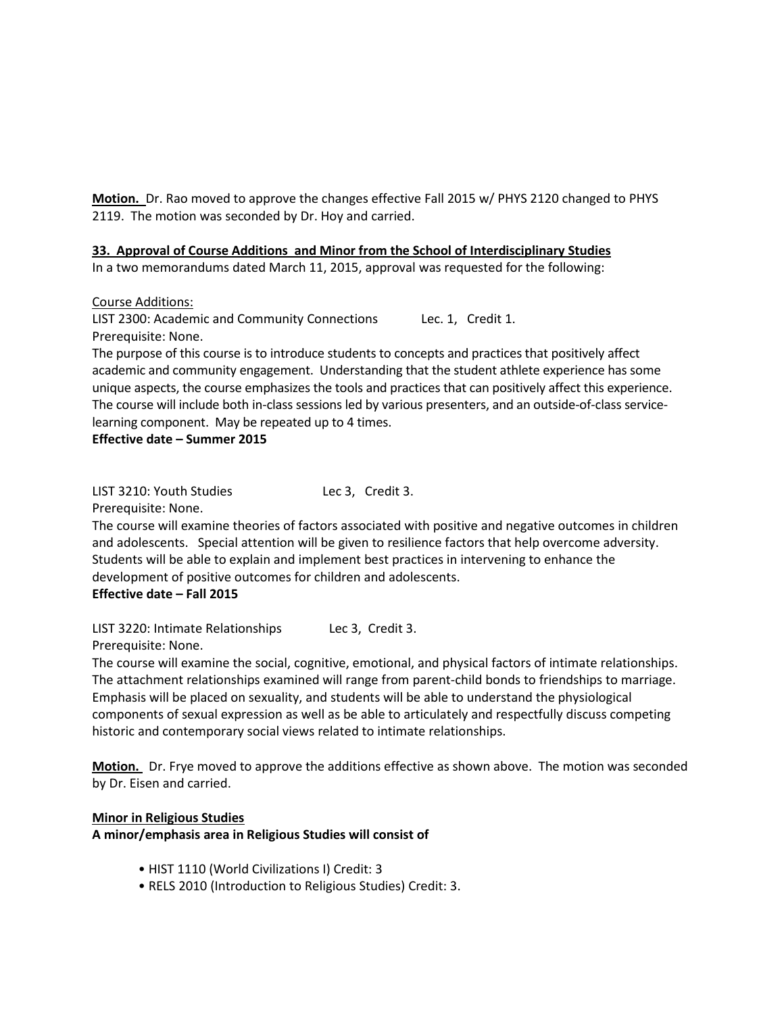**Motion.** Dr. Rao moved to approve the changes effective Fall 2015 w/ PHYS 2120 changed to PHYS 2119. The motion was seconded by Dr. Hoy and carried.

# **33. Approval of Course Additions and Minor from the School of Interdisciplinary Studies**

In a two memorandums dated March 11, 2015, approval was requested for the following:

Course Additions:

LIST 2300: Academic and Community Connections Lec. 1, Credit 1. Prerequisite: None.

The purpose of this course is to introduce students to concepts and practices that positively affect academic and community engagement. Understanding that the student athlete experience has some unique aspects, the course emphasizes the tools and practices that can positively affect this experience. The course will include both in-class sessions led by various presenters, and an outside-of-class servicelearning component. May be repeated up to 4 times.

**Effective date – Summer 2015** 

LIST 3210: Youth Studies Lec 3, Credit 3.

Prerequisite: None.

The course will examine theories of factors associated with positive and negative outcomes in children and adolescents. Special attention will be given to resilience factors that help overcome adversity. Students will be able to explain and implement best practices in intervening to enhance the development of positive outcomes for children and adolescents. **Effective date – Fall 2015**

LIST 3220: Intimate Relationships Lec 3, Credit 3.

Prerequisite: None.

The course will examine the social, cognitive, emotional, and physical factors of intimate relationships. The attachment relationships examined will range from parent-child bonds to friendships to marriage. Emphasis will be placed on sexuality, and students will be able to understand the physiological components of sexual expression as well as be able to articulately and respectfully discuss competing historic and contemporary social views related to intimate relationships.

**Motion.** Dr. Frye moved to approve the additions effective as shown above. The motion was seconded by Dr. Eisen and carried.

# **Minor in Religious Studies**

**A minor/emphasis area in Religious Studies will consist of** 

- HIST 1110 (World Civilizations I) Credit: 3
- RELS 2010 (Introduction to Religious Studies) Credit: 3.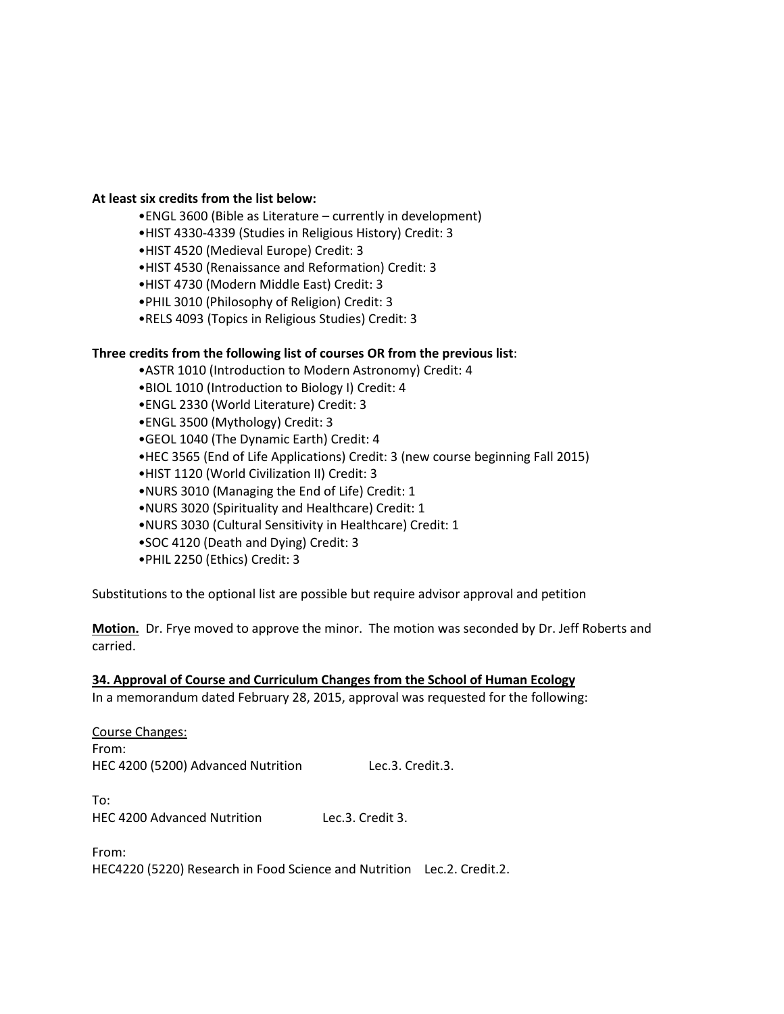#### **At least six credits from the list below:**

- •ENGL 3600 (Bible as Literature currently in development)
- •HIST 4330-4339 (Studies in Religious History) Credit: 3
- •HIST 4520 (Medieval Europe) Credit: 3
- •HIST 4530 (Renaissance and Reformation) Credit: 3
- •HIST 4730 (Modern Middle East) Credit: 3
- •PHIL 3010 (Philosophy of Religion) Credit: 3
- •RELS 4093 (Topics in Religious Studies) Credit: 3

#### **Three credits from the following list of courses OR from the previous list**:

- •ASTR 1010 (Introduction to Modern Astronomy) Credit: 4
- •BIOL 1010 (Introduction to Biology I) Credit: 4
- •ENGL 2330 (World Literature) Credit: 3
- •ENGL 3500 (Mythology) Credit: 3
- •GEOL 1040 (The Dynamic Earth) Credit: 4
- •HEC 3565 (End of Life Applications) Credit: 3 (new course beginning Fall 2015)
- •HIST 1120 (World Civilization II) Credit: 3
- •NURS 3010 (Managing the End of Life) Credit: 1
- •NURS 3020 (Spirituality and Healthcare) Credit: 1
- •NURS 3030 (Cultural Sensitivity in Healthcare) Credit: 1
- •SOC 4120 (Death and Dying) Credit: 3
- •PHIL 2250 (Ethics) Credit: 3

Substitutions to the optional list are possible but require advisor approval and petition

**Motion.** Dr. Frye moved to approve the minor. The motion was seconded by Dr. Jeff Roberts and carried.

#### **34. Approval of Course and Curriculum Changes from the School of Human Ecology**

In a memorandum dated February 28, 2015, approval was requested for the following:

| Course Changes:                    |                  |
|------------------------------------|------------------|
| From:                              |                  |
| HEC 4200 (5200) Advanced Nutrition | Lec.3. Credit.3. |

To: HEC 4200 Advanced Nutrition Lec.3. Credit 3.

From: HEC4220 (5220) Research in Food Science and Nutrition Lec.2. Credit.2.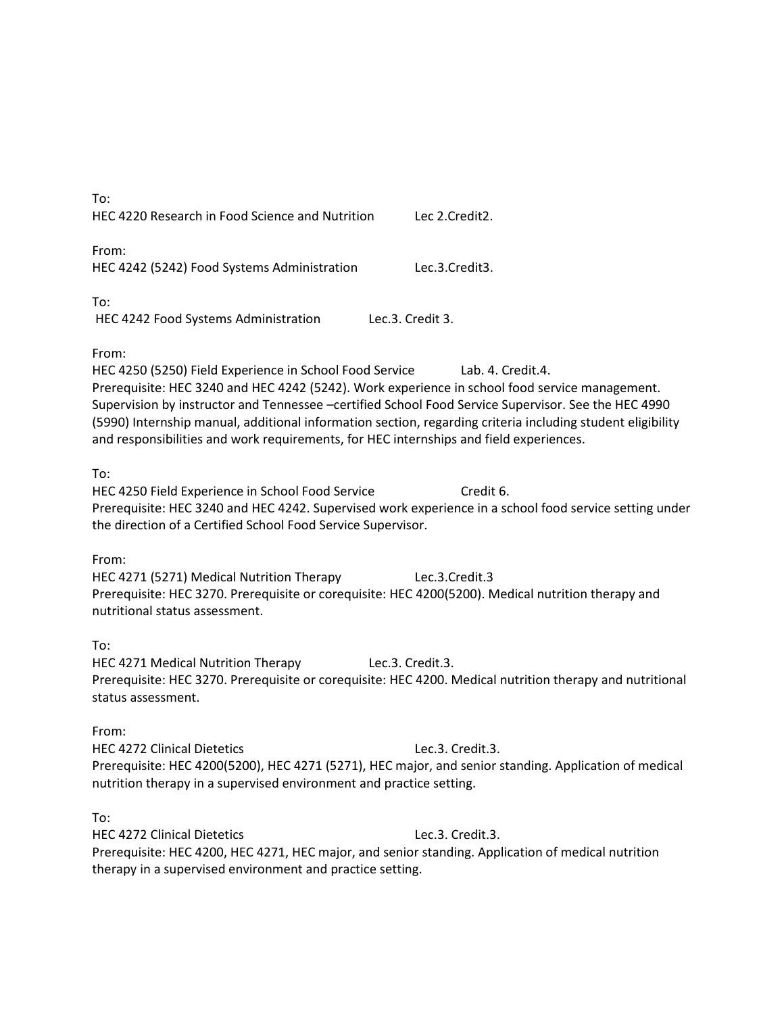| To:<br>HEC 4220 Research in Food Science and Nutrition                                                                                                                                                                                                       | Lec 2.Credit2.                                                                                                                                                                                                                         |
|--------------------------------------------------------------------------------------------------------------------------------------------------------------------------------------------------------------------------------------------------------------|----------------------------------------------------------------------------------------------------------------------------------------------------------------------------------------------------------------------------------------|
| From:<br>HEC 4242 (5242) Food Systems Administration                                                                                                                                                                                                         | Lec.3.Credit3.                                                                                                                                                                                                                         |
| To:<br>HEC 4242 Food Systems Administration                                                                                                                                                                                                                  | Lec.3. Credit 3.                                                                                                                                                                                                                       |
| From:<br>HEC 4250 (5250) Field Experience in School Food Service<br>Prerequisite: HEC 3240 and HEC 4242 (5242). Work experience in school food service management.<br>and responsibilities and work requirements, for HEC internships and field experiences. | Lab. 4. Credit.4.<br>Supervision by instructor and Tennessee -certified School Food Service Supervisor. See the HEC 4990<br>(5990) Internship manual, additional information section, regarding criteria including student eligibility |
| To:<br>HEC 4250 Field Experience in School Food Service<br>the direction of a Certified School Food Service Supervisor.                                                                                                                                      | Credit 6.<br>Prerequisite: HEC 3240 and HEC 4242. Supervised work experience in a school food service setting under                                                                                                                    |
| From:<br>HEC 4271 (5271) Medical Nutrition Therapy<br>Prerequisite: HEC 3270. Prerequisite or corequisite: HEC 4200(5200). Medical nutrition therapy and<br>nutritional status assessment.                                                                   | Lec.3.Credit.3                                                                                                                                                                                                                         |
| To:<br>HEC 4271 Medical Nutrition Therapy<br>status assessment.                                                                                                                                                                                              | Lec.3. Credit.3.<br>Prerequisite: HEC 3270. Prerequisite or corequisite: HEC 4200. Medical nutrition therapy and nutritional                                                                                                           |
| From:<br><b>HEC 4272 Clinical Dietetics</b><br>nutrition therapy in a supervised environment and practice setting.                                                                                                                                           | Lec.3. Credit.3.<br>Prerequisite: HEC 4200(5200), HEC 4271 (5271), HEC major, and senior standing. Application of medical                                                                                                              |
| To:<br><b>HEC 4272 Clinical Dietetics</b>                                                                                                                                                                                                                    | Lec.3. Credit.3.                                                                                                                                                                                                                       |

Prerequisite: HEC 4200, HEC 4271, HEC major, and senior standing. Application of medical nutrition therapy in a supervised environment and practice setting.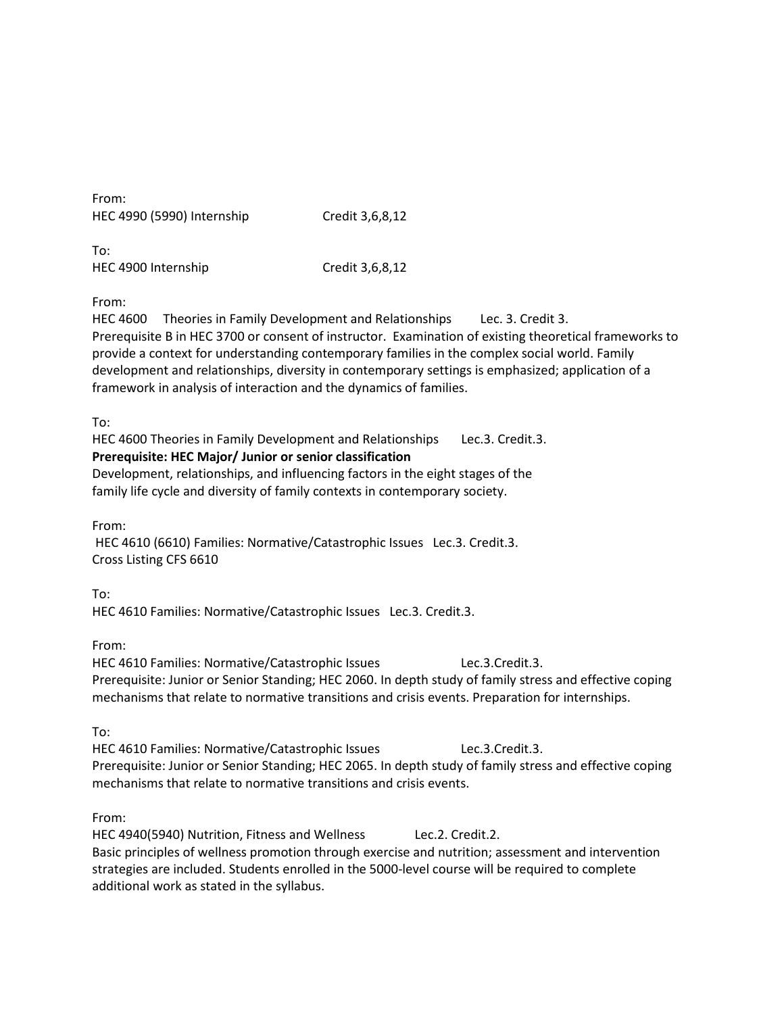| From:                      |                 |
|----------------------------|-----------------|
| HEC 4990 (5990) Internship | Credit 3,6,8,12 |

To: HEC 4900 Internship Credit 3,6,8,12

From:

HEC 4600 Theories in Family Development and Relationships Lec. 3. Credit 3. Prerequisite B in HEC 3700 or consent of instructor. Examination of existing theoretical frameworks to provide a context for understanding contemporary families in the complex social world. Family development and relationships, diversity in contemporary settings is emphasized; application of a framework in analysis of interaction and the dynamics of families.

To:

HEC 4600 Theories in Family Development and Relationships Lec.3. Credit.3. **Prerequisite: HEC Major/ Junior or senior classification**  Development, relationships, and influencing factors in the eight stages of the family life cycle and diversity of family contexts in contemporary society.

From:

HEC 4610 (6610) Families: Normative/Catastrophic Issues Lec.3. Credit.3. Cross Listing CFS 6610

To: HEC 4610 Families: Normative/Catastrophic Issues Lec.3. Credit.3.

From:

HEC 4610 Families: Normative/Catastrophic Issues Lec.3.Credit.3. Prerequisite: Junior or Senior Standing; HEC 2060. In depth study of family stress and effective coping mechanisms that relate to normative transitions and crisis events. Preparation for internships.

To:

HEC 4610 Families: Normative/Catastrophic Issues Lec.3.Credit.3. Prerequisite: Junior or Senior Standing; HEC 2065. In depth study of family stress and effective coping mechanisms that relate to normative transitions and crisis events.

From:

HEC 4940(5940) Nutrition, Fitness and Wellness Lec.2. Credit.2. Basic principles of wellness promotion through exercise and nutrition; assessment and intervention strategies are included. Students enrolled in the 5000-level course will be required to complete additional work as stated in the syllabus.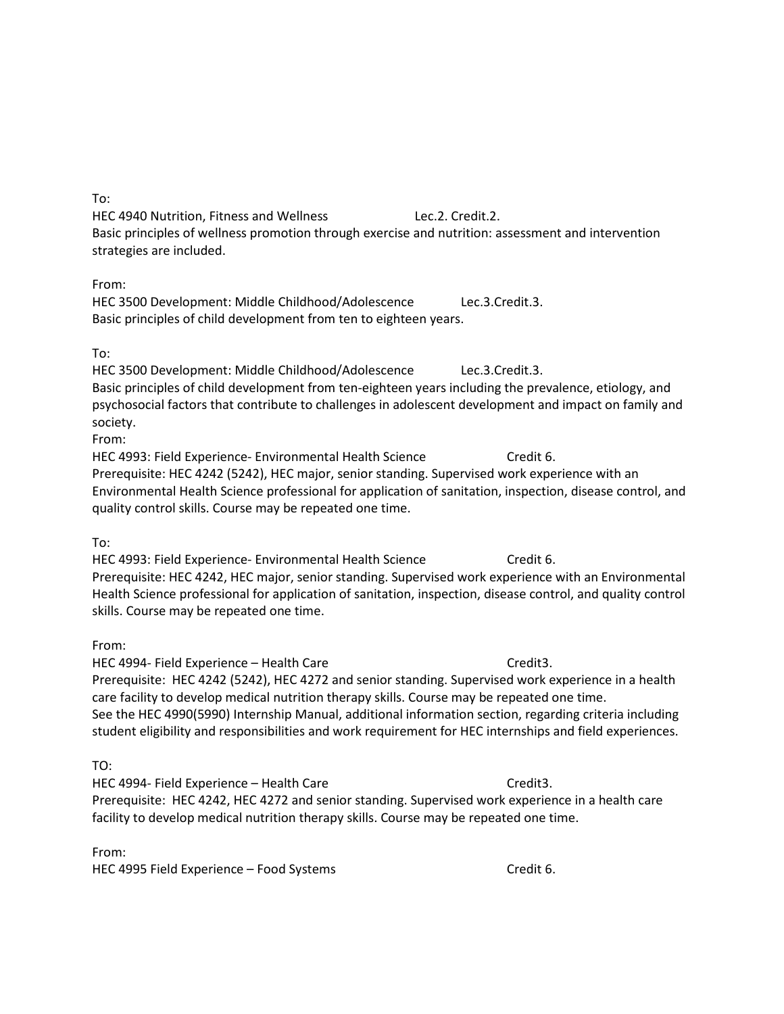To:

HEC 4940 Nutrition, Fitness and Wellness Lec.2. Credit.2. Basic principles of wellness promotion through exercise and nutrition: assessment and intervention strategies are included.

From:

HEC 3500 Development: Middle Childhood/Adolescence Lec.3.Credit.3. Basic principles of child development from ten to eighteen years.

To:

HEC 3500 Development: Middle Childhood/Adolescence Lec.3.Credit.3. Basic principles of child development from ten-eighteen years including the prevalence, etiology, and psychosocial factors that contribute to challenges in adolescent development and impact on family and society.

From:

HEC 4993: Field Experience- Environmental Health Science Credit 6. Prerequisite: HEC 4242 (5242), HEC major, senior standing. Supervised work experience with an Environmental Health Science professional for application of sanitation, inspection, disease control, and quality control skills. Course may be repeated one time.

To:

HEC 4993: Field Experience- Environmental Health Science Credit 6. Prerequisite: HEC 4242, HEC major, senior standing. Supervised work experience with an Environmental Health Science professional for application of sanitation, inspection, disease control, and quality control skills. Course may be repeated one time.

From:

HEC 4994- Field Experience – Health Care Credita. Prerequisite: HEC 4242 (5242), HEC 4272 and senior standing. Supervised work experience in a health care facility to develop medical nutrition therapy skills. Course may be repeated one time. See the HEC 4990(5990) Internship Manual, additional information section, regarding criteria including student eligibility and responsibilities and work requirement for HEC internships and field experiences.

TO:

HEC 4994- Field Experience – Health Care Credita. Prerequisite: HEC 4242, HEC 4272 and senior standing. Supervised work experience in a health care facility to develop medical nutrition therapy skills. Course may be repeated one time.

From: HEC 4995 Field Experience – Food Systems Credit 6.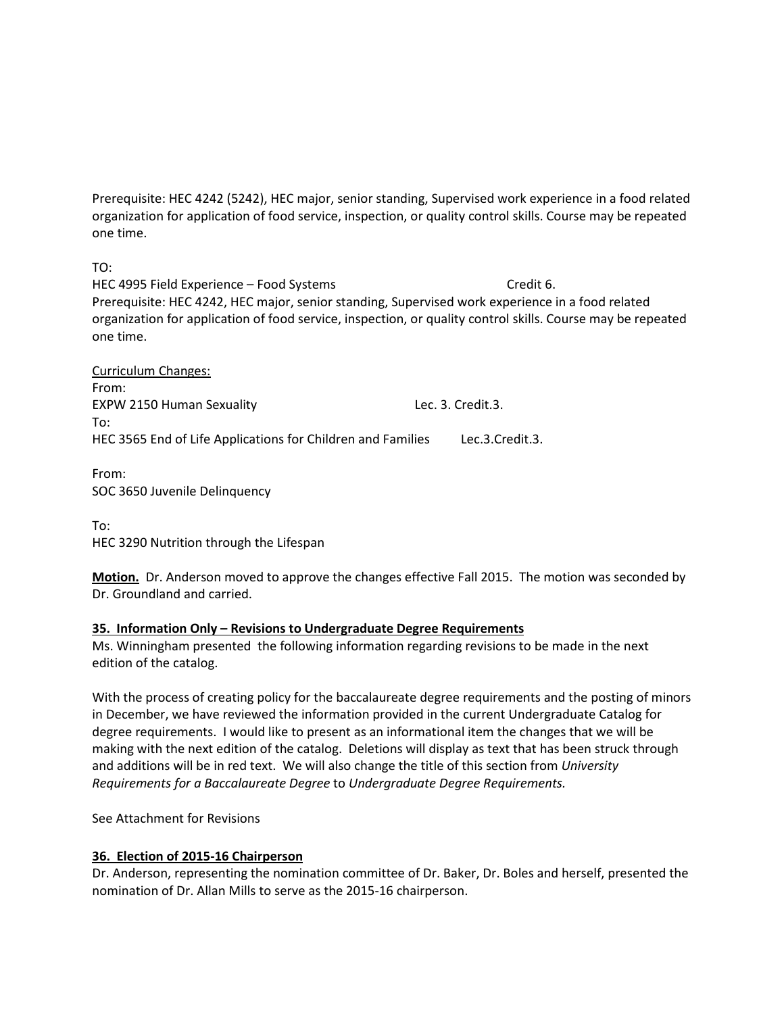Prerequisite: HEC 4242 (5242), HEC major, senior standing, Supervised work experience in a food related organization for application of food service, inspection, or quality control skills. Course may be repeated one time.

TO:

HEC 4995 Field Experience – Food Systems Credit 6. Prerequisite: HEC 4242, HEC major, senior standing, Supervised work experience in a food related organization for application of food service, inspection, or quality control skills. Course may be repeated one time.

Curriculum Changes: From: EXPW 2150 Human Sexuality Lec. 3. Credit.3. To: HEC 3565 End of Life Applications for Children and Families Lec.3.Credit.3.

From: SOC 3650 Juvenile Delinquency

To: HEC 3290 Nutrition through the Lifespan

**Motion.** Dr. Anderson moved to approve the changes effective Fall 2015. The motion was seconded by Dr. Groundland and carried.

# **35. Information Only – Revisions to Undergraduate Degree Requirements**

Ms. Winningham presented the following information regarding revisions to be made in the next edition of the catalog.

With the process of creating policy for the baccalaureate degree requirements and the posting of minors in December, we have reviewed the information provided in the current Undergraduate Catalog for degree requirements. I would like to present as an informational item the changes that we will be making with the next edition of the catalog. Deletions will display as text that has been struck through and additions will be in red text. We will also change the title of this section from *University Requirements for a Baccalaureate Degree* to *Undergraduate Degree Requirements.*

See Attachment for Revisions

# **36. Election of 2015-16 Chairperson**

Dr. Anderson, representing the nomination committee of Dr. Baker, Dr. Boles and herself, presented the nomination of Dr. Allan Mills to serve as the 2015-16 chairperson.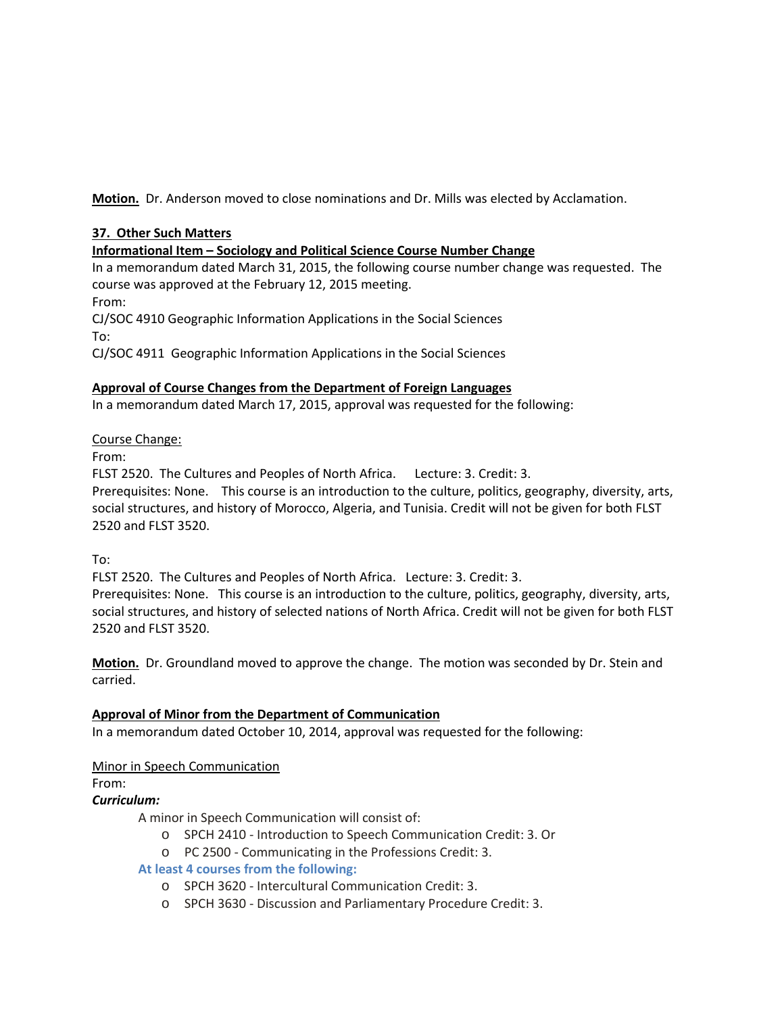**Motion.** Dr. Anderson moved to close nominations and Dr. Mills was elected by Acclamation.

# **37. Other Such Matters**

# **Informational Item – Sociology and Political Science Course Number Change**

In a memorandum dated March 31, 2015, the following course number change was requested. The course was approved at the February 12, 2015 meeting.

From:

CJ/SOC 4910 Geographic Information Applications in the Social Sciences To:

CJ/SOC 4911 Geographic Information Applications in the Social Sciences

# **Approval of Course Changes from the Department of Foreign Languages**

In a memorandum dated March 17, 2015, approval was requested for the following:

# Course Change:

From:

FLST 2520. The Cultures and Peoples of North Africa. Lecture: 3. Credit: 3.

Prerequisites: None.This course is an introduction to the culture, politics, geography, diversity, arts, social structures, and history of Morocco, Algeria, and Tunisia. Credit will not be given for both FLST 2520 and FLST 3520.

To:

FLST 2520. The Cultures and Peoples of North Africa. Lecture: 3. Credit: 3. Prerequisites: None.This course is an introduction to the culture, politics, geography, diversity, arts, social structures, and history of selected nations of North Africa. Credit will not be given for both FLST 2520 and FLST 3520.

**Motion.** Dr. Groundland moved to approve the change. The motion was seconded by Dr. Stein and carried.

# **Approval of Minor from the Department of Communication**

In a memorandum dated October 10, 2014, approval was requested for the following:

# Minor in Speech Communication

From:

# *Curriculum:*

A minor in Speech Communication will consist of:

- o SPCH 2410 Introduction to Speech Communication Credit: 3. Or
- o PC 2500 Communicating in the Professions Credit: 3.

# **At least 4 courses from the following:**

- o SPCH 3620 Intercultural Communication Credit: 3.
- o SPCH 3630 Discussion and Parliamentary Procedure Credit: 3.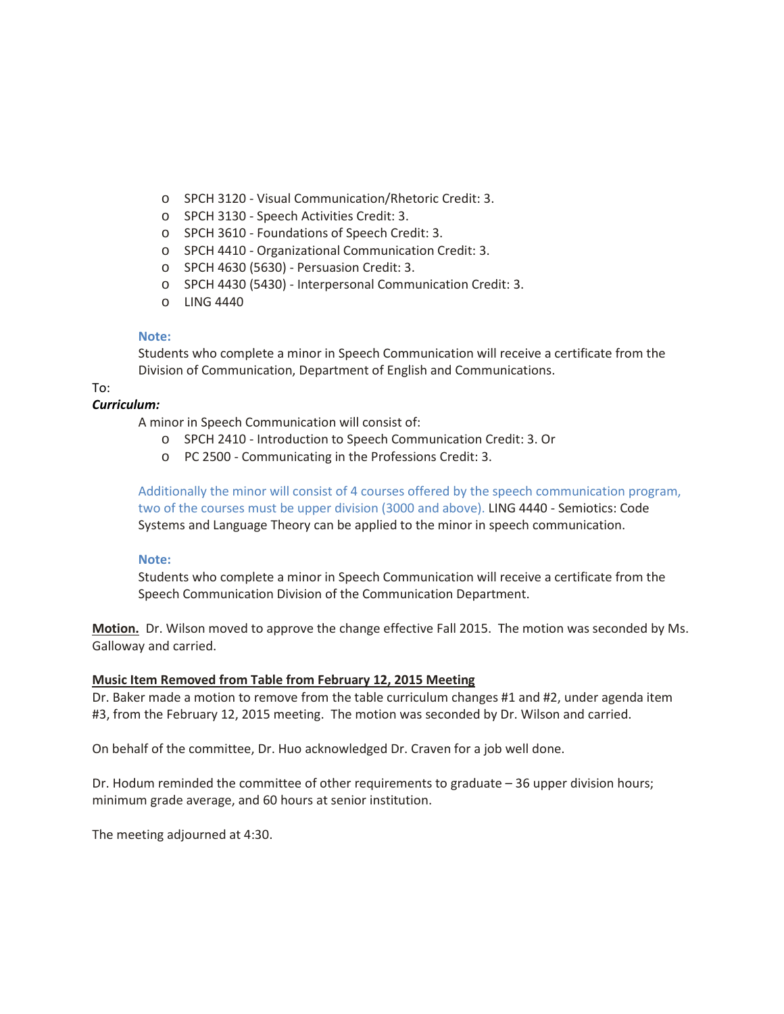- o SPCH 3120 Visual Communication/Rhetoric Credit: 3.
- o SPCH 3130 Speech Activities Credit: 3.
- o SPCH 3610 Foundations of Speech Credit: 3.
- o SPCH 4410 Organizational Communication Credit: 3.
- o SPCH 4630 (5630) Persuasion Credit: 3.
- o SPCH 4430 (5430) Interpersonal Communication Credit: 3.
- o LING 4440

#### **Note:**

Students who complete a minor in Speech Communication will receive a certificate from the Division of Communication, Department of English and Communications.

# To:

# *Curriculum:*

A minor in Speech Communication will consist of:

- o SPCH 2410 Introduction to Speech Communication Credit: 3. Or
- o PC 2500 Communicating in the Professions Credit: 3.

Additionally the minor will consist of 4 courses offered by the speech communication program, two of the courses must be upper division (3000 and above). LING 4440 - Semiotics: Code Systems and Language Theory can be applied to the minor in speech communication.

#### **Note:**

Students who complete a minor in Speech Communication will receive a certificate from the Speech Communication Division of the Communication Department.

**Motion.** Dr. Wilson moved to approve the change effective Fall 2015. The motion was seconded by Ms. Galloway and carried.

#### **Music Item Removed from Table from February 12, 2015 Meeting**

Dr. Baker made a motion to remove from the table curriculum changes #1 and #2, under agenda item #3, from the February 12, 2015 meeting. The motion was seconded by Dr. Wilson and carried.

On behalf of the committee, Dr. Huo acknowledged Dr. Craven for a job well done.

Dr. Hodum reminded the committee of other requirements to graduate – 36 upper division hours; minimum grade average, and 60 hours at senior institution.

The meeting adjourned at 4:30.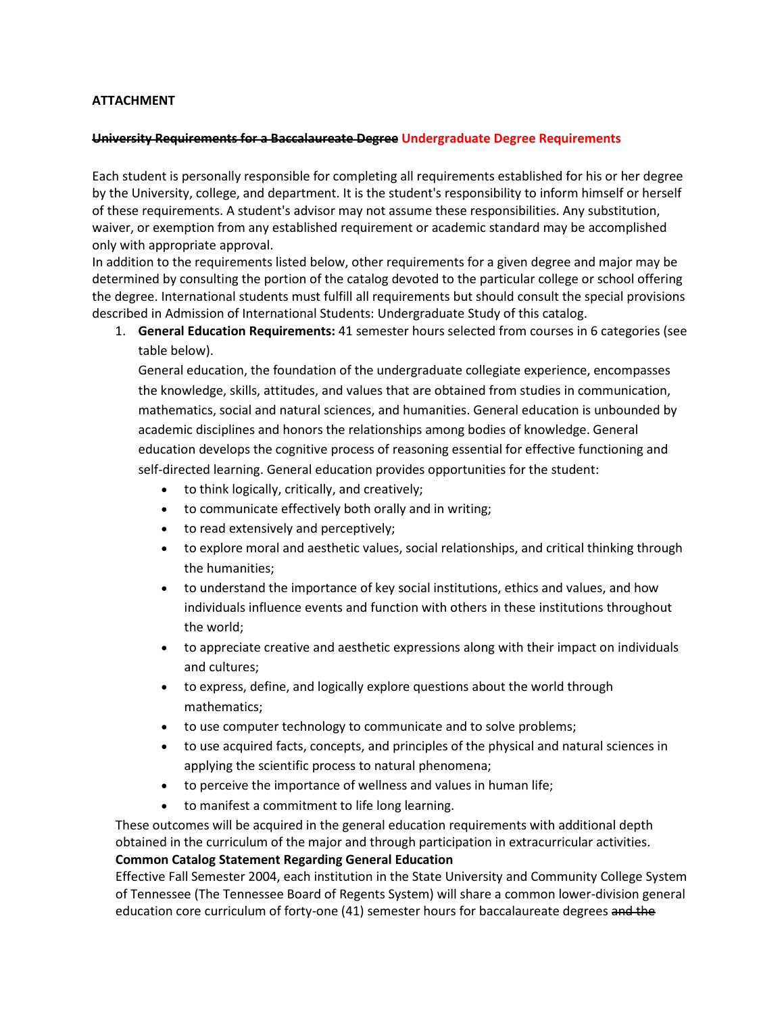# **ATTACHMENT**

#### **University Requirements for a Baccalaureate Degree Undergraduate Degree Requirements**

Each student is personally responsible for completing all requirements established for his or her degree by the University, college, and department. It is the student's responsibility to inform himself or herself of these requirements. A student's advisor may not assume these responsibilities. Any substitution, waiver, or exemption from any established requirement or academic standard may be accomplished only with appropriate approval.

In addition to the requirements listed below, other requirements for a given degree and major may be determined by consulting the portion of the catalog devoted to the particular college or school offering the degree. International students must fulfill all requirements but should consult the special provisions described in Admission of International Students: Undergraduate Study of this catalog.

1. **General Education Requirements:** 41 semester hours selected from courses in 6 categories (see table below).

General education, the foundation of the undergraduate collegiate experience, encompasses the knowledge, skills, attitudes, and values that are obtained from studies in communication, mathematics, social and natural sciences, and humanities. General education is unbounded by academic disciplines and honors the relationships among bodies of knowledge. General education develops the cognitive process of reasoning essential for effective functioning and self-directed learning. General education provides opportunities for the student:

- to think logically, critically, and creatively;
- to communicate effectively both orally and in writing;
- to read extensively and perceptively;
- to explore moral and aesthetic values, social relationships, and critical thinking through the humanities;
- to understand the importance of key social institutions, ethics and values, and how individuals influence events and function with others in these institutions throughout the world;
- to appreciate creative and aesthetic expressions along with their impact on individuals and cultures;
- to express, define, and logically explore questions about the world through mathematics;
- to use computer technology to communicate and to solve problems;
- to use acquired facts, concepts, and principles of the physical and natural sciences in applying the scientific process to natural phenomena;
- to perceive the importance of wellness and values in human life;
- to manifest a commitment to life long learning.

These outcomes will be acquired in the general education requirements with additional depth obtained in the curriculum of the major and through participation in extracurricular activities. **Common Catalog Statement Regarding General Education**

Effective Fall Semester 2004, each institution in the State University and Community College System of Tennessee (The Tennessee Board of Regents System) will share a common lower-division general education core curriculum of forty-one (41) semester hours for baccalaureate degrees and the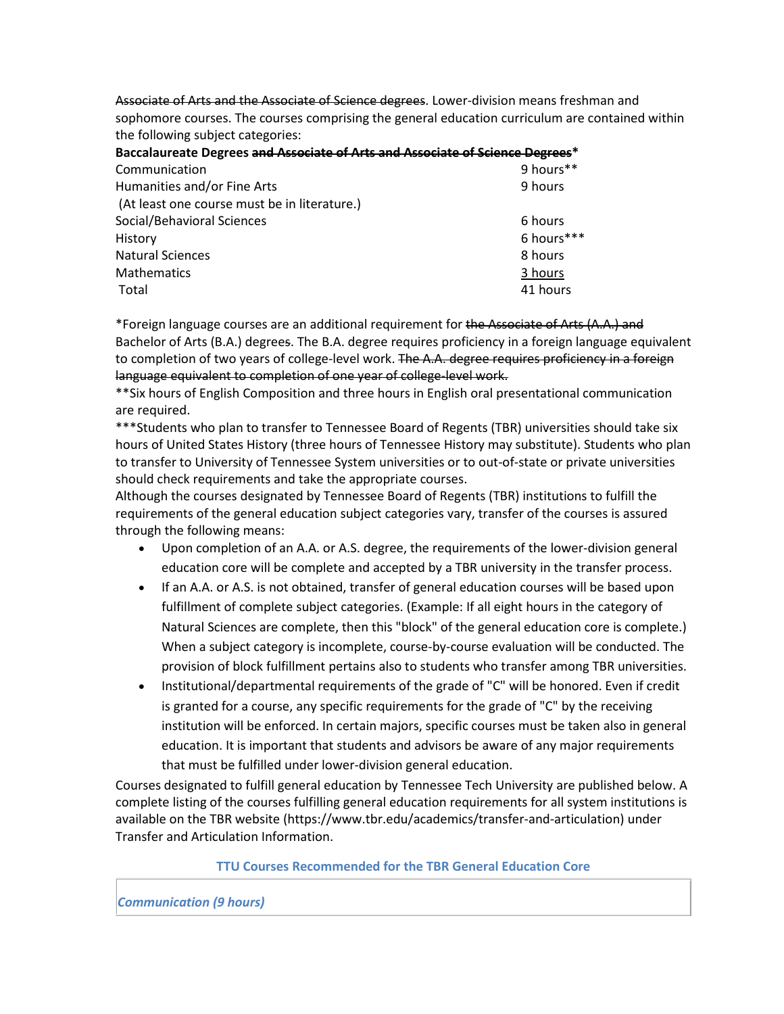Associate of Arts and the Associate of Science degrees. Lower-division means freshman and sophomore courses. The courses comprising the general education curriculum are contained within the following subject categories:

| Baccalaureate Degrees and Associate of Arts and Associate of Science Degrees* |            |
|-------------------------------------------------------------------------------|------------|
| Communication                                                                 | 9 hours**  |
| Humanities and/or Fine Arts                                                   | 9 hours    |
| (At least one course must be in literature.)                                  |            |
| Social/Behavioral Sciences                                                    | 6 hours    |
| History                                                                       | 6 hours*** |
| <b>Natural Sciences</b>                                                       | 8 hours    |
| <b>Mathematics</b>                                                            | 3 hours    |
| Total                                                                         | 41 hours   |
|                                                                               |            |

\*Foreign language courses are an additional requirement for the Associate of Arts (A.A.) and Bachelor of Arts (B.A.) degrees. The B.A. degree requires proficiency in a foreign language equivalent to completion of two years of college-level work. The A.A. degree requires proficiency in a foreign language equivalent to completion of one year of college-level work.

\*\*Six hours of English Composition and three hours in English oral presentational communication are required.

\*\*\*Students who plan to transfer to Tennessee Board of Regents (TBR) universities should take six hours of United States History (three hours of Tennessee History may substitute). Students who plan to transfer to University of Tennessee System universities or to out-of-state or private universities should check requirements and take the appropriate courses.

Although the courses designated by Tennessee Board of Regents (TBR) institutions to fulfill the requirements of the general education subject categories vary, transfer of the courses is assured through the following means:

- Upon completion of an A.A. or A.S. degree, the requirements of the lower-division general education core will be complete and accepted by a TBR university in the transfer process.
- If an A.A. or A.S. is not obtained, transfer of general education courses will be based upon fulfillment of complete subject categories. (Example: If all eight hours in the category of Natural Sciences are complete, then this "block" of the general education core is complete.) When a subject category is incomplete, course-by-course evaluation will be conducted. The provision of block fulfillment pertains also to students who transfer among TBR universities.
- Institutional/departmental requirements of the grade of "C" will be honored. Even if credit is granted for a course, any specific requirements for the grade of "C" by the receiving institution will be enforced. In certain majors, specific courses must be taken also in general education. It is important that students and advisors be aware of any major requirements that must be fulfilled under lower-division general education.

Courses designated to fulfill general education by Tennessee Tech University are published below. A complete listing of the courses fulfilling general education requirements for all system institutions is available on the TBR website (https://www.tbr.edu/academics/transfer-and-articulation) under Transfer and Articulation Information.

#### **TTU Courses Recommended for the TBR General Education Core**

#### *Communication (9 hours)*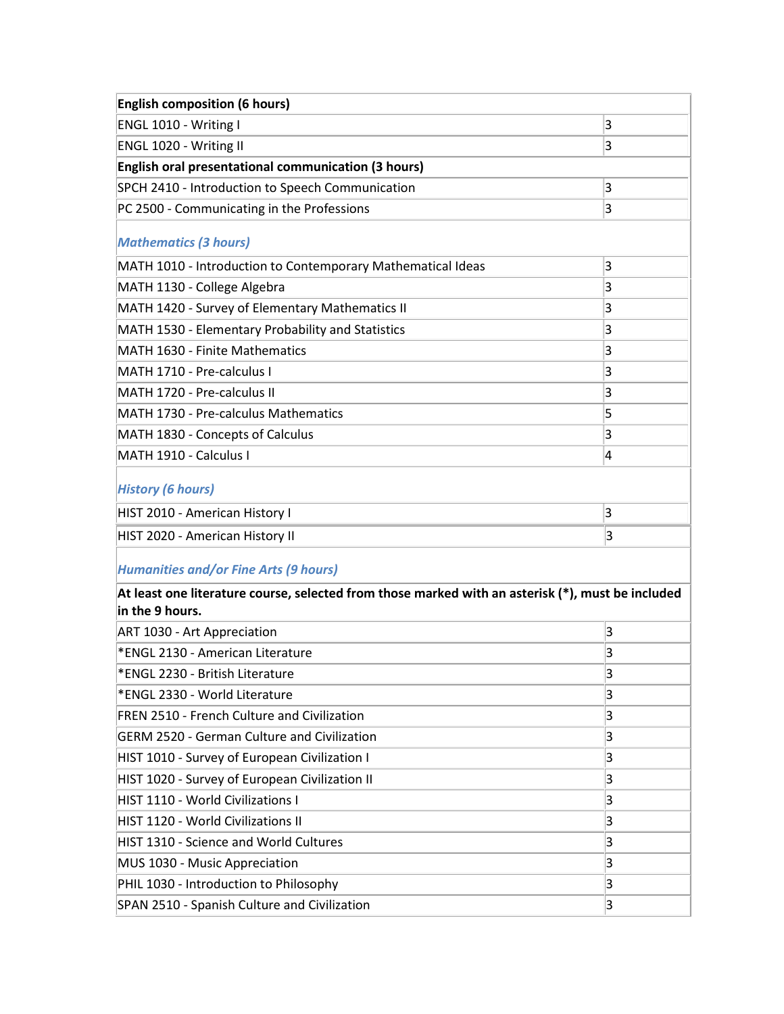| <b>English composition (6 hours)</b>                                                                                 |   |  |
|----------------------------------------------------------------------------------------------------------------------|---|--|
| ENGL 1010 - Writing I                                                                                                | 3 |  |
| ENGL 1020 - Writing II                                                                                               | 3 |  |
| English oral presentational communication (3 hours)                                                                  |   |  |
| SPCH 2410 - Introduction to Speech Communication                                                                     | 3 |  |
| PC 2500 - Communicating in the Professions                                                                           | 3 |  |
| <b>Mathematics (3 hours)</b>                                                                                         |   |  |
| MATH 1010 - Introduction to Contemporary Mathematical Ideas                                                          | 3 |  |
| MATH 1130 - College Algebra                                                                                          | 3 |  |
| MATH 1420 - Survey of Elementary Mathematics II                                                                      | 3 |  |
| MATH 1530 - Elementary Probability and Statistics                                                                    | 3 |  |
| MATH 1630 - Finite Mathematics                                                                                       | 3 |  |
| MATH 1710 - Pre-calculus I                                                                                           | 3 |  |
| MATH 1720 - Pre-calculus II                                                                                          | 3 |  |
| MATH 1730 - Pre-calculus Mathematics                                                                                 | 5 |  |
| MATH 1830 - Concepts of Calculus                                                                                     | 3 |  |
| MATH 1910 - Calculus I                                                                                               | 4 |  |
| <b>History (6 hours)</b>                                                                                             |   |  |
| HIST 2010 - American History I                                                                                       | 3 |  |
| HIST 2020 - American History II                                                                                      | 3 |  |
| <b>Humanities and/or Fine Arts (9 hours)</b>                                                                         |   |  |
| At least one literature course, selected from those marked with an asterisk (*), must be included<br>in the 9 hours. |   |  |
| ART 1030 - Art Appreciation                                                                                          | 3 |  |
| *ENGL 2130 - American Literature                                                                                     | 3 |  |
| *ENGL 2230 - British Literature                                                                                      | 3 |  |
| *ENGL 2330 - World Literature                                                                                        | 3 |  |
| FREN 2510 - French Culture and Civilization                                                                          | 3 |  |
| <b>GERM 2520 - German Culture and Civilization</b>                                                                   | 3 |  |

| <b>GERM 2520 - German Culture and Civilization</b> | 3 |
|----------------------------------------------------|---|
| HIST 1010 - Survey of European Civilization I      | 3 |
| HIST 1020 - Survey of European Civilization II     | 3 |
| <b>HIST 1110 - World Civilizations I</b>           |   |
| HIST 1120 - World Civilizations II                 | 3 |
| HIST 1310 - Science and World Cultures             | 3 |
| MUS 1030 - Music Appreciation                      |   |
| PHIL 1030 - Introduction to Philosophy             |   |
| SPAN 2510 - Spanish Culture and Civilization       |   |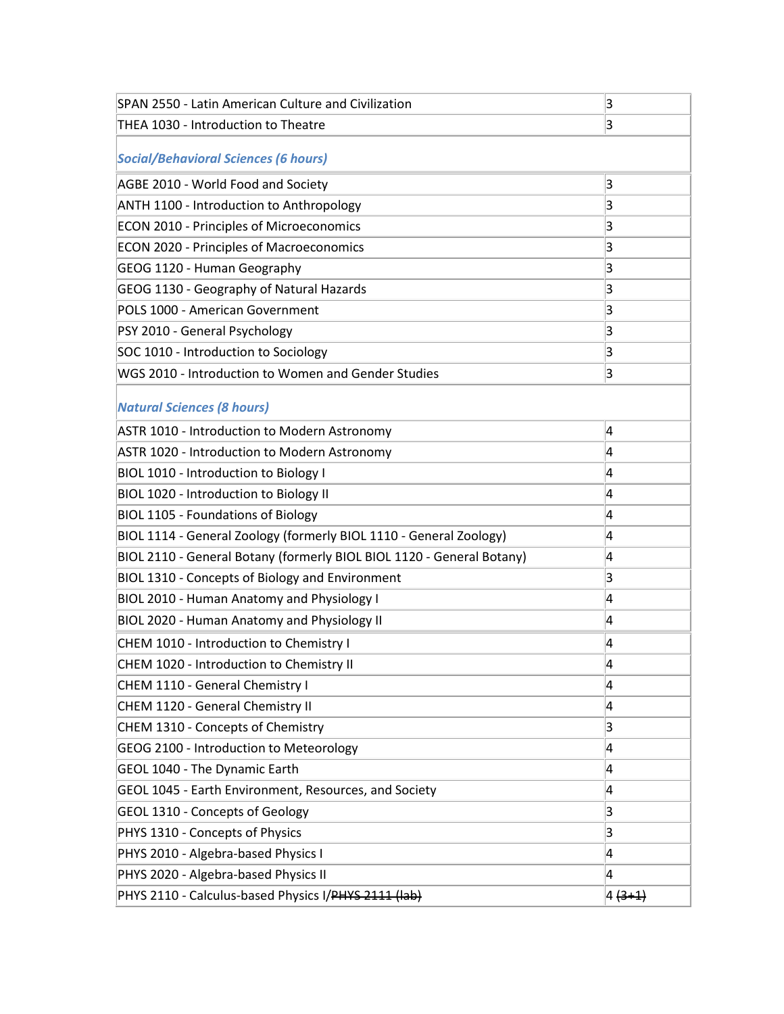| SPAN 2550 - Latin American Culture and Civilization                   | 3        |  |
|-----------------------------------------------------------------------|----------|--|
| THEA 1030 - Introduction to Theatre                                   | 3        |  |
| <b>Social/Behavioral Sciences (6 hours)</b>                           |          |  |
| AGBE 2010 - World Food and Society                                    | 3        |  |
| ANTH 1100 - Introduction to Anthropology                              | 3        |  |
| ECON 2010 - Principles of Microeconomics                              | 3        |  |
| <b>ECON 2020 - Principles of Macroeconomics</b>                       | 3        |  |
| GEOG 1120 - Human Geography                                           | 3        |  |
| GEOG 1130 - Geography of Natural Hazards                              | 3        |  |
| POLS 1000 - American Government                                       | 3        |  |
| PSY 2010 - General Psychology                                         | 3        |  |
| SOC 1010 - Introduction to Sociology                                  | 3        |  |
| WGS 2010 - Introduction to Women and Gender Studies                   | 3        |  |
| <b>Natural Sciences (8 hours)</b>                                     |          |  |
| ASTR 1010 - Introduction to Modern Astronomy                          | 4        |  |
| ASTR 1020 - Introduction to Modern Astronomy                          | 4        |  |
| BIOL 1010 - Introduction to Biology I                                 | 4        |  |
| BIOL 1020 - Introduction to Biology II                                | 4        |  |
| <b>BIOL 1105 - Foundations of Biology</b>                             | 4        |  |
| BIOL 1114 - General Zoology (formerly BIOL 1110 - General Zoology)    | 4        |  |
| BIOL 2110 - General Botany (formerly BIOL BIOL 1120 - General Botany) | 4        |  |
| BIOL 1310 - Concepts of Biology and Environment                       | 3        |  |
| BIOL 2010 - Human Anatomy and Physiology I                            | 4        |  |
| BIOL 2020 - Human Anatomy and Physiology II                           | 4        |  |
| CHEM 1010 - Introduction to Chemistry I                               | 4        |  |
| CHEM 1020 - Introduction to Chemistry II                              | 4        |  |
| CHEM 1110 - General Chemistry I                                       | 4        |  |
| CHEM 1120 - General Chemistry II                                      | 4        |  |
| CHEM 1310 - Concepts of Chemistry                                     | 3        |  |
| GEOG 2100 - Introduction to Meteorology                               | 4        |  |
| GEOL 1040 - The Dynamic Earth                                         | 4        |  |
| GEOL 1045 - Earth Environment, Resources, and Society                 | 4        |  |
| <b>GEOL 1310 - Concepts of Geology</b>                                | 3        |  |
| PHYS 1310 - Concepts of Physics                                       | 3        |  |
| PHYS 2010 - Algebra-based Physics I                                   | 4        |  |
| PHYS 2020 - Algebra-based Physics II                                  | 4        |  |
| PHYS 2110 - Calculus-based Physics I/PHYS 2111 (lab)                  | $4(3+1)$ |  |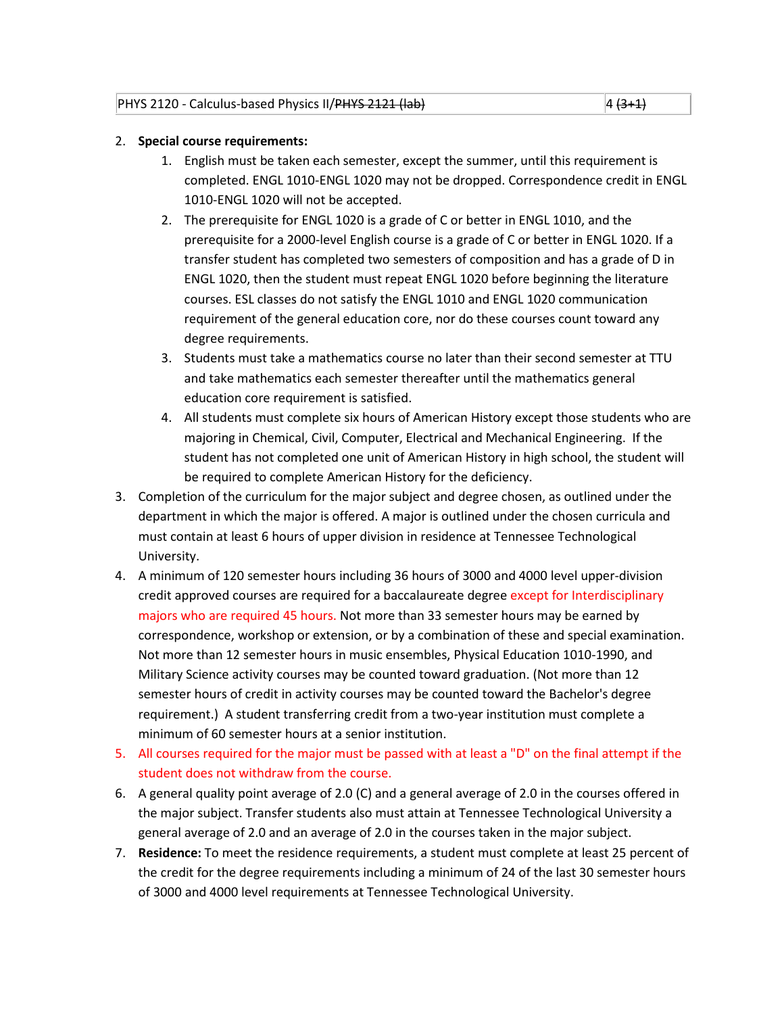# 2. **Special course requirements:**

- 1. English must be taken each semester, except the summer, until this requirement is completed. ENGL 1010-ENGL 1020 may not be dropped. Correspondence credit in ENGL 1010-ENGL 1020 will not be accepted.
- 2. The prerequisite for ENGL 1020 is a grade of C or better in ENGL 1010, and the prerequisite for a 2000-level English course is a grade of C or better in ENGL 1020. If a transfer student has completed two semesters of composition and has a grade of D in ENGL 1020, then the student must repeat ENGL 1020 before beginning the literature courses. ESL classes do not satisfy the ENGL 1010 and ENGL 1020 communication requirement of the general education core, nor do these courses count toward any degree requirements.
- 3. Students must take a mathematics course no later than their second semester at TTU and take mathematics each semester thereafter until the mathematics general education core requirement is satisfied.
- 4. All students must complete six hours of American History except those students who are majoring in Chemical, Civil, Computer, Electrical and Mechanical Engineering. If the student has not completed one unit of American History in high school, the student will be required to complete American History for the deficiency.
- 3. Completion of the curriculum for the major subject and degree chosen, as outlined under the department in which the major is offered. A major is outlined under the chosen curricula and must contain at least 6 hours of upper division in residence at Tennessee Technological University.
- 4. A minimum of 120 semester hours including 36 hours of 3000 and 4000 level upper-division credit approved courses are required for a baccalaureate degree except for Interdisciplinary majors who are required 45 hours. Not more than 33 semester hours may be earned by correspondence, workshop or extension, or by a combination of these and special examination. Not more than 12 semester hours in music ensembles, Physical Education 1010-1990, and Military Science activity courses may be counted toward graduation. (Not more than 12 semester hours of credit in activity courses may be counted toward the Bachelor's degree requirement.) A student transferring credit from a two-year institution must complete a minimum of 60 semester hours at a senior institution.
- 5. All courses required for the major must be passed with at least a "D" on the final attempt if the student does not withdraw from the course.
- 6. A general quality point average of 2.0 (C) and a general average of 2.0 in the courses offered in the major subject. Transfer students also must attain at Tennessee Technological University a general average of 2.0 and an average of 2.0 in the courses taken in the major subject.
- 7. **Residence:** To meet the residence requirements, a student must complete at least 25 percent of the credit for the degree requirements including a minimum of 24 of the last 30 semester hours of 3000 and 4000 level requirements at Tennessee Technological University.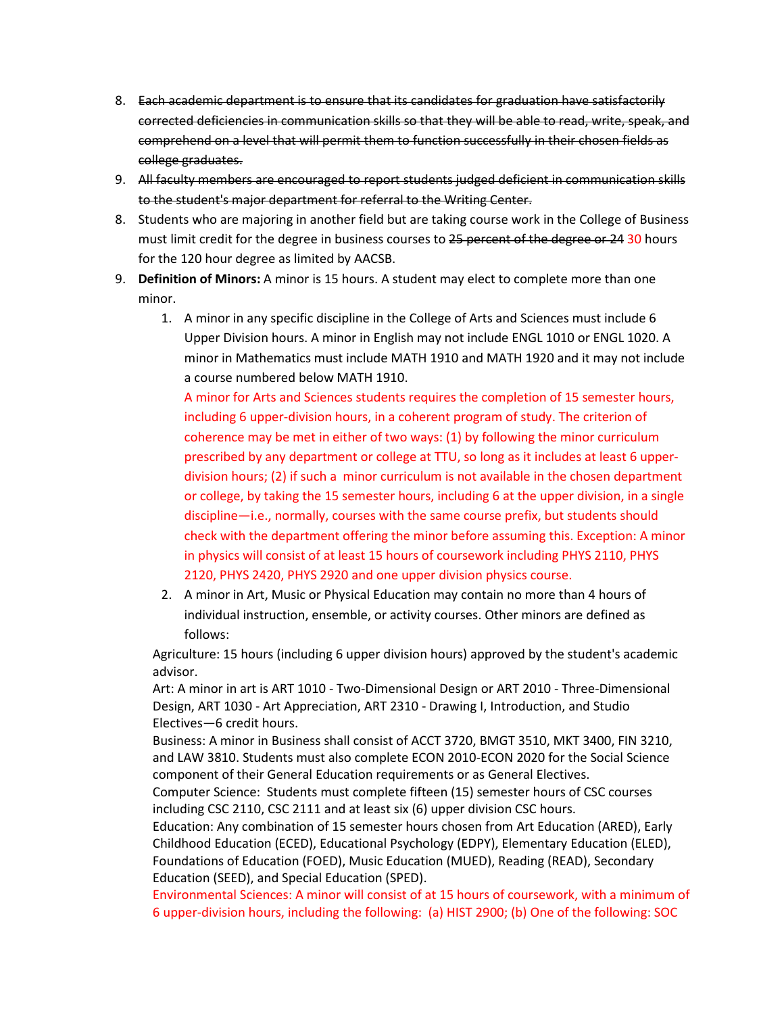- 8. Each academic department is to ensure that its candidates for graduation have satisfactorily corrected deficiencies in communication skills so that they will be able to read, write, speak, and comprehend on a level that will permit them to function successfully in their chosen fields as college graduates.
- 9. All faculty members are encouraged to report students judged deficient in communication skills to the student's major department for referral to the Writing Center.
- 8. Students who are majoring in another field but are taking course work in the College of Business must limit credit for the degree in business courses to 25 percent of the degree or 24 30 hours for the 120 hour degree as limited by AACSB.
- 9. **Definition of Minors:** A minor is 15 hours. A student may elect to complete more than one minor.
	- 1. A minor in any specific discipline in the College of Arts and Sciences must include 6 Upper Division hours. A minor in English may not include ENGL 1010 or ENGL 1020. A minor in Mathematics must include MATH 1910 and MATH 1920 and it may not include a course numbered below MATH 1910.

A minor for Arts and Sciences students requires the completion of 15 semester hours, including 6 upper-division hours, in a coherent program of study. The criterion of coherence may be met in either of two ways: (1) by following the minor curriculum prescribed by any department or college at TTU, so long as it includes at least 6 upperdivision hours; (2) if such a minor curriculum is not available in the chosen department or college, by taking the 15 semester hours, including 6 at the upper division, in a single discipline—i.e., normally, courses with the same course prefix, but students should check with the department offering the minor before assuming this. Exception: A minor in physics will consist of at least 15 hours of coursework including PHYS 2110, PHYS 2120, PHYS 2420, PHYS 2920 and one upper division physics course.

2. A minor in Art, Music or Physical Education may contain no more than 4 hours of individual instruction, ensemble, or activity courses. Other minors are defined as follows:

Agriculture: 15 hours (including 6 upper division hours) approved by the student's academic advisor.

Art: A minor in art is ART 1010 - Two-Dimensional Design or ART 2010 - Three-Dimensional Design, ART 1030 - Art Appreciation, ART 2310 - Drawing I, Introduction, and Studio Electives—6 credit hours.

Business: A minor in Business shall consist of ACCT 3720, BMGT 3510, MKT 3400, FIN 3210, and LAW 3810. Students must also complete ECON 2010-ECON 2020 for the Social Science component of their General Education requirements or as General Electives. Computer Science: Students must complete fifteen (15) semester hours of CSC courses including CSC 2110, CSC 2111 and at least six (6) upper division CSC hours.

Education: Any combination of 15 semester hours chosen from Art Education (ARED), Early Childhood Education (ECED), Educational Psychology (EDPY), Elementary Education (ELED), Foundations of Education (FOED), Music Education (MUED), Reading (READ), Secondary Education (SEED), and Special Education (SPED).

Environmental Sciences: A minor will consist of at 15 hours of coursework, with a minimum of 6 upper-division hours, including the following: (a) HIST 2900; (b) One of the following: SOC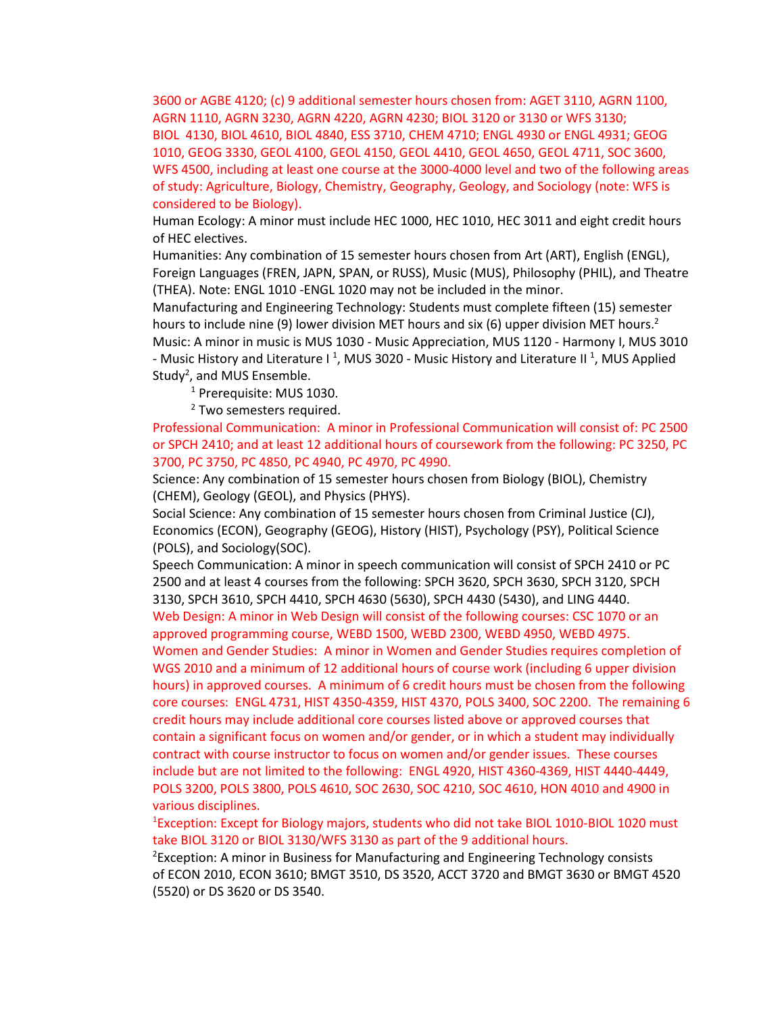3600 or AGBE 4120; (c) 9 additional semester hours chosen from: AGET 3110, AGRN 1100, AGRN 1110, AGRN 3230, AGRN 4220, AGRN 4230; BIOL 3120 or 3130 or WFS 3130; BIOL 4130, BIOL 4610, BIOL 4840, ESS 3710, CHEM 4710; ENGL 4930 or ENGL 4931; GEOG 1010, GEOG 3330, GEOL 4100, GEOL 4150, GEOL 4410, GEOL 4650, GEOL 4711, SOC 3600, WFS 4500, including at least one course at the 3000-4000 level and two of the following areas of study: Agriculture, Biology, Chemistry, Geography, Geology, and Sociology (note: WFS is considered to be Biology).

Human Ecology: A minor must include HEC 1000, HEC 1010, HEC 3011 and eight credit hours of HEC electives.

Humanities: Any combination of 15 semester hours chosen from Art (ART), English (ENGL), Foreign Languages (FREN, JAPN, SPAN, or RUSS), Music (MUS), Philosophy (PHIL), and Theatre (THEA). Note: ENGL 1010 -ENGL 1020 may not be included in the minor.

Manufacturing and Engineering Technology: Students must complete fifteen (15) semester hours to include nine (9) lower division MET hours and six (6) upper division MET hours.<sup>2</sup> Music: A minor in music is MUS 1030 - Music Appreciation, MUS 1120 - Harmony I, MUS 3010 - Music History and Literature I<sup>1</sup>, MUS 3020 - Music History and Literature II<sup>1</sup>, MUS Applied Study<sup>2</sup>, and MUS Ensemble.

<sup>1</sup> Prerequisite: MUS 1030.

<sup>2</sup> Two semesters required.

Professional Communication: A minor in Professional Communication will consist of: PC 2500 or SPCH 2410; and at least 12 additional hours of coursework from the following: PC 3250, PC 3700, PC 3750, PC 4850, PC 4940, PC 4970, PC 4990.

Science: Any combination of 15 semester hours chosen from Biology (BIOL), Chemistry (CHEM), Geology (GEOL), and Physics (PHYS).

Social Science: Any combination of 15 semester hours chosen from Criminal Justice (CJ), Economics (ECON), Geography (GEOG), History (HIST), Psychology (PSY), Political Science (POLS), and Sociology(SOC).

Speech Communication: A minor in speech communication will consist of SPCH 2410 or PC 2500 and at least 4 courses from the following: SPCH 3620, SPCH 3630, SPCH 3120, SPCH 3130, SPCH 3610, SPCH 4410, SPCH 4630 (5630), SPCH 4430 (5430), and LING 4440. Web Design: A minor in Web Design will consist of the following courses: CSC 1070 or an

approved programming course, WEBD 1500, WEBD 2300, WEBD 4950, WEBD 4975. Women and Gender Studies: A minor in Women and Gender Studies requires completion of WGS 2010 and a minimum of 12 additional hours of course work (including 6 upper division hours) in approved courses. A minimum of 6 credit hours must be chosen from the following core courses: ENGL 4731, HIST 4350-4359, HIST 4370, POLS 3400, SOC 2200. The remaining 6 credit hours may include additional core courses listed above or approved courses that contain a significant focus on women and/or gender, or in which a student may individually contract with course instructor to focus on women and/or gender issues. These courses include but are not limited to the following: ENGL 4920, HIST 4360-4369, HIST 4440-4449, POLS 3200, POLS 3800, POLS 4610, SOC 2630, SOC 4210, SOC 4610, HON 4010 and 4900 in various disciplines.

<sup>1</sup>Exception: Except for Biology majors, students who did not take BIOL 1010-BIOL 1020 must take BIOL 3120 or BIOL 3130/WFS 3130 as part of the 9 additional hours.

<sup>2</sup> Exception: A minor in Business for Manufacturing and Engineering Technology consists of ECON 2010, ECON 3610; BMGT 3510, DS 3520, ACCT 3720 and BMGT 3630 or BMGT 4520 (5520) or DS 3620 or DS 3540.